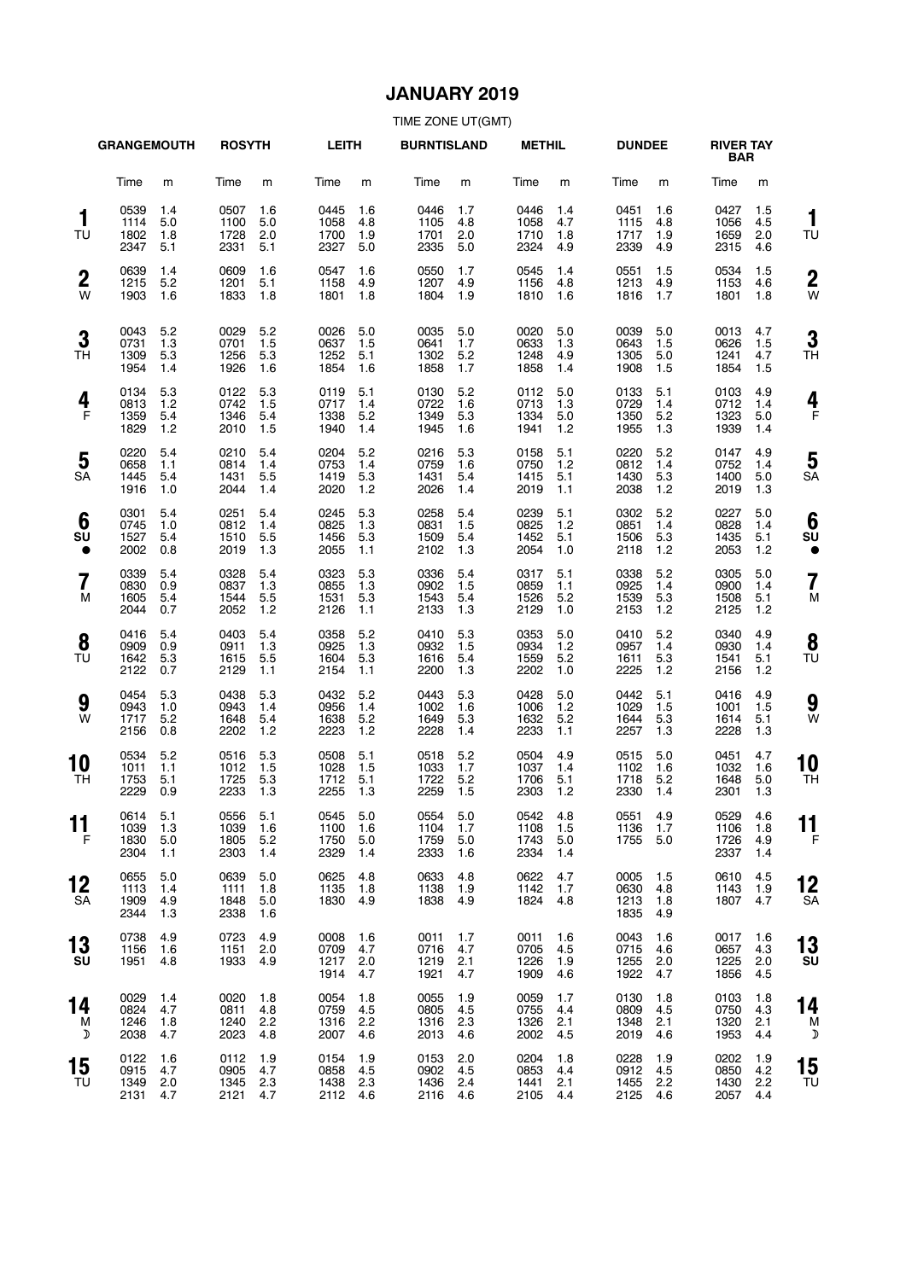# **JANUARY 2019**

|                              | <b>GRANGEMOUTH</b>               |                          | <b>ROSYTH</b>                    |                          | <b>LEITH</b>                     |                          | <b>BURNTISLAND</b>               |                          | <b>METHIL</b>                    |                          | <b>DUNDEE</b>                |                          | <b>RIVER TAY</b><br><b>BAR</b> |                          |                     |
|------------------------------|----------------------------------|--------------------------|----------------------------------|--------------------------|----------------------------------|--------------------------|----------------------------------|--------------------------|----------------------------------|--------------------------|------------------------------|--------------------------|--------------------------------|--------------------------|---------------------|
|                              | Time                             | m                        | Time                             | m                        | Time                             | m                        | Time                             | m                        | Time                             | m                        | Time                         | m                        | Time                           | m                        |                     |
| 1<br>TU                      | 0539<br>1114<br>1802<br>2347     | 1.4<br>5.0<br>1.8<br>5.1 | 0507<br>1100<br>1728<br>2331     | 1.6<br>5.0<br>2.0<br>5.1 | 0445<br>1058<br>1700<br>2327     | 1.6<br>4.8<br>1.9<br>5.0 | 0446<br>1105<br>1701<br>2335     | 1.7<br>4.8<br>2.0<br>5.0 | 0446<br>1058<br>1710<br>2324     | 1.4<br>4.7<br>1.8<br>4.9 | 0451<br>1115<br>1717<br>2339 | 1.6<br>4.8<br>1.9<br>4.9 | 0427<br>1056<br>1659<br>2315   | 1.5<br>4.5<br>2.0<br>4.6 | 1<br>TU             |
| $\boldsymbol{2}$<br>W        | 0639<br>1215<br>1903             | 1.4<br>5.2<br>1.6        | 0609<br>1201<br>1833             | 1.6<br>5.1<br>1.8        | 0547<br>1158<br>1801             | 1.6<br>4.9<br>1.8        | 0550<br>1207<br>1804             | 1.7<br>4.9<br>1.9        | 0545<br>1156<br>1810             | 1.4<br>4.8<br>1.6        | 0551<br>1213<br>1816         | 1.5<br>4.9<br>1.7        | 0534<br>1153<br>1801           | 1.5<br>4.6<br>1.8        | $\overline{2}$<br>W |
| 3<br><b>TH</b>               | 0043<br>0731<br>1309<br>1954     | 5.2<br>1.3<br>5.3<br>1.4 | 0029<br>0701<br>1256<br>1926     | 5.2<br>1.5<br>5.3<br>1.6 | 0026<br>0637<br>1252<br>1854     | 5.0<br>1.5<br>5.1<br>1.6 | 0035<br>0641<br>1302<br>1858     | 5.0<br>1.7<br>5.2<br>1.7 | 0020<br>0633<br>1248<br>1858     | 5.0<br>1.3<br>4.9<br>1.4 | 0039<br>0643<br>1305<br>1908 | 5.0<br>1.5<br>5.0<br>1.5 | 0013<br>0626<br>1241<br>1854   | 4.7<br>1.5<br>4.7<br>1.5 | 3<br>ΤH             |
| 4<br>$\mathsf{F}$            | 0134<br>0813<br>1359<br>1829     | 5.3<br>1.2<br>5.4<br>1.2 | 0122<br>0742<br>1346<br>2010     | 5.3<br>1.5<br>5.4<br>1.5 | 0119<br>0717<br>1338<br>1940     | 5.1<br>1.4<br>5.2<br>1.4 | 0130<br>0722<br>1349<br>1945     | 5.2<br>1.6<br>5.3<br>1.6 | 0112<br>0713<br>1334<br>1941     | 5.0<br>1.3<br>5.0<br>1.2 | 0133<br>0729<br>1350<br>1955 | 5.1<br>1.4<br>5.2<br>1.3 | 0103<br>0712<br>1323<br>1939   | 4.9<br>1.4<br>5.0<br>1.4 | 4<br>F              |
| 5<br><b>SA</b>               | 0220<br>0658<br>1445<br>1916     | 5.4<br>1.1<br>5.4<br>1.0 | 0210<br>0814<br>1431<br>2044     | 5.4<br>1.4<br>5.5<br>1.4 | 0204<br>0753<br>1419<br>2020     | 5.2<br>1.4<br>5.3<br>1.2 | 0216<br>0759<br>1431<br>2026     | 5.3<br>1.6<br>5.4<br>1.4 | 0158<br>0750<br>1415<br>2019     | 5.1<br>1.2<br>5.1<br>1.1 | 0220<br>0812<br>1430<br>2038 | 5.2<br>1.4<br>5.3<br>1.2 | 0147<br>0752<br>1400<br>2019   | 4.9<br>1.4<br>5.0<br>1.3 | 5<br>SA             |
| 6<br>SU<br>$\bullet$         | 0301<br>0745<br>1527<br>2002     | 5.4<br>1.0<br>5.4<br>0.8 | 0251<br>0812<br>1510<br>2019     | 5.4<br>1.4<br>5.5<br>1.3 | 0245<br>0825<br>1456<br>2055     | 5.3<br>1.3<br>5.3<br>1.1 | 0258<br>0831<br>1509<br>2102     | 5.4<br>1.5<br>5.4<br>1.3 | 0239<br>0825<br>1452<br>2054     | 5.1<br>1.2<br>5.1<br>1.0 | 0302<br>0851<br>1506<br>2118 | 5.2<br>1.4<br>5.3<br>1.2 | 0227<br>0828<br>1435<br>2053   | 5.0<br>1.4<br>5.1<br>1.2 | 6<br>SU<br>€        |
| $\overline{\mathbf{7}}$<br>M | 0339<br>0830<br>1605<br>2044     | 5.4<br>0.9<br>5.4<br>0.7 | 0328<br>0837<br>1544<br>2052     | 5.4<br>1.3<br>5.5<br>1.2 | 0323<br>0855<br>1531<br>2126     | 5.3<br>1.3<br>5.3<br>1.1 | 0336<br>0902<br>1543<br>2133     | 5.4<br>1.5<br>5.4<br>1.3 | 0317<br>0859<br>1526<br>2129     | 5.1<br>1.1<br>5.2<br>1.0 | 0338<br>0925<br>1539<br>2153 | 5.2<br>1.4<br>5.3<br>1.2 | 0305<br>0900<br>1508<br>2125   | 5.0<br>1.4<br>5.1<br>1.2 | $\overline{7}$<br>M |
| 8<br>TU                      | 0416<br>0909<br>1642<br>2122     | 5.4<br>0.9<br>5.3<br>0.7 | 0403<br>0911<br>1615<br>2129     | 5.4<br>1.3<br>5.5<br>1.1 | 0358<br>0925<br>1604<br>2154     | 5.2<br>1.3<br>5.3<br>1.1 | 0410<br>0932<br>1616<br>2200     | 5.3<br>1.5<br>5.4<br>1.3 | 0353<br>0934<br>1559<br>2202     | 5.0<br>1.2<br>5.2<br>1.0 | 0410<br>0957<br>1611<br>2225 | 5.2<br>1.4<br>5.3<br>1.2 | 0340<br>0930<br>1541<br>2156   | 4.9<br>1.4<br>5.1<br>1.2 | 8<br>TU             |
| 9<br>W                       | 0454<br>0943<br>1717<br>2156     | 5.3<br>1.0<br>5.2<br>0.8 | 0438<br>0943<br>1648<br>2202     | 5.3<br>1.4<br>5.4<br>1.2 | 0432<br>0956<br>1638<br>2223     | 5.2<br>1.4<br>5.2<br>1.2 | 0443<br>1002<br>1649<br>2228     | 5.3<br>1.6<br>5.3<br>1.4 | 0428<br>1006<br>1632<br>2233     | 5.0<br>1.2<br>5.2<br>1.1 | 0442<br>1029<br>1644<br>2257 | 5.1<br>1.5<br>5.3<br>1.3 | 0416<br>1001<br>1614<br>2228   | 4.9<br>1.5<br>5.1<br>1.3 | 9<br>W              |
| 10<br>TН                     | 0534<br>1011<br>1753<br>2229     | 5.2<br>1.1<br>5.1<br>0.9 | 0516<br>1012<br>1725<br>2233     | 5.3<br>1.5<br>5.3<br>1.3 | 0508<br>1028<br>1712<br>2255     | 5.1<br>1.5<br>5.1<br>1.3 | 0518<br>1033<br>1722<br>2259     | 5.2<br>1.7<br>5.2<br>1.5 | 0504<br>1037<br>1706<br>2303     | 4.9<br>1.4<br>5.1<br>1.2 | 0515<br>1102<br>1718<br>2330 | 5.0<br>1.6<br>5.2<br>1.4 | 0451<br>1032<br>1648<br>2301   | 4.7<br>1.6<br>5.0<br>1.3 | 10<br><b>TH</b>     |
| . .<br>11<br>F               | 0614 5.1<br>1039<br>1830<br>2304 | 1.3<br>5.0<br>1.1        | 0556 5.1<br>1039<br>1805<br>2303 | 1.6<br>5.2<br>1.4        | 0545 5.0<br>1100<br>1750<br>2329 | 1.6<br>5.0<br>1.4        | 0554 5.0<br>1104<br>1759<br>2333 | 1.7<br>5.0<br>1.6        | 0542 4.8<br>1108<br>1743<br>2334 | 1.5<br>5.0<br>1.4        | 0551 4.9<br>1136<br>1755     | 1.7<br>5.0               | 0529<br>1106<br>1726<br>2337   | 4.6<br>1.8<br>4.9<br>1.4 | . .<br>11<br>F      |
| 12<br>SA                     | 0655<br>1113<br>1909<br>2344     | 5.0<br>1.4<br>4.9<br>1.3 | 0639<br>1111<br>1848<br>2338     | 5.0<br>1.8<br>5.0<br>1.6 | 0625<br>1135<br>1830             | 4.8<br>1.8<br>4.9        | 0633<br>1138<br>1838             | 4.8<br>1.9<br>4.9        | 0622<br>1142<br>1824             | 4.7<br>1.7<br>4.8        | 0005<br>0630<br>1213<br>1835 | 1.5<br>4.8<br>1.8<br>4.9 | 0610<br>1143<br>1807           | 4.5<br>1.9<br>4.7        | 12<br>SΑ            |
| 13<br>SU                     | 0738<br>1156<br>1951             | 4.9<br>1.6<br>4.8        | 0723<br>1151<br>1933             | 4.9<br>2.0<br>4.9        | 0008<br>0709<br>1217<br>1914     | 1.6<br>4.7<br>2.0<br>4.7 | 0011<br>0716<br>1219<br>1921     | 1.7<br>4.7<br>2.1<br>4.7 | 0011<br>0705<br>1226<br>1909     | 1.6<br>4.5<br>1.9<br>4.6 | 0043<br>0715<br>1255<br>1922 | 1.6<br>4.6<br>2.0<br>4.7 | 0017<br>0657<br>1225<br>1856   | 1.6<br>4.3<br>2.0<br>4.5 | 13<br>SU            |
| 14<br>м<br>D                 | 0029<br>0824<br>1246<br>2038     | 1.4<br>4.7<br>1.8<br>4.7 | 0020<br>0811<br>1240<br>2023     | 1.8<br>4.8<br>2.2<br>4.8 | 0054<br>0759<br>1316<br>2007     | 1.8<br>4.5<br>2.2<br>4.6 | 0055<br>0805<br>1316<br>2013     | 1.9<br>4.5<br>2.3<br>4.6 | 0059<br>0755<br>1326<br>2002     | 1.7<br>4.4<br>2.1<br>4.5 | 0130<br>0809<br>1348<br>2019 | 1.8<br>4.5<br>2.1<br>4.6 | 0103<br>0750<br>1320<br>1953   | 1.8<br>4.3<br>2.1<br>4.4 | 14<br>M<br>J        |
| 15<br>TU                     | 0122<br>0915<br>1349<br>2131     | 1.6<br>4.7<br>2.0<br>4.7 | 0112<br>0905<br>1345<br>2121     | 1.9<br>4.7<br>2.3<br>4.7 | 0154<br>0858<br>1438<br>2112 4.6 | 1.9<br>4.5<br>2.3        | 0153<br>0902<br>1436<br>2116 4.6 | 2.0<br>4.5<br>2.4        | 0204<br>0853<br>1441<br>2105     | 1.8<br>4.4<br>2.1<br>4.4 | 0228<br>0912<br>1455<br>2125 | 1.9<br>4.5<br>2.2<br>4.6 | 0202<br>0850<br>1430<br>2057   | 1.9<br>4.2<br>2.2<br>4.4 | 15<br>TU            |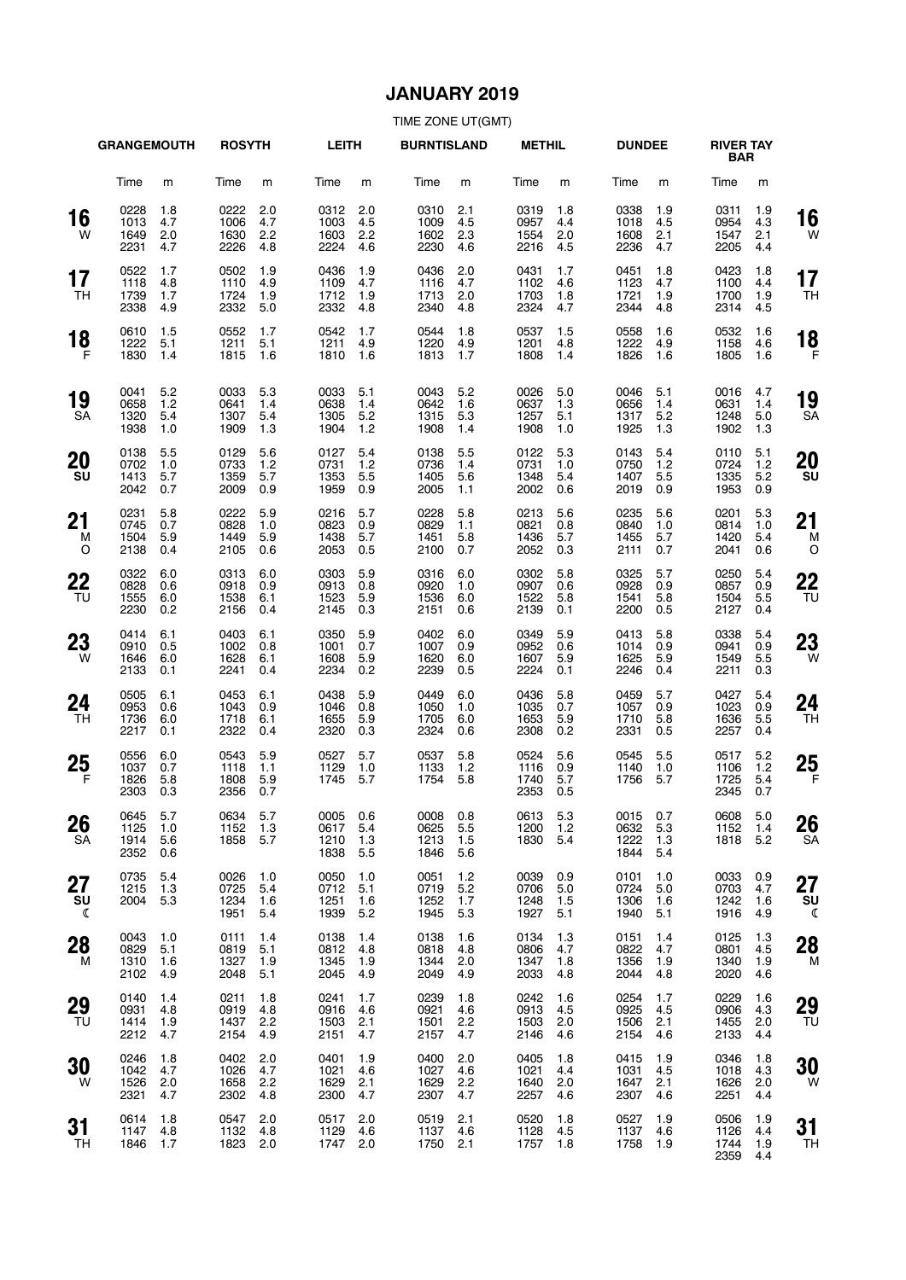# **JANUARY 2019**

|               | <b>GRANGEMOUTH</b>               |                          | <b>ROSYTH</b>                |                          | <b>LEITH</b>                     |                          | <b>BURNTISLAND</b>               |                          | <b>METHIL</b>                |                          | <b>DUNDEE</b>                    |                          | <b>RIVER TAY</b><br><b>BAR</b> |                          |                 |
|---------------|----------------------------------|--------------------------|------------------------------|--------------------------|----------------------------------|--------------------------|----------------------------------|--------------------------|------------------------------|--------------------------|----------------------------------|--------------------------|--------------------------------|--------------------------|-----------------|
|               | Time                             | m                        | Time                         | m                        | Time                             | m                        | Time                             | m                        | Time                         | m                        | Time                             | m                        | Time                           | m                        |                 |
| 16<br>W       | 0228<br>1013<br>1649<br>2231     | 1.8<br>4.7<br>2.0<br>4.7 | 0222<br>1006<br>1630<br>2226 | 2.0<br>4.7<br>2.2<br>4.8 | 0312<br>1003<br>1603<br>2224     | 2.0<br>4.5<br>2.2<br>4.6 | 0310<br>1009<br>1602<br>2230     | 2.1<br>4.5<br>2.3<br>4.6 | 0319<br>0957<br>1554<br>2216 | 1.8<br>4.4<br>2.0<br>4.5 | 0338<br>1018<br>1608<br>2236     | 1.9<br>4.5<br>2.1<br>4.7 | 0311<br>0954<br>1547<br>2205   | 1.9<br>4.3<br>2.1<br>4.4 | 16<br>W         |
| 17<br>TН      | 0522<br>1118<br>1739<br>2338     | 1.7<br>4.8<br>1.7<br>4.9 | 0502<br>1110<br>1724<br>2332 | 1.9<br>4.9<br>1.9<br>5.0 | 0436<br>1109<br>1712<br>2332     | 1.9<br>4.7<br>1.9<br>4.8 | 0436<br>1116<br>1713<br>2340     | 2.0<br>4.7<br>2.0<br>4.8 | 0431<br>1102<br>1703<br>2324 | 1.7<br>4.6<br>1.8<br>4.7 | 0451<br>1123<br>1721<br>2344     | 1.8<br>4.7<br>1.9<br>4.8 | 0423<br>1100<br>1700<br>2314   | 1.8<br>4.4<br>1.9<br>4.5 | 17<br><b>TH</b> |
| 18<br>F       | 0610<br>1222<br>1830             | 1.5<br>5.1<br>1.4        | 0552<br>1211<br>1815         | 1.7<br>5.1<br>1.6        | 0542<br>1211<br>1810             | 1.7<br>4.9<br>1.6        | 0544<br>1220<br>1813             | 1.8<br>4.9<br>1.7        | 0537<br>1201<br>1808         | 1.5<br>4.8<br>1.4        | 0558<br>1222<br>1826             | 1.6<br>4.9<br>1.6        | 0532<br>1158<br>1805           | 1.6<br>4.6<br>1.6        | 18<br>F         |
| 19<br>SA      | 0041<br>0658<br>1320<br>1938     | 5.2<br>1.2<br>5.4<br>1.0 | 0033<br>0641<br>1307<br>1909 | 5.3<br>1.4<br>5.4<br>1.3 | 0033<br>0638<br>1305<br>1904     | 5.1<br>1.4<br>5.2<br>1.2 | 0043<br>0642<br>1315<br>1908     | 5.2<br>1.6<br>5.3<br>1.4 | 0026<br>0637<br>1257<br>1908 | 5.0<br>1.3<br>5.1<br>1.0 | 0046<br>0656<br>1317<br>1925     | 5.1<br>1.4<br>5.2<br>1.3 | 0016<br>0631<br>1248<br>1902   | 4.7<br>1.4<br>5.0<br>1.3 | 19<br><b>SA</b> |
| 20<br>SU      | 0138<br>0702<br>1413<br>2042     | 5.5<br>1.0<br>5.7<br>0.7 | 0129<br>0733<br>1359<br>2009 | 5.6<br>1.2<br>5.7<br>0.9 | 0127<br>0731<br>1353<br>1959     | 5.4<br>1.2<br>5.5<br>0.9 | 0138<br>0736<br>1405<br>2005     | 5.5<br>1.4<br>5.6<br>1.1 | 0122<br>0731<br>1348<br>2002 | 5.3<br>1.0<br>5.4<br>0.6 | 0143<br>0750<br>1407<br>2019     | 5.4<br>1.2<br>5.5<br>0.9 | 0110<br>0724<br>1335<br>1953   | 5.1<br>1.2<br>5.2<br>0.9 | 20<br>SU        |
| 21<br>M<br>O  | 0231<br>0745<br>1504<br>2138     | 5.8<br>0.7<br>5.9<br>0.4 | 0222<br>0828<br>1449<br>2105 | 5.9<br>1.0<br>5.9<br>0.6 | 0216<br>0823<br>1438<br>2053     | 5.7<br>0.9<br>5.7<br>0.5 | 0228<br>0829<br>1451<br>2100     | 5.8<br>1.1<br>5.8<br>0.7 | 0213<br>0821<br>1436<br>2052 | 5.6<br>0.8<br>5.7<br>0.3 | 0235<br>0840<br>1455<br>2111     | 5.6<br>1.0<br>5.7<br>0.7 | 0201<br>0814<br>1420<br>2041   | 5.3<br>1.0<br>5.4<br>0.6 | 21<br>м<br>O    |
| 22<br>TU      | 0322<br>0828<br>1555<br>2230     | 6.0<br>0.6<br>6.0<br>0.2 | 0313<br>0918<br>1538<br>2156 | 6.0<br>0.9<br>6.1<br>0.4 | 0303<br>0913<br>1523<br>2145     | 5.9<br>0.8<br>5.9<br>0.3 | 0316<br>0920<br>1536<br>2151     | 6.0<br>1.0<br>6.0<br>0.6 | 0302<br>0907<br>1522<br>2139 | 5.8<br>0.6<br>5.8<br>0.1 | 0325<br>0928<br>1541<br>2200     | 5.7<br>0.9<br>5.8<br>0.5 | 0250<br>0857<br>1504<br>2127   | 5.4<br>0.9<br>5.5<br>0.4 | 22<br>TU        |
| 23<br>W       | 0414<br>0910<br>1646<br>2133     | 6.1<br>0.5<br>6.0<br>0.1 | 0403<br>1002<br>1628<br>2241 | 6.1<br>0.8<br>6.1<br>0.4 | 0350<br>1001<br>1608<br>2234     | 5.9<br>0.7<br>5.9<br>0.2 | 0402<br>1007<br>1620<br>2239     | 6.0<br>0.9<br>6.0<br>0.5 | 0349<br>0952<br>1607<br>2224 | 5.9<br>0.6<br>5.9<br>0.1 | 0413<br>1014<br>1625<br>2246     | 5.8<br>0.9<br>5.9<br>0.4 | 0338<br>0941<br>1549<br>2211   | 5.4<br>0.9<br>5.5<br>0.3 | 23<br>W         |
| 24<br>TH      | 0505<br>0953<br>1736<br>2217     | 6.1<br>0.6<br>6.0<br>0.1 | 0453<br>1043<br>1718<br>2322 | 6.1<br>0.9<br>6.1<br>0.4 | 0438<br>1046<br>1655<br>2320     | 5.9<br>0.8<br>5.9<br>0.3 | 0449<br>1050<br>1705<br>2324     | 6.0<br>1.0<br>6.0<br>0.6 | 0436<br>1035<br>1653<br>2308 | 5.8<br>0.7<br>5.9<br>0.2 | 0459<br>1057<br>1710<br>2331     | 5.7<br>0.9<br>5.8<br>0.5 | 0427<br>1023<br>1636<br>2257   | 5.4<br>0.9<br>5.5<br>0.4 | 24<br>TН        |
| 25<br>F       | 0556<br>1037<br>1826<br>2303     | 6.0<br>0.7<br>5.8<br>0.3 | 0543<br>1118<br>1808<br>2356 | 5.9<br>1.1<br>5.9<br>0.7 | 0527<br>1129<br>1745             | 5.7<br>1.0<br>5.7        | 0537<br>1133<br>1754             | 5.8<br>1.2<br>5.8        | 0524<br>1116<br>1740<br>2353 | 5.6<br>0.9<br>5.7<br>0.5 | 0545<br>1140<br>1756             | 5.5<br>1.0<br>5.7        | 0517<br>1106<br>1725<br>2345   | 5.2<br>1.2<br>5.4<br>0.7 | 25<br>F         |
| 26<br>SA      | 0645 5.7<br>1125<br>1914<br>2352 | 1.0<br>5.6<br>0.6        | 0634 5.7<br>1152<br>1858     | 1.3<br>5.7               | 0005 0.6<br>0617<br>1210<br>1838 | 5.4<br>1.3<br>5.5        | 0008 0.8<br>0625<br>1213<br>1846 | 5.5<br>1.5<br>5.6        | 0613 5.3<br>1200<br>1830     | 1.2<br>5.4               | 0015 0.7<br>0632<br>1222<br>1844 | 5.3<br>1.3<br>5.4        | 0608 5.0<br>1152<br>1818       | 1.4<br>5.2               | 26<br><b>SA</b> |
| 27<br>SU<br>ℂ | 0735<br>1215<br>2004             | 5.4<br>1.3<br>5.3        | 0026<br>0725<br>1234<br>1951 | 1.0<br>5.4<br>1.6<br>5.4 | 0050<br>0712<br>1251<br>1939     | 1.0<br>5.1<br>1.6<br>5.2 | 0051<br>0719<br>1252<br>1945     | 1.2<br>5.2<br>1.7<br>5.3 | 0039<br>0706<br>1248<br>1927 | 0.9<br>5.0<br>1.5<br>5.1 | 0101<br>0724<br>1306<br>1940     | 1.0<br>5.0<br>1.6<br>5.1 | 0033<br>0703<br>1242<br>1916   | 0.9<br>4.7<br>1.6<br>4.9 | 27<br>SU<br>€   |
| 28<br>М       | 0043<br>0829<br>1310<br>2102     | 1.0<br>5.1<br>1.6<br>4.9 | 0111<br>0819<br>1327<br>2048 | 1.4<br>5.1<br>1.9<br>5.1 | 0138<br>0812<br>1345<br>2045     | 1.4<br>4.8<br>1.9<br>4.9 | 0138<br>0818<br>1344<br>2049     | 1.6<br>4.8<br>2.0<br>4.9 | 0134<br>0806<br>1347<br>2033 | 1.3<br>4.7<br>1.8<br>4.8 | 0151<br>0822<br>1356<br>2044     | 1.4<br>4.7<br>1.9<br>4.8 | 0125<br>0801<br>1340<br>2020   | 1.3<br>4.5<br>1.9<br>4.6 | 28<br>М         |
| 29<br>TU      | 0140<br>0931<br>1414<br>2212     | 1.4<br>4.8<br>1.9<br>4.7 | 0211<br>0919<br>1437<br>2154 | 1.8<br>4.8<br>2.2<br>4.9 | 0241<br>0916<br>1503<br>2151     | 1.7<br>4.6<br>2.1<br>4.7 | 0239<br>0921<br>1501<br>2157     | 1.8<br>4.6<br>2.2<br>4.7 | 0242<br>0913<br>1503<br>2146 | 1.6<br>4.5<br>2.0<br>4.6 | 0254<br>0925<br>1506<br>2154     | 1.7<br>4.5<br>2.1<br>4.6 | 0229<br>0906<br>1455<br>2133   | 1.6<br>4.3<br>2.0<br>4.4 | 29<br>TU        |
| 30<br>W       | 0246<br>1042<br>1526<br>2321     | 1.8<br>4.7<br>2.0<br>4.7 | 0402<br>1026<br>1658<br>2302 | 2.0<br>4.7<br>2.2<br>4.8 | 0401<br>1021<br>1629<br>2300     | 1.9<br>4.6<br>2.1<br>4.7 | 0400<br>1027<br>1629<br>2307     | 2.0<br>4.6<br>2.2<br>4.7 | 0405<br>1021<br>1640<br>2257 | 1.8<br>4.4<br>2.0<br>4.6 | 0415<br>1031<br>1647<br>2307     | 1.9<br>4.5<br>2.1<br>4.6 | 0346<br>1018<br>1626<br>2251   | 1.8<br>4.3<br>2.0<br>4.4 | 30<br>W         |
| 31<br>TH      | 0614<br>1147<br>1846             | 1.8<br>4.8<br>1.7        | 0547<br>1132<br>1823         | 2.0<br>4.8<br>2.0        | 0517<br>1129<br>1747             | 2.0<br>4.6<br>2.0        | 0519<br>1137<br>1750             | 2.1<br>4.6<br>2.1        | 0520<br>1128<br>1757         | 1.8<br>4.5<br>1.8        | 0527<br>1137<br>1758             | 1.9<br>4.6<br>1.9        | 0506<br>1126<br>1744<br>2359   | 1.9<br>4.4<br>1.9<br>4.4 | 31<br>TН        |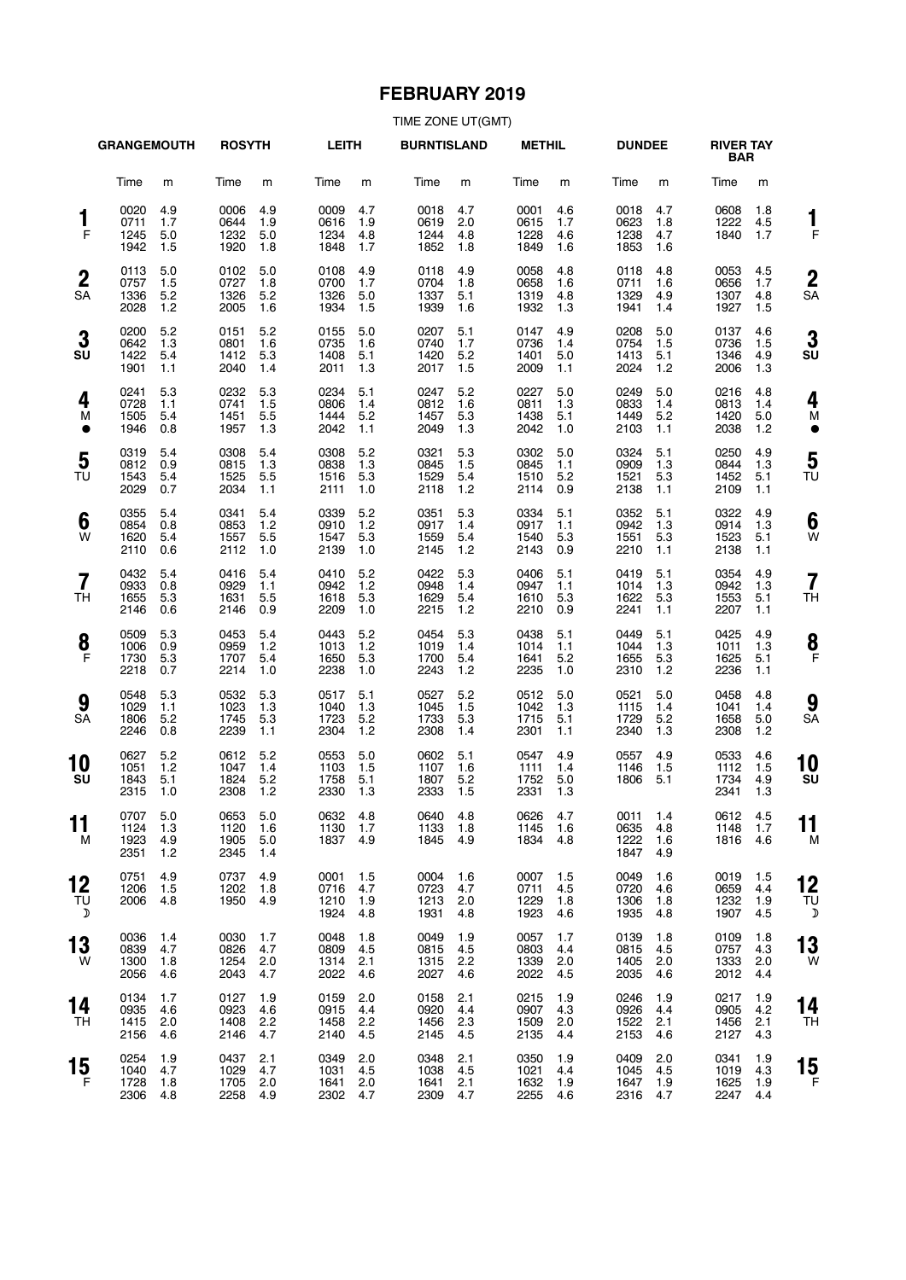### **FEBRUARY 2019**

|                           | <b>GRANGEMOUTH</b>               |                          | <b>ROSYTH</b>                    |                          | <b>LEITH</b>                     |                          | <b>BURNTISLAND</b>           |                            | <b>METHIL</b>                |                          | <b>DUNDEE</b>                    |                          | <b>RIVER TAY</b><br><b>BAR</b>   |                          |                        |
|---------------------------|----------------------------------|--------------------------|----------------------------------|--------------------------|----------------------------------|--------------------------|------------------------------|----------------------------|------------------------------|--------------------------|----------------------------------|--------------------------|----------------------------------|--------------------------|------------------------|
|                           | Time                             | m                        | Time                             | m                        | Time                             | m                        | Time                         | m                          | Time                         | m                        | Time                             | m                        | Time                             | m                        |                        |
| 1<br>F                    | 0020<br>0711<br>1245<br>1942     | 4.9<br>1.7<br>5.0<br>1.5 | 0006<br>0644<br>1232<br>1920     | 4.9<br>1.9<br>5.0<br>1.8 | 0009<br>0616<br>1234<br>1848     | 4.7<br>1.9<br>4.8<br>1.7 | 0018<br>0619<br>1244<br>1852 | 4.7<br>2.0<br>4.8<br>1.8   | 0001<br>0615<br>1228<br>1849 | 4.6<br>1.7<br>4.6<br>1.6 | 0018<br>0623<br>1238<br>1853     | 4.7<br>1.8<br>4.7<br>1.6 | 0608<br>1222<br>1840             | 1.8<br>4.5<br>1.7        | F                      |
| $\boldsymbol{2}$<br>SA    | 0113<br>0757<br>1336<br>2028     | 5.0<br>1.5<br>5.2<br>1.2 | 0102<br>0727<br>1326<br>2005     | 5.0<br>1.8<br>5.2<br>1.6 | 0108<br>0700<br>1326<br>1934     | 4.9<br>1.7<br>5.0<br>1.5 | 0118<br>0704<br>1337<br>1939 | 4.9<br>1.8<br>5.1<br>1.6   | 0058<br>0658<br>1319<br>1932 | 4.8<br>1.6<br>4.8<br>1.3 | 0118<br>0711<br>1329<br>1941     | 4.8<br>1.6<br>4.9<br>1.4 | 0053<br>0656<br>1307<br>1927     | 4.5<br>1.7<br>4.8<br>1.5 | $\boldsymbol{2}$<br>SΑ |
| 3<br>SU                   | 0200<br>0642<br>1422<br>1901     | 5.2<br>1.3<br>5.4<br>1.1 | 0151<br>0801<br>1412<br>2040     | 5.2<br>1.6<br>5.3<br>1.4 | 0155<br>0735<br>1408<br>2011     | 5.0<br>1.6<br>5.1<br>1.3 | 0207<br>0740<br>1420<br>2017 | 5.1<br>1.7<br>5.2<br>1.5   | 0147<br>0736<br>1401<br>2009 | 4.9<br>1.4<br>5.0<br>1.1 | 0208<br>0754<br>1413<br>2024     | 5.0<br>1.5<br>5.1<br>1.2 | 0137<br>0736<br>1346<br>2006     | 4.6<br>1.5<br>4.9<br>1.3 | 3<br>SU                |
| 4<br>М                    | 0241<br>0728<br>1505<br>1946     | 5.3<br>1.1<br>5.4<br>0.8 | 0232<br>0741<br>1451<br>1957     | 5.3<br>1.5<br>5.5<br>1.3 | 0234<br>0806<br>1444<br>2042     | 5.1<br>1.4<br>5.2<br>1.1 | 0247<br>0812<br>1457<br>2049 | 5.2<br>1.6<br>5.3<br>1.3   | 0227<br>0811<br>1438<br>2042 | 5.0<br>1.3<br>5.1<br>1.0 | 0249<br>0833<br>1449<br>2103     | 5.0<br>1.4<br>5.2<br>1.1 | 0216<br>0813<br>1420<br>2038     | 4.8<br>1.4<br>5.0<br>1.2 | 4<br>M<br>€            |
| 5<br>TU                   | 0319<br>0812<br>1543<br>2029     | 5.4<br>0.9<br>5.4<br>0.7 | 0308<br>0815<br>1525<br>2034     | 5.4<br>1.3<br>5.5<br>1.1 | 0308<br>0838<br>1516<br>2111     | 5.2<br>1.3<br>5.3<br>1.0 | 0321<br>0845<br>1529<br>2118 | 5.3<br>1.5<br>5.4<br>$1.2$ | 0302<br>0845<br>1510<br>2114 | 5.0<br>1.1<br>5.2<br>0.9 | 0324<br>0909<br>1521<br>2138     | 5.1<br>1.3<br>5.3<br>1.1 | 0250<br>0844<br>1452<br>2109     | 4.9<br>1.3<br>5.1<br>1.1 | 5<br>ΤU                |
| 6<br>W                    | 0355<br>0854<br>1620<br>2110     | 5.4<br>0.8<br>5.4<br>0.6 | 0341<br>0853<br>1557<br>2112     | 5.4<br>1.2<br>5.5<br>1.0 | 0339<br>0910<br>1547<br>2139     | 5.2<br>1.2<br>5.3<br>1.0 | 0351<br>0917<br>1559<br>2145 | 5.3<br>1.4<br>5.4<br>1.2   | 0334<br>0917<br>1540<br>2143 | 5.1<br>1.1<br>5.3<br>0.9 | 0352<br>0942<br>1551<br>2210     | 5.1<br>1.3<br>5.3<br>1.1 | 0322<br>0914<br>1523<br>2138     | 4.9<br>1.3<br>5.1<br>1.1 | 6<br>W                 |
| 7<br>TН                   | 0432<br>0933<br>1655<br>2146     | 5.4<br>0.8<br>5.3<br>0.6 | 0416<br>0929<br>1631<br>2146     | 5.4<br>1.1<br>5.5<br>0.9 | 0410<br>0942<br>1618<br>2209     | 5.2<br>1.2<br>5.3<br>1.0 | 0422<br>0948<br>1629<br>2215 | 5.3<br>1.4<br>5.4<br>1.2   | 0406<br>0947<br>1610<br>2210 | 5.1<br>1.1<br>5.3<br>0.9 | 0419<br>1014<br>1622<br>2241     | 5.1<br>1.3<br>5.3<br>1.1 | 0354<br>0942<br>1553<br>2207     | 4.9<br>1.3<br>5.1<br>1.1 | 7<br>TН                |
| 8<br>F                    | 0509<br>1006<br>1730<br>2218     | 5.3<br>0.9<br>5.3<br>0.7 | 0453<br>0959<br>1707<br>2214     | 5.4<br>1.2<br>5.4<br>1.0 | 0443<br>1013<br>1650<br>2238     | 5.2<br>1.2<br>5.3<br>1.0 | 0454<br>1019<br>1700<br>2243 | 5.3<br>1.4<br>5.4<br>1.2   | 0438<br>1014<br>1641<br>2235 | 5.1<br>1.1<br>5.2<br>1.0 | 0449<br>1044<br>1655<br>2310     | 5.1<br>1.3<br>5.3<br>1.2 | 0425<br>1011<br>1625<br>2236     | 4.9<br>1.3<br>5.1<br>1.1 | 8<br>F                 |
| 9<br><b>SA</b>            | 0548<br>1029<br>1806<br>2246     | 5.3<br>1.1<br>5.2<br>0.8 | 0532<br>1023<br>1745<br>2239     | 5.3<br>1.3<br>5.3<br>1.1 | 0517<br>1040<br>1723<br>2304     | 5.1<br>1.3<br>5.2<br>1.2 | 0527<br>1045<br>1733<br>2308 | 5.2<br>1.5<br>5.3<br>1.4   | 0512<br>1042<br>1715<br>2301 | 5.0<br>1.3<br>5.1<br>1.1 | 0521<br>1115<br>1729<br>2340     | 5.0<br>1.4<br>5.2<br>1.3 | 0458<br>1041<br>1658<br>2308     | 4.8<br>1.4<br>5.0<br>1.2 | 9<br>SΑ                |
| 10<br>SU                  | 0627<br>1051<br>1843<br>2315     | 5.2<br>1.2<br>5.1<br>1.0 | 0612<br>1047<br>1824<br>2308     | 5.2<br>1.4<br>5.2<br>1.2 | 0553<br>1103<br>1758<br>2330     | 5.0<br>1.5<br>5.1<br>1.3 | 0602<br>1107<br>1807<br>2333 | 5.1<br>1.6<br>5.2<br>1.5   | 0547<br>1111<br>1752<br>2331 | 4.9<br>1.4<br>5.0<br>1.3 | 0557<br>1146<br>1806             | 4.9<br>1.5<br>5.1        | 0533<br>1112<br>1734<br>2341     | 4.6<br>1.5<br>4.9<br>1.3 | 10<br>SU               |
| . .<br>11<br>м            | 0707 5.0<br>1124<br>1923<br>2351 | 1.3<br>4.9<br>1.2        | 0653 5.0<br>1120<br>1905<br>2345 | 1.6<br>5.0<br>1.4        | 0632 4.8<br>1130<br>1837         | 1.7<br>4.9               | 0640 4.8<br>1133<br>1845     | 1.8<br>4.9                 | 0626 4.7<br>1145<br>1834     | 1.6<br>4.8               | 0011 1.4<br>0635<br>1222<br>1847 | 4.8<br>1.6<br>4.9        | 0612 4.5<br>1148<br>1816         | 1.7<br>4.6               | . .<br>11<br>M         |
| 12<br>TU<br>$\mathcal{D}$ | 0751<br>1206<br>2006             | 4.9<br>1.5<br>4.8        | 0737<br>1202<br>1950             | 4.9<br>1.8<br>4.9        | 0001<br>0716<br>1210<br>1924     | 1.5<br>4.7<br>1.9<br>4.8 | 0004<br>0723<br>1213<br>1931 | 1.6<br>4.7<br>2.0<br>4.8   | 0007<br>0711<br>1229<br>1923 | 1.5<br>4.5<br>1.8<br>4.6 | 0049<br>0720<br>1306<br>1935     | 1.6<br>4.6<br>1.8<br>4.8 | 0019<br>0659<br>1232<br>1907     | 1.5<br>4.4<br>1.9<br>4.5 | 12<br>ТU<br>J          |
| 13<br>W                   | 0036<br>0839<br>1300<br>2056     | 1.4<br>4.7<br>1.8<br>4.6 | 0030<br>0826<br>1254<br>2043     | 1.7<br>4.7<br>2.0<br>4.7 | 0048<br>0809<br>1314<br>2022     | 1.8<br>4.5<br>2.1<br>4.6 | 0049<br>0815<br>1315<br>2027 | 1.9<br>4.5<br>2.2<br>4.6   | 0057<br>0803<br>1339<br>2022 | 1.7<br>4.4<br>2.0<br>4.5 | 0139<br>0815<br>1405<br>2035     | 1.8<br>4.5<br>2.0<br>4.6 | 0109<br>0757<br>1333<br>2012     | 1.8<br>4.3<br>2.0<br>4.4 | 13<br>W                |
| 14<br>TН                  | 0134<br>0935<br>1415<br>2156     | 1.7<br>4.6<br>2.0<br>4.6 | 0127<br>0923<br>1408<br>2146     | 1.9<br>4.6<br>2.2<br>4.7 | 0159<br>0915<br>1458<br>2140     | 2.0<br>4.4<br>2.2<br>4.5 | 0158<br>0920<br>1456<br>2145 | 2.1<br>4.4<br>2.3<br>4.5   | 0215<br>0907<br>1509<br>2135 | 1.9<br>4.3<br>2.0<br>4.4 | 0246<br>0926<br>1522<br>2153     | 1.9<br>4.4<br>2.1<br>4.6 | 0217<br>0905<br>1456<br>2127     | 1.9<br>4.2<br>2.1<br>4.3 | 14<br>TΗ               |
| 15<br>F                   | 0254<br>1040<br>1728<br>2306     | 1.9<br>4.7<br>1.8<br>4.8 | 0437<br>1029<br>1705<br>2258     | 2.1<br>4.7<br>2.0<br>4.9 | 0349<br>1031<br>1641<br>2302 4.7 | 2.0<br>4.5<br>2.0        | 0348<br>1038<br>1641<br>2309 | 2.1<br>4.5<br>2.1<br>4.7   | 0350<br>1021<br>1632<br>2255 | 1.9<br>4.4<br>1.9<br>4.6 | 0409<br>1045<br>1647<br>2316 4.7 | 2.0<br>4.5<br>1.9        | 0341<br>1019<br>1625<br>2247 4.4 | 1.9<br>4.3<br>1.9        | 15<br>F                |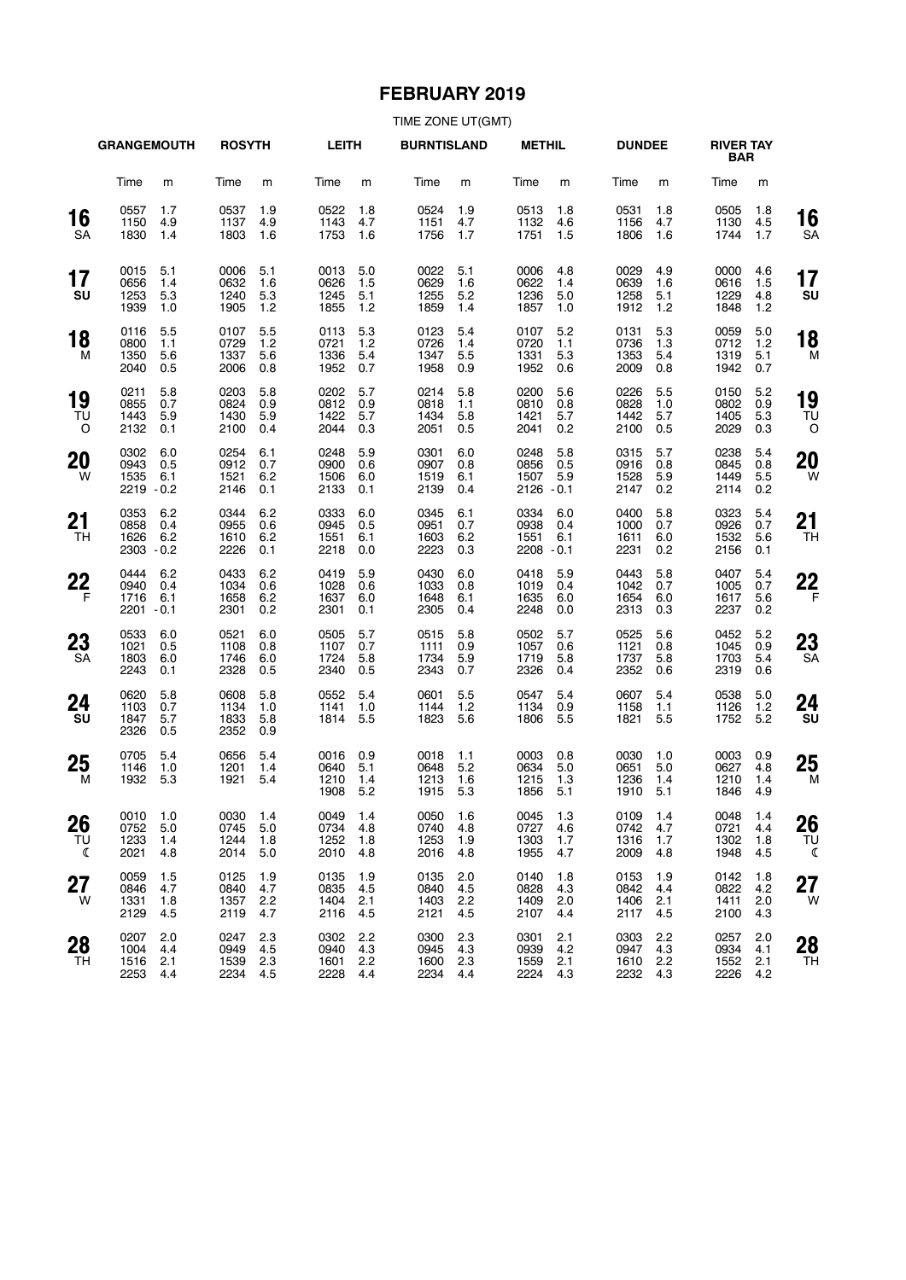# **FEBRUARY 2019**

|                 | <b>GRANGEMOUTH</b>                   |                             | <b>ROSYTH</b>                    |                              | <b>LEITH</b>                     |                          | <b>BURNTISLAND</b>               |                          | <b>METHIL</b>                        |                          | <b>DUNDEE</b>                |                            | <b>RIVER TAY</b><br><b>BAR</b> |                          |                 |
|-----------------|--------------------------------------|-----------------------------|----------------------------------|------------------------------|----------------------------------|--------------------------|----------------------------------|--------------------------|--------------------------------------|--------------------------|------------------------------|----------------------------|--------------------------------|--------------------------|-----------------|
|                 | Time                                 | m                           | Time                             | m                            | Time                             | m                        | Time                             | m                        | Time                                 | m                        | Time                         | m                          | Time                           | m                        |                 |
| 16<br><b>SA</b> | 0557<br>1150<br>1830                 | 1.7<br>4.9<br>1.4           | 0537<br>1137<br>1803             | 1.9<br>4.9<br>1.6            | 0522<br>1143<br>1753             | 1.8<br>4.7<br>1.6        | 0524<br>1151<br>1756             | 1.9<br>4.7<br>1.7        | 0513<br>1132<br>1751                 | 1.8<br>4.6<br>1.5        | 0531<br>1156<br>1806         | 1.8<br>4.7<br>1.6          | 0505<br>1130<br>1744           | 1.8<br>4.5<br>1.7        | 16<br><b>SA</b> |
| 17<br>SU        | 0015<br>0656<br>1253<br>1939         | 5.1<br>1.4<br>5.3<br>1.0    | 0006<br>0632<br>1240<br>1905     | 5.1<br>1.6<br>5.3<br>1.2     | 0013<br>0626<br>1245<br>1855     | 5.0<br>1.5<br>5.1<br>1.2 | 0022<br>0629<br>1255<br>1859     | 5.1<br>1.6<br>5.2<br>1.4 | 0006<br>0622<br>1236<br>1857         | 4.8<br>1.4<br>5.0<br>1.0 | 0029<br>0639<br>1258<br>1912 | 4.9<br>1.6<br>5.1<br>$1.2$ | 0000<br>0616<br>1229<br>1848   | 4.6<br>1.5<br>4.8<br>1.2 | 17<br>SU        |
| 18<br>M         | 0116<br>0800<br>1350<br>2040         | 5.5<br>1.1<br>5.6<br>0.5    | 0107<br>0729<br>1337<br>2006     | 5.5<br>1.2<br>5.6<br>0.8     | 0113<br>0721<br>1336<br>1952     | 5.3<br>1.2<br>5.4<br>0.7 | 0123<br>0726<br>1347<br>1958     | 5.4<br>1.4<br>5.5<br>0.9 | 0107<br>0720<br>1331<br>1952         | 5.2<br>1.1<br>5.3<br>0.6 | 0131<br>0736<br>1353<br>2009 | 5.3<br>1.3<br>5.4<br>0.8   | 0059<br>0712<br>1319<br>1942   | 5.0<br>1.2<br>5.1<br>0.7 | 18<br>M         |
| 19<br>TU<br>O   | 0211<br>0855<br>1443<br>2132         | 5.8<br>0.7<br>5.9<br>0.1    | 0203<br>0824<br>1430<br>2100     | 5.8<br>0.9<br>5.9<br>0.4     | 0202<br>0812<br>1422<br>2044     | 5.7<br>0.9<br>5.7<br>0.3 | 0214<br>0818<br>1434<br>2051     | 5.8<br>1.1<br>5.8<br>0.5 | 0200<br>0810<br>1421<br>2041         | 5.6<br>0.8<br>5.7<br>0.2 | 0226<br>0828<br>1442<br>2100 | 5.5<br>1.0<br>5.7<br>0.5   | 0150<br>0802<br>1405<br>2029   | 5.2<br>0.9<br>5.3<br>0.3 | 19<br>TU<br>O   |
| 20<br>W         | 0302<br>0943<br>1535<br>$2219 - 0.2$ | 6.0<br>0.5<br>6.1           | 0254<br>0912<br>1521<br>2146     | 6.1<br>0.7<br>6.2<br>0.1     | 0248<br>0900<br>1506<br>2133     | 5.9<br>0.6<br>6.0<br>0.1 | 0301<br>0907<br>1519<br>2139     | 6.0<br>0.8<br>6.1<br>0.4 | 0248<br>0856<br>1507<br>$2126 - 0.1$ | 5.8<br>0.5<br>5.9        | 0315<br>0916<br>1528<br>2147 | 5.7<br>0.8<br>5.9<br>0.2   | 0238<br>0845<br>1449<br>2114   | 5.4<br>0.8<br>5.5<br>0.2 | 20<br>W         |
| 21<br>TH        | 0353<br>0858<br>1626<br>$2303 - 0.2$ | 6.2<br>0.4<br>6.2           | 0344<br>0955<br>1610<br>2226     | 6.2<br>0.6<br>6.2<br>0.1     | 0333<br>0945<br>1551<br>2218     | 6.0<br>0.5<br>6.1<br>0.0 | 0345<br>0951<br>1603<br>2223     | 6.1<br>0.7<br>6.2<br>0.3 | 0334<br>0938<br>1551<br>$2208 - 0.1$ | 6.0<br>0.4<br>6.1        | 0400<br>1000<br>1611<br>2231 | 5.8<br>0.7<br>6.0<br>0.2   | 0323<br>0926<br>1532<br>2156   | 5.4<br>0.7<br>5.6<br>0.1 | 21<br><b>TH</b> |
| 22<br>F         | 0444<br>0940<br>1716<br>2201         | 6.2<br>0.4<br>6.1<br>$-0.1$ | 0433<br>1034<br>1658<br>2301     | 6.2<br>0.6<br>6.2<br>0.2     | 0419<br>1028<br>1637<br>2301     | 5.9<br>0.6<br>6.0<br>0.1 | 0430<br>1033<br>1648<br>2305     | 6.0<br>0.8<br>6.1<br>0.4 | 0418<br>1019<br>1635<br>2248         | 5.9<br>0.4<br>6.0<br>0.0 | 0443<br>1042<br>1654<br>2313 | 5.8<br>0.7<br>6.0<br>0.3   | 0407<br>1005<br>1617<br>2237   | 5.4<br>0.7<br>5.6<br>0.2 | 22<br>F         |
| 23<br><b>SA</b> | 0533<br>1021<br>1803<br>2243         | 6.0<br>0.5<br>6.0<br>0.1    | 0521<br>1108<br>1746<br>2328     | 6.0<br>0.8<br>6.0<br>0.5     | 0505<br>1107<br>1724<br>2340     | 5.7<br>0.7<br>5.8<br>0.5 | 0515<br>1111<br>1734<br>2343     | 5.8<br>0.9<br>5.9<br>0.7 | 0502<br>1057<br>1719<br>2326         | 5.7<br>0.6<br>5.8<br>0.4 | 0525<br>1121<br>1737<br>2352 | 5.6<br>0.8<br>5.8<br>0.6   | 0452<br>1045<br>1703<br>2319   | 5.2<br>0.9<br>5.4<br>0.6 | 23<br><b>SA</b> |
| 24<br>SU        | 0620<br>1103<br>1847<br>2326         | 5.8<br>0.7<br>5.7<br>0.5    | 0608<br>1134<br>1833<br>2352     | 5.8<br>1.0<br>5.8<br>0.9     | 0552<br>1141<br>1814             | 5.4<br>1.0<br>5.5        | 0601<br>1144<br>1823             | 5.5<br>1.2<br>5.6        | 0547<br>1134<br>1806                 | 5.4<br>0.9<br>5.5        | 0607<br>1158<br>1821         | 5.4<br>1.1<br>5.5          | 0538<br>1126<br>1752           | $5.0\,$<br>1.2<br>5.2    | 24<br>SU        |
| 25<br>м         | 0705<br>1146<br>1932                 | 5.4<br>1.0<br>5.3           | 0656<br>1201<br>1921             | 5.4<br>1.4<br>5.4            | 0016<br>0640<br>1210<br>1908     | 0.9<br>5.1<br>1.4<br>5.2 | 0018<br>0648<br>1213<br>1915     | 1.1<br>5.2<br>1.6<br>5.3 | 0003<br>0634<br>1215<br>1856         | 0.8<br>5.0<br>1.3<br>5.1 | 0030<br>0651<br>1236<br>1910 | 1.0<br>5.0<br>1.4<br>5.1   | 0003<br>0627<br>1210<br>1846   | 0.9<br>4.8<br>1.4<br>4.9 | 25<br>M         |
| 26<br>TU<br>ℭ   | 0010<br>0752<br>1233<br>2021         | 1.0<br>5.0<br>1.4<br>4.8    | 0030 1.4<br>0745<br>1244<br>2014 | 5.0<br>1.8<br>5.0            | 0049 1.4<br>0734<br>1252<br>2010 | -4.8<br>1.8<br>4.8       | 0050 1.6<br>0740<br>1253<br>2016 | 4.8<br>1.9<br>4.8        | 0045 1.3<br>0727<br>1303<br>1955     | 4.6<br>1.7<br>4.7        | 0109<br>0742<br>1316<br>2009 | 1.4<br>4.7<br>1.7<br>4.8   | 0048<br>0721<br>1302<br>1948   | 1.4<br>4.4<br>1.8<br>4.5 | 26<br>TU<br>€   |
| 27<br>W         | 0059<br>0846<br>1331<br>2129         | 1.5<br>4.7<br>1.8<br>4.5    | 0125<br>0840<br>1357<br>2119     | 1.9<br>4.7<br>2.2<br>4.7     | 0135<br>0835<br>1404<br>2116     | 1.9<br>4.5<br>2.1<br>4.5 | 0135<br>0840<br>1403<br>2121     | 2.0<br>4.5<br>2.2<br>4.5 | 0140<br>0828<br>1409<br>2107         | 1.8<br>4.3<br>2.0<br>4.4 | 0153<br>0842<br>1406<br>2117 | 1.9<br>4.4<br>2.1<br>4.5   | 0142<br>0822<br>1411<br>2100   | 1.8<br>4.2<br>2.0<br>4.3 | 27<br>W         |
| 28<br>TH        | 0207<br>1004<br>1516<br>2253         | 2.0<br>4.4<br>2.1<br>4.4    | 0247<br>0949<br>1539<br>2234     | $2.3\,$<br>4.5<br>2.3<br>4.5 | 0302<br>0940<br>1601<br>2228     | 2.2<br>4.3<br>2.2<br>4.4 | 0300<br>0945<br>1600<br>2234     | 2.3<br>4.3<br>2.3<br>4.4 | 0301<br>0939<br>1559<br>2224         | 2.1<br>4.2<br>2.1<br>4.3 | 0303<br>0947<br>1610<br>2232 | 2.2<br>4.3<br>2.2<br>4.3   | 0257<br>0934<br>1552<br>2226   | 2.0<br>4.1<br>2.1<br>4.2 | 28<br>TН        |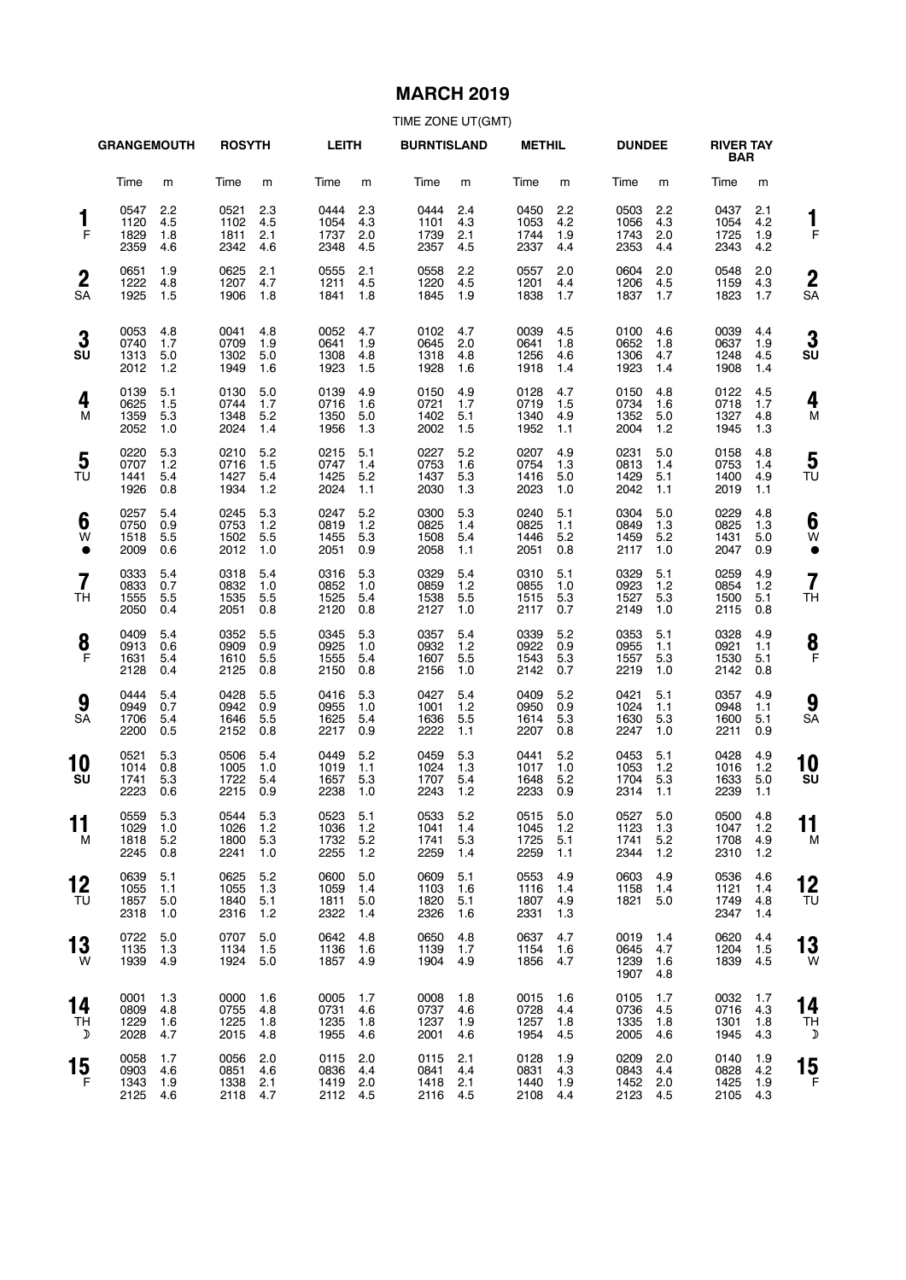### **MARCH 2019**

|                               | <b>GRANGEMOUTH</b>               |                          | <b>ROSYTH</b>                    |                          | <b>LEITH</b>                     |                          | <b>BURNTISLAND</b>               |                          | <b>METHIL</b>                    |                          | <b>DUNDEE</b>                    |                          | <b>RIVER TAY</b><br><b>BAR</b> |                            |                      |
|-------------------------------|----------------------------------|--------------------------|----------------------------------|--------------------------|----------------------------------|--------------------------|----------------------------------|--------------------------|----------------------------------|--------------------------|----------------------------------|--------------------------|--------------------------------|----------------------------|----------------------|
|                               | Time                             | m                        | Time                             | m                        | Time                             | m                        | Time                             | m                        | Time                             | m                        | Time                             | m                        | Time                           | m                          |                      |
| 1<br>F                        | 0547<br>1120<br>1829<br>2359     | 2.2<br>4.5<br>1.8<br>4.6 | 0521<br>1102<br>1811<br>2342     | 2.3<br>4.5<br>2.1<br>4.6 | 0444<br>1054<br>1737<br>2348     | 2.3<br>4.3<br>2.0<br>4.5 | 0444<br>1101<br>1739<br>2357     | 2.4<br>4.3<br>2.1<br>4.5 | 0450<br>1053<br>1744<br>2337     | 2.2<br>4.2<br>1.9<br>4.4 | 0503<br>1056<br>1743<br>2353     | 2.2<br>4.3<br>2.0<br>4.4 | 0437<br>1054<br>1725<br>2343   | 2.1<br>4.2<br>1.9<br>4.2   | 1<br>F               |
| $\boldsymbol{2}$<br><b>SA</b> | 0651<br>1222<br>1925             | 1.9<br>4.8<br>1.5        | 0625<br>1207<br>1906             | 2.1<br>4.7<br>1.8        | 0555<br>1211<br>1841             | 2.1<br>4.5<br>1.8        | 0558<br>1220<br>1845             | 2.2<br>4.5<br>1.9        | 0557<br>1201<br>1838             | 2.0<br>4.4<br>1.7        | 0604<br>1206<br>1837             | 2.0<br>4.5<br>1.7        | 0548<br>1159<br>1823           | 2.0<br>4.3<br>1.7          | $\overline{2}$<br>SA |
| 3<br>SU                       | 0053<br>0740<br>1313<br>2012     | 4.8<br>1.7<br>5.0<br>1.2 | 0041<br>0709<br>1302<br>1949     | 4.8<br>1.9<br>5.0<br>1.6 | 0052<br>0641<br>1308<br>1923     | 4.7<br>1.9<br>4.8<br>1.5 | 0102<br>0645<br>1318<br>1928     | 4.7<br>2.0<br>4.8<br>1.6 | 0039<br>0641<br>1256<br>1918     | 4.5<br>1.8<br>4.6<br>1.4 | 0100<br>0652<br>1306<br>1923     | 4.6<br>1.8<br>4.7<br>1.4 | 0039<br>0637<br>1248<br>1908   | 4.4<br>1.9<br>4.5<br>1.4   | 3<br>SU              |
| 4<br>М                        | 0139<br>0625<br>1359<br>2052     | 5.1<br>1.5<br>5.3<br>1.0 | 0130<br>0744<br>1348<br>2024     | 5.0<br>1.7<br>5.2<br>1.4 | 0139<br>0716<br>1350<br>1956     | 4.9<br>1.6<br>5.0<br>1.3 | 0150<br>0721<br>1402<br>2002     | 4.9<br>1.7<br>5.1<br>1.5 | 0128<br>0719<br>1340<br>1952     | 4.7<br>1.5<br>4.9<br>1.1 | 0150<br>0734<br>1352<br>2004     | 4.8<br>1.6<br>5.0<br>1.2 | 0122<br>0718<br>1327<br>1945   | 4.5<br>1.7<br>4.8<br>1.3   | 4<br>M               |
| 5<br>TU                       | 0220<br>0707<br>1441<br>1926     | 5.3<br>1.2<br>5.4<br>0.8 | 0210<br>0716<br>1427<br>1934     | 5.2<br>1.5<br>5.4<br>1.2 | 0215<br>0747<br>1425<br>2024     | 5.1<br>1.4<br>5.2<br>1.1 | 0227<br>0753<br>1437<br>2030     | 5.2<br>1.6<br>5.3<br>1.3 | 0207<br>0754<br>1416<br>2023     | 4.9<br>1.3<br>5.0<br>1.0 | 0231<br>0813<br>1429<br>2042     | 5.0<br>1.4<br>5.1<br>1.1 | 0158<br>0753<br>1400<br>2019   | 4.8<br>1.4<br>4.9<br>1.1   | 5<br>ΤU              |
| 6<br>W<br>$\bullet$           | 0257<br>0750<br>1518<br>2009     | 5.4<br>0.9<br>5.5<br>0.6 | 0245<br>0753<br>1502<br>2012     | 5.3<br>1.2<br>5.5<br>1.0 | 0247<br>0819<br>1455<br>2051     | 5.2<br>1.2<br>5.3<br>0.9 | 0300<br>0825<br>1508<br>2058     | 5.3<br>1.4<br>5.4<br>1.1 | 0240<br>0825<br>1446<br>2051     | 5.1<br>1.1<br>5.2<br>0.8 | 0304<br>0849<br>1459<br>2117     | 5.0<br>1.3<br>5.2<br>1.0 | 0229<br>0825<br>1431<br>2047   | 4.8<br>1.3<br>5.0<br>0.9   | 6<br>W<br>€          |
| $\overline{7}$<br><b>TH</b>   | 0333<br>0833<br>1555<br>2050     | 5.4<br>0.7<br>5.5<br>0.4 | 0318<br>0832<br>1535<br>2051     | 5.4<br>1.0<br>5.5<br>0.8 | 0316<br>0852<br>1525<br>2120     | 5.3<br>1.0<br>5.4<br>0.8 | 0329<br>0859<br>1538<br>2127     | 5.4<br>1.2<br>5.5<br>1.0 | 0310<br>0855<br>1515<br>2117     | 5.1<br>1.0<br>5.3<br>0.7 | 0329<br>0923<br>1527<br>2149     | 5.1<br>1.2<br>5.3<br>1.0 | 0259<br>0854<br>1500<br>2115   | 4.9<br>1.2<br>5.1<br>0.8   | 7<br>ΤH              |
| 8<br>F                        | 0409<br>0913<br>1631<br>2128     | 5.4<br>0.6<br>5.4<br>0.4 | 0352<br>0909<br>1610<br>2125     | 5.5<br>0.9<br>5.5<br>0.8 | 0345<br>0925<br>1555<br>2150     | 5.3<br>1.0<br>5.4<br>0.8 | 0357<br>0932<br>1607<br>2156     | 5.4<br>1.2<br>5.5<br>1.0 | 0339<br>0922<br>1543<br>2142     | 5.2<br>0.9<br>5.3<br>0.7 | 0353<br>0955<br>1557<br>2219     | 5.1<br>1.1<br>5.3<br>1.0 | 0328<br>0921<br>1530<br>2142   | 4.9<br>1.1<br>5.1<br>0.8   | 8<br>F               |
| 9<br><b>SA</b>                | 0444<br>0949<br>1706<br>2200     | 5.4<br>0.7<br>5.4<br>0.5 | 0428<br>0942<br>1646<br>2152     | 5.5<br>0.9<br>5.5<br>0.8 | 0416<br>0955<br>1625<br>2217     | 5.3<br>1.0<br>5.4<br>0.9 | 0427<br>1001<br>1636<br>2222     | 5.4<br>1.2<br>5.5<br>1.1 | 0409<br>0950<br>1614<br>2207     | 5.2<br>0.9<br>5.3<br>0.8 | 0421<br>1024<br>1630<br>2247     | 5.1<br>1.1<br>5.3<br>1.0 | 0357<br>0948<br>1600<br>2211   | 4.9<br>1.1<br>5.1<br>0.9   | 9<br>SA              |
| 10<br>SU                      | 0521<br>1014<br>1741<br>2223     | 5.3<br>0.8<br>5.3<br>0.6 | 0506<br>1005<br>1722<br>2215     | 5.4<br>1.0<br>5.4<br>0.9 | 0449<br>1019<br>1657<br>2238     | 5.2<br>1.1<br>5.3<br>1.0 | 0459<br>1024<br>1707<br>2243     | 5.3<br>1.3<br>5.4<br>1.2 | 0441<br>1017<br>1648<br>2233     | 5.2<br>1.0<br>5.2<br>0.9 | 0453<br>1053<br>1704<br>2314     | 5.1<br>1.2<br>5.3<br>1.1 | 0428<br>1016<br>1633<br>2239   | 4.9<br>1.2<br>5.0<br>1.1   | 10<br>SU             |
| 11<br>M                       | 0559 5.3<br>1029<br>1818<br>2245 | 1.0<br>5.2<br>0.8        | 0544 5.3<br>1026<br>1800<br>2241 | 1.2<br>5.3<br>1.0        | 0523 5.1<br>1036<br>1732<br>2255 | 1.2<br>5.2<br>1.2        | 0533 5.2<br>1041<br>1741<br>2259 | 1.4<br>5.3<br>1.4        | 0515 5.0<br>1045<br>1725<br>2259 | 1.2<br>5.1<br>1.1        | 0527 5.0<br>1123<br>1741<br>2344 | 1.3<br>$5.2$<br>1.2      | 0500<br>1047<br>1708<br>2310   | 4.8<br>1.2<br>4.9<br>$1.2$ | 11<br>M              |
| 12<br>TU                      | 0639<br>1055<br>1857<br>2318     | 5.1<br>1.1<br>5.0<br>1.0 | 0625<br>1055<br>1840<br>2316     | 5.2<br>1.3<br>5.1<br>1.2 | 0600<br>1059<br>1811<br>2322     | 5.0<br>1.4<br>5.0<br>1.4 | 0609<br>1103<br>1820<br>2326     | 5.1<br>1.6<br>5.1<br>1.6 | 0553<br>1116<br>1807<br>2331     | 4.9<br>1.4<br>4.9<br>1.3 | 0603<br>1158<br>1821             | 4.9<br>1.4<br>5.0        | 0536<br>1121<br>1749<br>2347   | 4.6<br>1.4<br>4.8<br>1.4   | 12<br>ТU             |
| 13<br>W                       | 0722<br>1135<br>1939             | 5.0<br>1.3<br>4.9        | 0707<br>1134<br>1924             | 5.0<br>1.5<br>5.0        | 0642<br>1136<br>1857             | 4.8<br>1.6<br>4.9        | 0650<br>1139<br>1904             | 4.8<br>1.7<br>4.9        | 0637<br>1154<br>1856             | 4.7<br>1.6<br>4.7        | 0019<br>0645<br>1239<br>1907     | 1.4<br>4.7<br>1.6<br>4.8 | 0620<br>1204<br>1839           | 4.4<br>1.5<br>4.5          | 13<br>W              |
| 14<br>TH<br>D                 | 0001<br>0809<br>1229<br>2028     | 1.3<br>4.8<br>1.6<br>4.7 | 0000<br>0755<br>1225<br>2015     | 1.6<br>4.8<br>1.8<br>4.8 | 0005<br>0731<br>1235<br>1955     | 1.7<br>4.6<br>1.8<br>4.6 | 0008<br>0737<br>1237<br>2001     | 1.8<br>4.6<br>1.9<br>4.6 | 0015<br>0728<br>1257<br>1954     | 1.6<br>4.4<br>1.8<br>4.5 | 0105<br>0736<br>1335<br>2005     | 1.7<br>4.5<br>1.8<br>4.6 | 0032<br>0716<br>1301<br>1945   | 1.7<br>4.3<br>1.8<br>4.3   | 14<br>TH<br>J        |
| 15<br>F                       | 0058<br>0903<br>1343<br>2125     | 1.7<br>4.6<br>1.9<br>4.6 | 0056<br>0851<br>1338<br>2118 4.7 | 2.0<br>4.6<br>2.1        | 0115<br>0836<br>1419<br>2112 4.5 | 2.0<br>4.4<br>2.0        | 0115<br>0841<br>1418<br>2116 4.5 | 2.1<br>4.4<br>2.1        | 0128<br>0831<br>1440<br>2108     | 1.9<br>4.3<br>1.9<br>4.4 | 0209<br>0843<br>1452<br>2123     | 2.0<br>4.4<br>2.0<br>4.5 | 0140<br>0828<br>1425<br>2105   | 1.9<br>4.2<br>1.9<br>4.3   | 15<br>F              |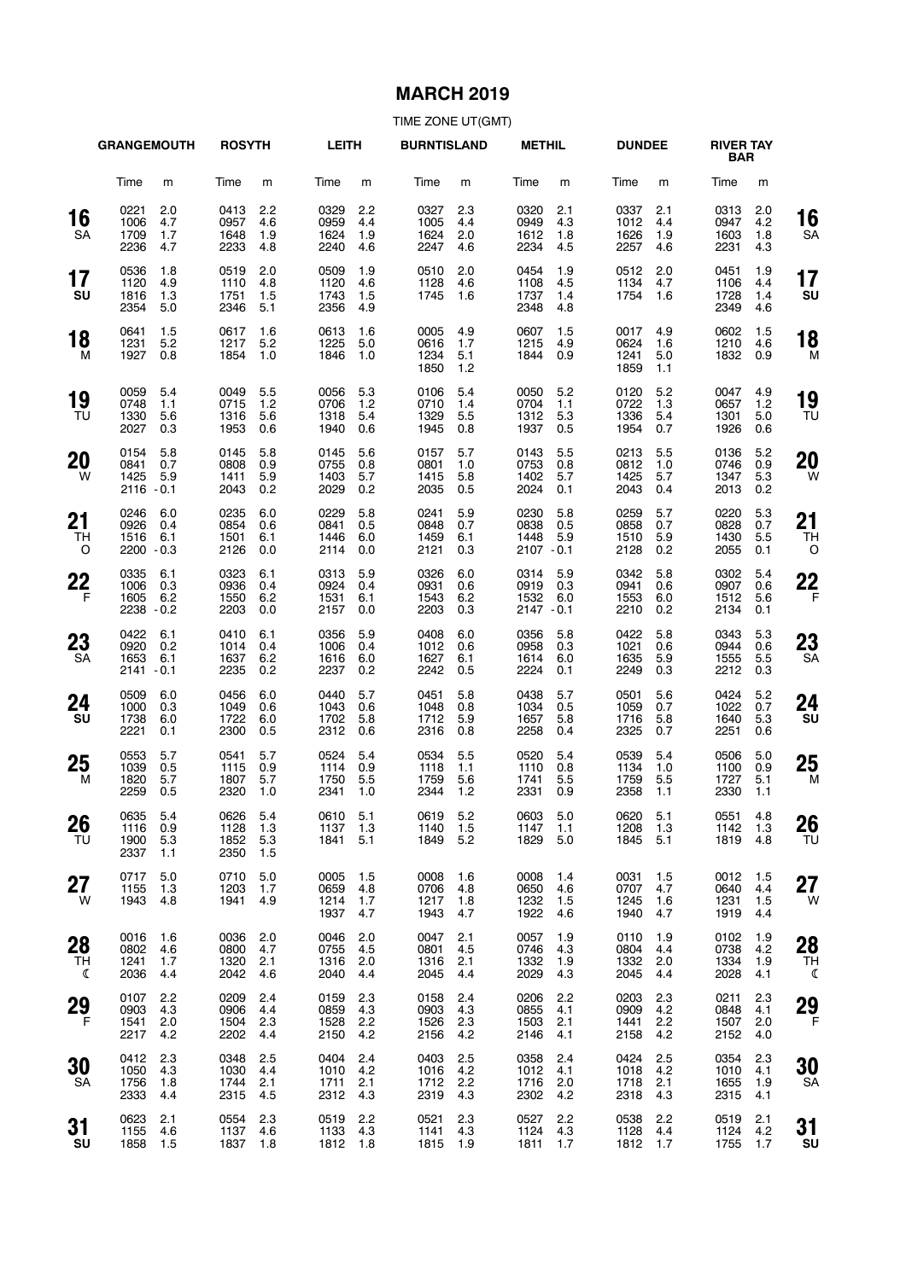### **MARCH 2019**

|                     | <b>GRANGEMOUTH</b>                   |                             | <b>ROSYTH</b>                    |                          | LEITH                        |                          | <b>BURNTISLAND</b>           |                          | <b>METHIL</b>                        |                          | <b>DUNDEE</b>                |                          | <b>RIVER TAY</b><br><b>BAR</b> |                          |                 |
|---------------------|--------------------------------------|-----------------------------|----------------------------------|--------------------------|------------------------------|--------------------------|------------------------------|--------------------------|--------------------------------------|--------------------------|------------------------------|--------------------------|--------------------------------|--------------------------|-----------------|
|                     | Time                                 | m                           | Time                             | m                        | Time                         | m                        | Time                         | m                        | Time                                 | m                        | Time                         | m                        | Time                           | m                        |                 |
| 16<br>SA            | 0221<br>1006<br>1709<br>2236         | 2.0<br>4.7<br>1.7<br>4.7    | 0413<br>0957<br>1648<br>2233     | 2.2<br>4.6<br>1.9<br>4.8 | 0329<br>0959<br>1624<br>2240 | 2.2<br>4.4<br>1.9<br>4.6 | 0327<br>1005<br>1624<br>2247 | 2.3<br>4.4<br>2.0<br>4.6 | 0320<br>0949<br>1612<br>2234         | 2.1<br>4.3<br>1.8<br>4.5 | 0337<br>1012<br>1626<br>2257 | 2.1<br>4.4<br>1.9<br>4.6 | 0313<br>0947<br>1603<br>2231   | 2.0<br>4.2<br>1.8<br>4.3 | 16<br><b>SA</b> |
| 17<br>SU            | 0536<br>1120<br>1816<br>2354         | 1.8<br>4.9<br>1.3<br>5.0    | 0519<br>1110<br>1751<br>2346     | 2.0<br>4.8<br>1.5<br>5.1 | 0509<br>1120<br>1743<br>2356 | 1.9<br>4.6<br>1.5<br>4.9 | 0510<br>1128<br>1745         | 2.0<br>4.6<br>1.6        | 0454<br>1108<br>1737<br>2348         | 1.9<br>4.5<br>1.4<br>4.8 | 0512<br>1134<br>1754         | 2.0<br>4.7<br>1.6        | 0451<br>1106<br>1728<br>2349   | 1.9<br>4.4<br>1.4<br>4.6 | 17<br>SU        |
| 18<br>м             | 0641<br>1231<br>1927                 | 1.5<br>5.2<br>0.8           | 0617<br>1217<br>1854             | 1.6<br>5.2<br>1.0        | 0613<br>1225<br>1846         | 1.6<br>5.0<br>1.0        | 0005<br>0616<br>1234<br>1850 | 4.9<br>1.7<br>5.1<br>1.2 | 0607<br>1215<br>1844                 | 1.5<br>4.9<br>0.9        | 0017<br>0624<br>1241<br>1859 | 4.9<br>1.6<br>5.0<br>1.1 | 0602<br>1210<br>1832           | 1.5<br>4.6<br>0.9        | 18<br>M         |
| 19<br>TU            | 0059<br>0748<br>1330<br>2027         | 5.4<br>1.1<br>5.6<br>0.3    | 0049<br>0715<br>1316<br>1953     | 5.5<br>1.2<br>5.6<br>0.6 | 0056<br>0706<br>1318<br>1940 | 5.3<br>1.2<br>5.4<br>0.6 | 0106<br>0710<br>1329<br>1945 | 5.4<br>1.4<br>5.5<br>0.8 | 0050<br>0704<br>1312<br>1937         | 5.2<br>1.1<br>5.3<br>0.5 | 0120<br>0722<br>1336<br>1954 | 5.2<br>1.3<br>5.4<br>0.7 | 0047<br>0657<br>1301<br>1926   | 4.9<br>1.2<br>5.0<br>0.6 | 19<br>TU        |
| 20<br>W             | 0154<br>0841<br>1425<br>$2116 - 0.1$ | 5.8<br>0.7<br>5.9           | 0145<br>0808<br>1411<br>2043     | 5.8<br>0.9<br>5.9<br>0.2 | 0145<br>0755<br>1403<br>2029 | 5.6<br>0.8<br>5.7<br>0.2 | 0157<br>0801<br>1415<br>2035 | 5.7<br>1.0<br>5.8<br>0.5 | 0143<br>0753<br>1402<br>2024         | 5.5<br>0.8<br>5.7<br>0.1 | 0213<br>0812<br>1425<br>2043 | 5.5<br>1.0<br>5.7<br>0.4 | 0136<br>0746<br>1347<br>2013   | 5.2<br>0.9<br>5.3<br>0.2 | 20<br>W         |
| 21<br>TH<br>$\circ$ | 0246<br>0926<br>1516<br>$2200 - 0.3$ | 6.0<br>0.4<br>6.1           | 0235<br>0854<br>1501<br>2126     | 6.0<br>0.6<br>6.1<br>0.0 | 0229<br>0841<br>1446<br>2114 | 5.8<br>0.5<br>6.0<br>0.0 | 0241<br>0848<br>1459<br>2121 | 5.9<br>0.7<br>6.1<br>0.3 | 0230<br>0838<br>1448<br>$2107 - 0.1$ | 5.8<br>0.5<br>5.9        | 0259<br>0858<br>1510<br>2128 | 5.7<br>0.7<br>5.9<br>0.2 | 0220<br>0828<br>1430<br>2055   | 5.3<br>0.7<br>5.5<br>0.1 | 21<br>TН<br>O   |
| $22 \atop F}$       | 0335<br>1006<br>1605<br>2238         | 6.1<br>0.3<br>6.2<br>$-0.2$ | 0323<br>0936<br>1550<br>2203     | 6.1<br>0.4<br>6.2<br>0.0 | 0313<br>0924<br>1531<br>2157 | 5.9<br>0.4<br>6.1<br>0.0 | 0326<br>0931<br>1543<br>2203 | 6.0<br>0.6<br>6.2<br>0.3 | 0314<br>0919<br>1532<br>$2147 - 0.1$ | 5.9<br>0.3<br>6.0        | 0342<br>0941<br>1553<br>2210 | 5.8<br>0.6<br>6.0<br>0.2 | 0302<br>0907<br>1512<br>2134   | 5.4<br>0.6<br>5.6<br>0.1 | 22<br>F         |
| 23<br>SA            | 0422<br>0920<br>1653<br>$2141 - 0.1$ | 6.1<br>0.2<br>6.1           | 0410<br>1014<br>1637<br>2235     | 6.1<br>0.4<br>6.2<br>0.2 | 0356<br>1006<br>1616<br>2237 | 5.9<br>0.4<br>6.0<br>0.2 | 0408<br>1012<br>1627<br>2242 | 6.0<br>0.6<br>6.1<br>0.5 | 0356<br>0958<br>1614<br>2224         | 5.8<br>0.3<br>6.0<br>0.1 | 0422<br>1021<br>1635<br>2249 | 5.8<br>0.6<br>5.9<br>0.3 | 0343<br>0944<br>1555<br>2212   | 5.3<br>0.6<br>5.5<br>0.3 | 23<br><b>SA</b> |
| 24<br><b>SU</b>     | 0509<br>1000<br>1738<br>2221         | 6.0<br>0.3<br>6.0<br>0.1    | 0456<br>1049<br>1722<br>2300     | 6.0<br>0.6<br>6.0<br>0.5 | 0440<br>1043<br>1702<br>2312 | 5.7<br>0.6<br>5.8<br>0.6 | 0451<br>1048<br>1712<br>2316 | 5.8<br>0.8<br>5.9<br>0.8 | 0438<br>1034<br>1657<br>2258         | 5.7<br>0.5<br>5.8<br>0.4 | 0501<br>1059<br>1716<br>2325 | 5.6<br>0.7<br>5.8<br>0.7 | 0424<br>1022<br>1640<br>2251   | 5.2<br>0.7<br>5.3<br>0.6 | 24<br>SU        |
| 25<br>м             | 0553<br>1039<br>1820<br>2259         | 5.7<br>0.5<br>5.7<br>0.5    | 0541<br>1115<br>1807<br>2320     | 5.7<br>0.9<br>5.7<br>1.0 | 0524<br>1114<br>1750<br>2341 | 5.4<br>0.9<br>5.5<br>1.0 | 0534<br>1118<br>1759<br>2344 | 5.5<br>1.1<br>5.6<br>1.2 | 0520<br>1110<br>1741<br>2331         | 5.4<br>0.8<br>5.5<br>0.9 | 0539<br>1134<br>1759<br>2358 | 5.4<br>1.0<br>5.5<br>1.1 | 0506<br>1100<br>1727<br>2330   | 5.0<br>0.9<br>5.1<br>1.1 | 25<br>M         |
| 26<br>TU            | 0635 5.4<br>1116<br>1900<br>2337     | 0.9<br>5.3<br>1.1           | 0626 5.4<br>1128<br>1852<br>2350 | 1.3<br>5.3<br>1.5        | 0610 5.1<br>1137<br>1841     | 1.3<br>5.1               | 0619 5.2<br>1140<br>1849     | 1.5<br>5.2               | 0603 5.0<br>1147<br>1829             | 1.1<br>5.0               | 0620 5.1<br>1208<br>1845     | 1.3<br>5.1               | 0551<br>1142<br>1819           | 4.8<br>1.3<br>4.8        | 26<br>TU        |
| 27<br>W             | 0717<br>1155<br>1943                 | 5.0<br>1.3<br>4.8           | 0710<br>1203<br>1941             | 5.0<br>1.7<br>4.9        | 0005<br>0659<br>1214<br>1937 | 1.5<br>4.8<br>1.7<br>4.7 | 0008<br>0706<br>1217<br>1943 | 1.6<br>4.8<br>1.8<br>4.7 | 0008<br>0650<br>1232<br>1922         | 1.4<br>4.6<br>1.5<br>4.6 | 0031<br>0707<br>1245<br>1940 | 1.5<br>4.7<br>1.6<br>4.7 | 0012<br>0640<br>1231<br>1919   | 1.5<br>4.4<br>1.5<br>4.4 | 27<br>W         |
| 28<br>TH<br>ℂ       | 0016<br>0802<br>1241<br>2036         | 1.6<br>4.6<br>1.7<br>4.4    | 0036<br>0800<br>1320<br>2042     | 2.0<br>4.7<br>2.1<br>4.6 | 0046<br>0755<br>1316<br>2040 | 2.0<br>4.5<br>2.0<br>4.4 | 0047<br>0801<br>1316<br>2045 | 2.1<br>4.5<br>2.1<br>4.4 | 0057<br>0746<br>1332<br>2029         | 1.9<br>4.3<br>1.9<br>4.3 | 0110<br>0804<br>1332<br>2045 | 1.9<br>4.4<br>2.0<br>4.4 | 0102<br>0738<br>1334<br>2028   | 1.9<br>4.2<br>1.9<br>4.1 | 28<br>TH<br>ℭ   |
| 29<br>F             | 0107<br>0903<br>1541<br>2217         | 2.2<br>4.3<br>2.0<br>4.2    | 0209<br>0906<br>1504<br>2202     | 2.4<br>4.4<br>2.3<br>4.4 | 0159<br>0859<br>1528<br>2150 | 2.3<br>4.3<br>2.2<br>4.2 | 0158<br>0903<br>1526<br>2156 | 2.4<br>4.3<br>2.3<br>4.2 | 0206<br>0855<br>1503<br>2146         | 2.2<br>4.1<br>2.1<br>4.1 | 0203<br>0909<br>1441<br>2158 | 2.3<br>4.2<br>2.2<br>4.2 | 0211<br>0848<br>1507<br>2152   | 2.3<br>4.1<br>2.0<br>4.0 | 29<br>F         |
| 30<br>SA            | 0412<br>1050<br>1756<br>2333         | 2.3<br>4.3<br>1.8<br>4.4    | 0348<br>1030<br>1744<br>2315     | 2.5<br>4.4<br>2.1<br>4.5 | 0404<br>1010<br>1711<br>2312 | 2.4<br>4.2<br>2.1<br>4.3 | 0403<br>1016<br>1712<br>2319 | 2.5<br>4.2<br>2.2<br>4.3 | 0358<br>1012<br>1716<br>2302         | 2.4<br>4.1<br>2.0<br>4.2 | 0424<br>1018<br>1718<br>2318 | 2.5<br>4.2<br>2.1<br>4.3 | 0354<br>1010<br>1655<br>2315   | 2.3<br>4.1<br>1.9<br>4.1 | 30<br>SA        |
| 31<br>SU            | 0623<br>1155<br>1858                 | 2.1<br>4.6<br>1.5           | 0554<br>1137<br>1837             | 2.3<br>4.6<br>1.8        | 0519<br>1133<br>1812         | 2.2<br>4.3<br>1.8        | 0521<br>1141<br>1815         | 2.3<br>4.3<br>1.9        | 0527<br>1124<br>1811                 | 2.2<br>4.3<br>1.7        | 0538<br>1128<br>1812         | 2.2<br>4.4<br>1.7        | 0519<br>1124<br>1755           | 2.1<br>4.2<br>1.7        | 31<br>SU        |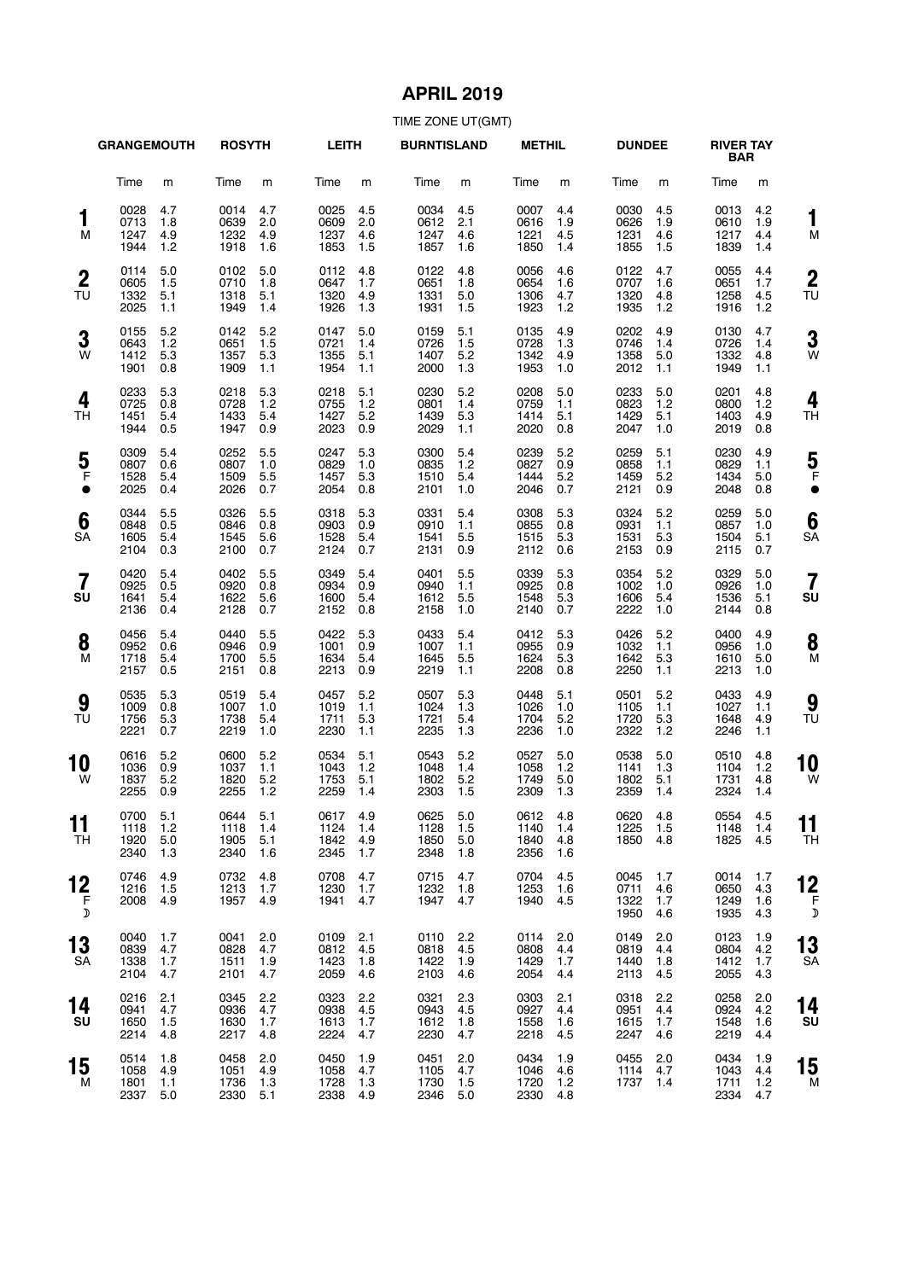### **APRIL 2019**

|                               | <b>GRANGEMOUTH</b>               |                          | <b>ROSYTH</b>                    |                          | <b>LEITH</b>                     |                          | <b>BURNTISLAND</b>               |                          | <b>METHIL</b>                    |                          | <b>DUNDEE</b>                |                          | <b>RIVER TAY</b><br><b>BAR</b> |                          |                      |
|-------------------------------|----------------------------------|--------------------------|----------------------------------|--------------------------|----------------------------------|--------------------------|----------------------------------|--------------------------|----------------------------------|--------------------------|------------------------------|--------------------------|--------------------------------|--------------------------|----------------------|
|                               | Time                             | m                        | Time                             | m                        | Time                             | m                        | Time                             | m                        | Time                             | m                        | Time                         | m                        | Time                           | m                        |                      |
| 1<br>м                        | 0028<br>0713<br>1247<br>1944     | 4.7<br>1.8<br>4.9<br>1.2 | 0014<br>0639<br>1232<br>1918     | 4.7<br>2.0<br>4.9<br>1.6 | 0025<br>0609<br>1237<br>1853     | 4.5<br>2.0<br>4.6<br>1.5 | 0034<br>0612<br>1247<br>1857     | 4.5<br>2.1<br>4.6<br>1.6 | 0007<br>0616<br>1221<br>1850     | 4.4<br>1.9<br>4.5<br>1.4 | 0030<br>0626<br>1231<br>1855 | 4.5<br>1.9<br>4.6<br>1.5 | 0013<br>0610<br>1217<br>1839   | 4.2<br>1.9<br>4.4<br>1.4 | 1<br>M               |
| $\boldsymbol{2}$<br>TU        | 0114<br>0605<br>1332<br>2025     | 5.0<br>1.5<br>5.1<br>1.1 | 0102<br>0710<br>1318<br>1949     | 5.0<br>1.8<br>5.1<br>1.4 | 0112<br>0647<br>1320<br>1926     | 4.8<br>1.7<br>4.9<br>1.3 | 0122<br>0651<br>1331<br>1931     | 4.8<br>1.8<br>5.0<br>1.5 | 0056<br>0654<br>1306<br>1923     | 4.6<br>1.6<br>4.7<br>1.2 | 0122<br>0707<br>1320<br>1935 | 4.7<br>1.6<br>4.8<br>1.2 | 0055<br>0651<br>1258<br>1916   | 4.4<br>1.7<br>4.5<br>1.2 | $\overline{2}$<br>TU |
| 3<br>W                        | 0155<br>0643<br>1412<br>1901     | 5.2<br>1.2<br>5.3<br>0.8 | 0142<br>0651<br>1357<br>1909     | 5.2<br>1.5<br>5.3<br>1.1 | 0147<br>0721<br>1355<br>1954     | 5.0<br>1.4<br>5.1<br>1.1 | 0159<br>0726<br>1407<br>2000     | 5.1<br>1.5<br>5.2<br>1.3 | 0135<br>0728<br>1342<br>1953     | 4.9<br>1.3<br>4.9<br>1.0 | 0202<br>0746<br>1358<br>2012 | 4.9<br>1.4<br>5.0<br>1.1 | 0130<br>0726<br>1332<br>1949   | 4.7<br>1.4<br>4.8<br>1.1 | 3<br>W               |
| 4<br><b>TH</b>                | 0233<br>0725<br>1451<br>1944     | 5.3<br>0.8<br>5.4<br>0.5 | 0218<br>0728<br>1433<br>1947     | 5.3<br>1.2<br>5.4<br>0.9 | 0218<br>0755<br>1427<br>2023     | 5.1<br>1.2<br>5.2<br>0.9 | 0230<br>0801<br>1439<br>2029     | 5.2<br>1.4<br>5.3<br>1.1 | 0208<br>0759<br>1414<br>2020     | 5.0<br>1.1<br>5.1<br>0.8 | 0233<br>0823<br>1429<br>2047 | 5.0<br>1.2<br>5.1<br>1.0 | 0201<br>0800<br>1403<br>2019   | 4.8<br>1.2<br>4.9<br>0.8 | 4<br>TН              |
| 5<br>F<br>$\bullet$           | 0309<br>0807<br>1528<br>2025     | 5.4<br>0.6<br>5.4<br>0.4 | 0252<br>0807<br>1509<br>2026     | 5.5<br>1.0<br>5.5<br>0.7 | 0247<br>0829<br>1457<br>2054     | 5.3<br>1.0<br>5.3<br>0.8 | 0300<br>0835<br>1510<br>2101     | 5.4<br>1.2<br>5.4<br>1.0 | 0239<br>0827<br>1444<br>2046     | 5.2<br>0.9<br>5.2<br>0.7 | 0259<br>0858<br>1459<br>2121 | 5.1<br>1.1<br>5.2<br>0.9 | 0230<br>0829<br>1434<br>2048   | 4.9<br>1.1<br>5.0<br>0.8 | 5<br>F<br>€          |
| 6<br><b>SA</b>                | 0344<br>0848<br>1605<br>2104     | 5.5<br>0.5<br>5.4<br>0.3 | 0326<br>0846<br>1545<br>2100     | 5.5<br>0.8<br>5.6<br>0.7 | 0318<br>0903<br>1528<br>2124     | 5.3<br>0.9<br>5.4<br>0.7 | 0331<br>0910<br>1541<br>2131     | 5.4<br>1.1<br>5.5<br>0.9 | 0308<br>0855<br>1515<br>2112     | 5.3<br>0.8<br>5.3<br>0.6 | 0324<br>0931<br>1531<br>2153 | 5.2<br>1.1<br>5.3<br>0.9 | 0259<br>0857<br>1504<br>2115   | 5.0<br>1.0<br>5.1<br>0.7 | 6<br>SA              |
| $\overline{\mathbf{r}}$<br>SU | 0420<br>0925<br>1641<br>2136     | 5.4<br>0.5<br>5.4<br>0.4 | 0402<br>0920<br>1622<br>2128     | 5.5<br>0.8<br>5.6<br>0.7 | 0349<br>0934<br>1600<br>2152     | 5.4<br>0.9<br>5.4<br>0.8 | 0401<br>0940<br>1612<br>2158     | 5.5<br>1.1<br>5.5<br>1.0 | 0339<br>0925<br>1548<br>2140     | 5.3<br>0.8<br>5.3<br>0.7 | 0354<br>1002<br>1606<br>2222 | 5.2<br>1.0<br>5.4<br>1.0 | 0329<br>0926<br>1536<br>2144   | 5.0<br>1.0<br>5.1<br>0.8 | 7<br>SU              |
| 8<br>M                        | 0456<br>0952<br>1718<br>2157     | 5.4<br>0.6<br>5.4<br>0.5 | 0440<br>0946<br>1700<br>2151     | 5.5<br>0.9<br>5.5<br>0.8 | 0422<br>1001<br>1634<br>2213     | 5.3<br>0.9<br>5.4<br>0.9 | 0433<br>1007<br>1645<br>2219     | 5.4<br>1.1<br>5.5<br>1.1 | 0412<br>0955<br>1624<br>2208     | 5.3<br>0.9<br>5.3<br>0.8 | 0426<br>1032<br>1642<br>2250 | 5.2<br>1.1<br>5.3<br>1.1 | 0400<br>0956<br>1610<br>2213   | 4.9<br>1.0<br>5.0<br>1.0 | 8<br>N               |
| 9<br>TU                       | 0535<br>1009<br>1756<br>2221     | 5.3<br>0.8<br>5.3<br>0.7 | 0519<br>1007<br>1738<br>2219     | 5.4<br>1.0<br>5.4<br>1.0 | 0457<br>1019<br>1711<br>2230     | 5.2<br>1.1<br>5.3<br>1.1 | 0507<br>1024<br>1721<br>2235     | 5.3<br>1.3<br>5.4<br>1.3 | 0448<br>1026<br>1704<br>2236     | 5.1<br>1.0<br>5.2<br>1.0 | 0501<br>1105<br>1720<br>2322 | 5.2<br>1.1<br>5.3<br>1.2 | 0433<br>1027<br>1648<br>2246   | 4.9<br>1.1<br>4.9<br>1.1 | 9<br>TU              |
| 10<br>W                       | 0616<br>1036<br>1837<br>2255     | 5.2<br>0.9<br>5.2<br>0.9 | 0600<br>1037<br>1820<br>2255     | 5.2<br>1.1<br>5.2<br>1.2 | 0534<br>1043<br>1753<br>2259     | 5.1<br>1.2<br>5.1<br>1.4 | 0543<br>1048<br>1802<br>2303     | 5.2<br>1.4<br>5.2<br>1.5 | 0527<br>1058<br>1749<br>2309     | 5.0<br>1.2<br>5.0<br>1.3 | 0538<br>1141<br>1802<br>2359 | 5.0<br>1.3<br>5.1<br>1.4 | 0510<br>1104<br>1731<br>2324   | 4.8<br>1.2<br>4.8<br>1.4 | 10<br>W              |
| 11<br>TН                      | 0700 5.1<br>1118<br>1920<br>2340 | 1.2<br>5.0<br>1.3        | 0644 5.1<br>1118<br>1905<br>2340 | 1.4<br>5.1<br>1.6        | 0617 4.9<br>1124<br>1842<br>2345 | 1.4<br>4.9<br>1.7        | 0625 5.0<br>1128<br>1850<br>2348 | 1.5<br>5.0<br>1.8        | 0612 4.8<br>1140<br>1840<br>2356 | 1.4<br>4.8<br>1.6        | 0620 4.8<br>1225<br>1850     | 1.5<br>4.8               | 0554<br>1148<br>1825           | 4.5<br>1.4<br>4.5        | 11<br>ΤH             |
| 12<br>F<br>D                  | 0746<br>1216<br>2008             | 4.9<br>1.5<br>4.9        | 0732<br>1213<br>1957             | 4.8<br>1.7<br>4.9        | 0708<br>1230<br>1941             | 4.7<br>1.7<br>4.7        | 0715<br>1232<br>1947             | 4.7<br>1.8<br>4.7        | 0704<br>1253<br>1940             | 4.5<br>1.6<br>4.5        | 0045<br>0711<br>1322<br>1950 | 1.7<br>4.6<br>1.7<br>4.6 | 0014<br>0650<br>1249<br>1935   | 1.7<br>4.3<br>1.6<br>4.3 | 12<br>J              |
| 13<br>SA                      | 0040<br>0839<br>1338<br>2104     | 1.7<br>4.7<br>1.7<br>4.7 | 0041<br>0828<br>1511<br>2101     | 2.0<br>4.7<br>1.9<br>4.7 | 0109<br>0812<br>1423<br>2059     | 2.1<br>4.5<br>1.8<br>4.6 | 0110<br>0818<br>1422<br>2103     | 2.2<br>4.5<br>1.9<br>4.6 | 0114<br>0808<br>1429<br>2054     | 2.0<br>4.4<br>1.7<br>4.4 | 0149<br>0819<br>1440<br>2113 | 2.0<br>4.4<br>1.8<br>4.5 | 0123<br>0804<br>1412<br>2055   | 1.9<br>4.2<br>1.7<br>4.3 | 13<br>SΑ             |
| 14<br>SU                      | 0216<br>0941<br>1650<br>2214     | 2.1<br>4.7<br>1.5<br>4.8 | 0345<br>0936<br>1630<br>2217     | 2.2<br>4.7<br>1.7<br>4.8 | 0323<br>0938<br>1613<br>2224     | 2.2<br>4.5<br>1.7<br>4.7 | 0321<br>0943<br>1612<br>2230     | 2.3<br>4.5<br>1.8<br>4.7 | 0303<br>0927<br>1558<br>2218     | 2.1<br>4.4<br>1.6<br>4.5 | 0318<br>0951<br>1615<br>2247 | 2.2<br>4.4<br>1.7<br>4.6 | 0258<br>0924<br>1548<br>2219   | 2.0<br>4.2<br>1.6<br>4.4 | 14<br>SU             |
| 15<br>м                       | 0514<br>1058<br>1801<br>2337     | 1.8<br>4.9<br>1.1<br>5.0 | 0458<br>1051<br>1736<br>2330     | 2.0<br>4.9<br>1.3<br>5.1 | 0450<br>1058<br>1728<br>2338     | 1.9<br>4.7<br>1.3<br>4.9 | 0451<br>1105<br>1730<br>2346     | 2.0<br>4.7<br>1.5<br>5.0 | 0434<br>1046<br>1720<br>2330     | 1.9<br>4.6<br>1.2<br>4.8 | 0455<br>1114<br>1737         | 2.0<br>4.7<br>1.4        | 0434<br>1043<br>1711<br>2334   | 1.9<br>4.4<br>1.2<br>4.7 | 15<br>M              |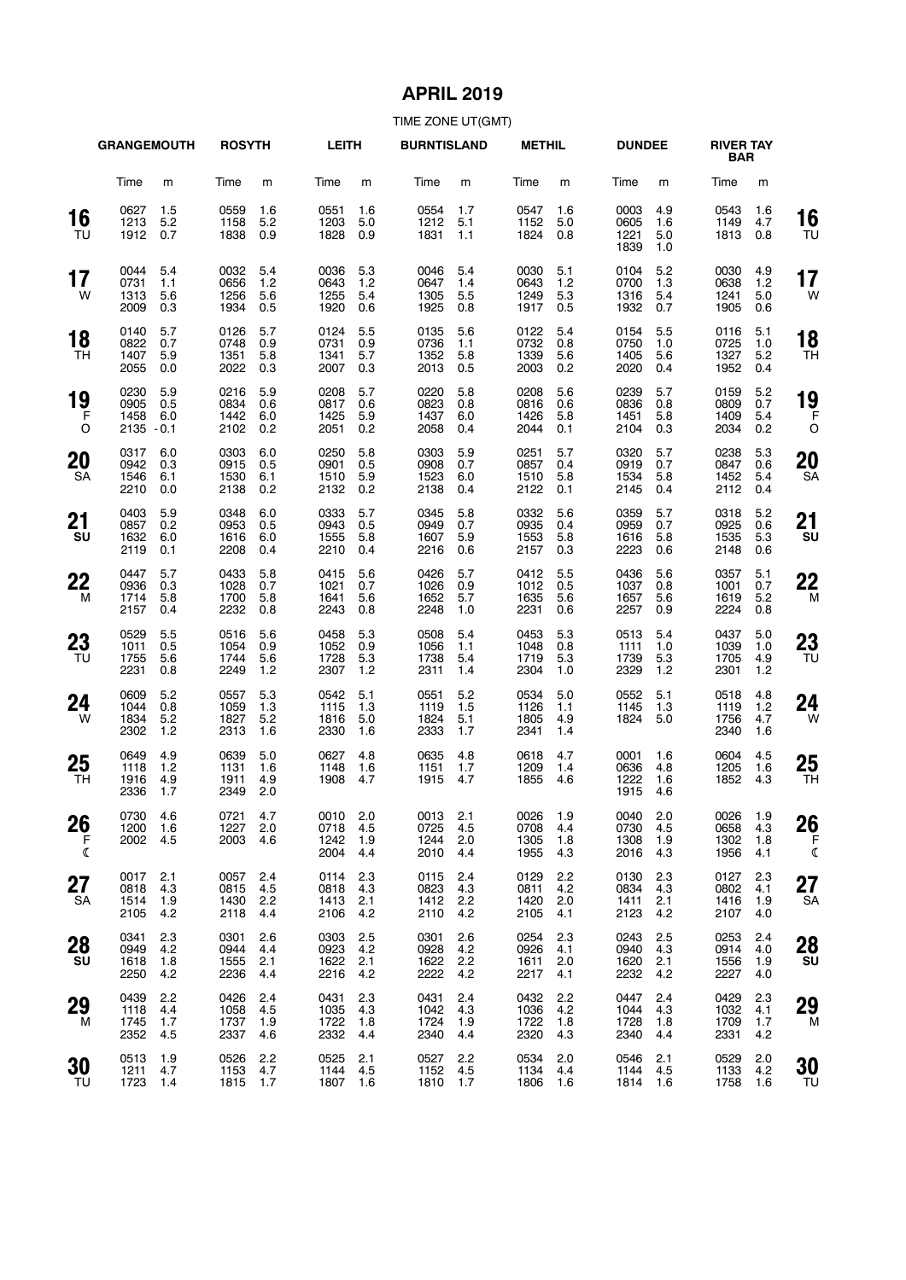### **APRIL 2019**

|                        | <b>GRANGEMOUTH</b>                   |                          | <b>ROSYTH</b>                |                          | <b>LEITH</b>                     |                          | <b>BURNTISLAND</b>               |                          | <b>METHIL</b>                    |                          | <b>DUNDEE</b>                    |                          | <b>RIVER TAY</b><br><b>BAR</b>   |                          |                 |
|------------------------|--------------------------------------|--------------------------|------------------------------|--------------------------|----------------------------------|--------------------------|----------------------------------|--------------------------|----------------------------------|--------------------------|----------------------------------|--------------------------|----------------------------------|--------------------------|-----------------|
|                        | Time                                 | m                        | Time                         | m                        | Time                             | m                        | Time                             | m                        | Time                             | m                        | Time                             | m                        | Time                             | m                        |                 |
| 16<br>TU               | 0627<br>1213<br>1912                 | 1.5<br>5.2<br>0.7        | 0559<br>1158<br>1838         | 1.6<br>5.2<br>0.9        | 0551<br>1203<br>1828             | 1.6<br>5.0<br>0.9        | 0554<br>1212<br>1831             | 1.7<br>5.1<br>1.1        | 0547<br>1152<br>1824             | 1.6<br>5.0<br>0.8        | 0003<br>0605<br>1221<br>1839     | 4.9<br>1.6<br>5.0<br>1.0 | 0543<br>1149<br>1813             | 1.6<br>4.7<br>0.8        | 16<br>TU        |
| 17<br>W                | 0044<br>0731<br>1313<br>2009         | 5.4<br>1.1<br>5.6<br>0.3 | 0032<br>0656<br>1256<br>1934 | 5.4<br>1.2<br>5.6<br>0.5 | 0036<br>0643<br>1255<br>1920     | 5.3<br>1.2<br>5.4<br>0.6 | 0046<br>0647<br>1305<br>1925     | 5.4<br>1.4<br>5.5<br>0.8 | 0030<br>0643<br>1249<br>1917     | 5.1<br>1.2<br>5.3<br>0.5 | 0104<br>0700<br>1316<br>1932     | 5.2<br>1.3<br>5.4<br>0.7 | 0030<br>0638<br>1241<br>1905     | 4.9<br>1.2<br>5.0<br>0.6 | 17<br>W         |
| 18<br>TН               | 0140<br>0822<br>1407<br>2055         | 5.7<br>0.7<br>5.9<br>0.0 | 0126<br>0748<br>1351<br>2022 | 5.7<br>0.9<br>5.8<br>0.3 | 0124<br>0731<br>1341<br>2007     | 5.5<br>0.9<br>5.7<br>0.3 | 0135<br>0736<br>1352<br>2013     | 5.6<br>1.1<br>5.8<br>0.5 | 0122<br>0732<br>1339<br>2003     | 5.4<br>0.8<br>5.6<br>0.2 | 0154<br>0750<br>1405<br>2020     | 5.5<br>1.0<br>5.6<br>0.4 | 0116<br>0725<br>1327<br>1952     | 5.1<br>1.0<br>5.2<br>0.4 | 18<br>TH        |
| 19<br>F<br>O           | 0230<br>0905<br>1458<br>$2135 - 0.1$ | 5.9<br>0.5<br>6.0        | 0216<br>0834<br>1442<br>2102 | 5.9<br>0.6<br>6.0<br>0.2 | 0208<br>0817<br>1425<br>2051     | 5.7<br>0.6<br>5.9<br>0.2 | 0220<br>0823<br>1437<br>2058     | 5.8<br>0.8<br>6.0<br>0.4 | 0208<br>0816<br>1426<br>2044     | 5.6<br>0.6<br>5.8<br>0.1 | 0239<br>0836<br>1451<br>2104     | 5.7<br>0.8<br>5.8<br>0.3 | 0159<br>0809<br>1409<br>2034     | 5.2<br>0.7<br>5.4<br>0.2 | 19<br>F<br>O    |
| <b>20</b><br><b>SA</b> | 0317<br>0942<br>1546<br>2210         | 6.0<br>0.3<br>6.1<br>0.0 | 0303<br>0915<br>1530<br>2138 | 6.0<br>0.5<br>6.1<br>0.2 | 0250<br>0901<br>1510<br>2132     | 5.8<br>0.5<br>5.9<br>0.2 | 0303<br>0908<br>1523<br>2138     | 5.9<br>0.7<br>6.0<br>0.4 | 0251<br>0857<br>1510<br>2122     | 5.7<br>0.4<br>5.8<br>0.1 | 0320<br>0919<br>1534<br>2145     | 5.7<br>0.7<br>5.8<br>0.4 | 0238<br>0847<br>1452<br>2112     | 5.3<br>0.6<br>5.4<br>0.4 | 20<br><b>SA</b> |
| 21<br>SU               | 0403<br>0857<br>1632<br>2119         | 5.9<br>0.2<br>6.0<br>0.1 | 0348<br>0953<br>1616<br>2208 | 6.0<br>0.5<br>6.0<br>0.4 | 0333<br>0943<br>1555<br>2210     | 5.7<br>0.5<br>5.8<br>0.4 | 0345<br>0949<br>1607<br>2216     | 5.8<br>0.7<br>5.9<br>0.6 | 0332<br>0935<br>1553<br>2157     | 5.6<br>0.4<br>5.8<br>0.3 | 0359<br>0959<br>1616<br>2223     | 5.7<br>0.7<br>5.8<br>0.6 | 0318<br>0925<br>1535<br>2148     | 5.2<br>0.6<br>5.3<br>0.6 | 21<br>SU        |
| 22<br>M                | 0447<br>0936<br>1714<br>2157         | 5.7<br>0.3<br>5.8<br>0.4 | 0433<br>1028<br>1700<br>2232 | 5.8<br>0.7<br>5.8<br>0.8 | 0415<br>1021<br>1641<br>2243     | 5.6<br>0.7<br>5.6<br>0.8 | 0426<br>1026<br>1652<br>2248     | 5.7<br>0.9<br>5.7<br>1.0 | 0412<br>1012<br>1635<br>2231     | 5.5<br>0.5<br>5.6<br>0.6 | 0436<br>1037<br>1657<br>2257     | 5.6<br>0.8<br>5.6<br>0.9 | 0357<br>1001<br>1619<br>2224     | 5.1<br>0.7<br>5.2<br>0.8 | 22<br>M         |
| 23<br>TU               | 0529<br>1011<br>1755<br>2231         | 5.5<br>0.5<br>5.6<br>0.8 | 0516<br>1054<br>1744<br>2249 | 5.6<br>0.9<br>5.6<br>1.2 | 0458<br>1052<br>1728<br>2307     | 5.3<br>0.9<br>5.3<br>1.2 | 0508<br>1056<br>1738<br>2311     | 5.4<br>1.1<br>5.4<br>1.4 | 0453<br>1048<br>1719<br>2304     | 5.3<br>0.8<br>5.3<br>1.0 | 0513<br>1111<br>1739<br>2329     | 5.4<br>1.0<br>5.3<br>1.2 | 0437<br>1039<br>1705<br>2301     | 5.0<br>1.0<br>4.9<br>1.2 | 23<br>TU        |
| 24<br>W                | 0609<br>1044<br>1834<br>2302         | 5.2<br>0.8<br>5.2<br>1.2 | 0557<br>1059<br>1827<br>2313 | 5.3<br>1.3<br>5.2<br>1.6 | 0542<br>1115<br>1816<br>2330     | 5.1<br>1.3<br>5.0<br>1.6 | 0551<br>1119<br>1824<br>2333     | 5.2<br>1.5<br>5.1<br>1.7 | 0534<br>1126<br>1805<br>2341     | 5.0<br>1.1<br>4.9<br>1.4 | 0552<br>1145<br>1824             | 5.1<br>1.3<br>5.0        | 0518<br>1119<br>1756<br>2340     | 4.8<br>1.2<br>4.7<br>1.6 | 24<br>W         |
| 25<br>TН               | 0649<br>1118<br>1916<br>2336         | 4.9<br>1.2<br>4.9<br>1.7 | 0639<br>1131<br>1911<br>2349 | 5.0<br>1.6<br>4.9<br>2.0 | 0627<br>1148<br>1908             | 4.8<br>1.6<br>4.7        | 0635<br>1151<br>1915             | 4.8<br>1.7<br>4.7        | 0618<br>1209<br>1855             | 4.7<br>1.4<br>4.6        | 0001<br>0636<br>1222<br>1915     | 1.6<br>4.8<br>1.6<br>4.6 | 0604<br>1205<br>1852             | 4.5<br>1.6<br>4.3        | 25<br>TН        |
| 26<br>F<br>€           | 0730<br>1200<br>2002                 | 4.6<br>1.6<br>4.5        | 0721 4.7<br>1227<br>2003     | 2.0<br>4.6               | 0010 2.0<br>0718<br>1242<br>2004 | - 4.5<br>1.9<br>4.4      | 0013 2.1<br>0725<br>1244<br>2010 | 4.5<br>2.0<br>4.4        | 0026 1.9<br>0708<br>1305<br>1955 | 4.4<br>1.8<br>4.3        | 0040 2.0<br>0730<br>1308<br>2016 | 4.5<br>1.9<br>4.3        | 0026 1.9<br>0658<br>1302<br>1956 | 4.3<br>1.8<br>4.1        | 26<br>- F<br>€  |
| 27<br>SA               | 0017<br>0818<br>1514<br>2105         | 2.1<br>4.3<br>1.9<br>4.2 | 0057<br>0815<br>1430<br>2118 | 2.4<br>4.5<br>2.2<br>4.4 | 0114<br>0818<br>1413<br>2106     | 2.3<br>4.3<br>2.1<br>4.2 | 0115<br>0823<br>1412<br>2110     | 2.4<br>4.3<br>2.2<br>4.2 | 0129<br>0811<br>1420<br>2105     | 2.2<br>4.2<br>2.0<br>4.1 | 0130<br>0834<br>1411<br>2123     | 2.3<br>4.3<br>2.1<br>4.2 | 0127<br>0802<br>1416<br>2107     | 2.3<br>4.1<br>1.9<br>4.0 | 27<br><b>SA</b> |
| 28<br>SU               | 0341<br>0949<br>1618<br>2250         | 2.3<br>4.2<br>1.8<br>4.2 | 0301<br>0944<br>1555<br>2236 | 2.6<br>4.4<br>2.1<br>4.4 | 0303<br>0923<br>1622<br>2216     | 2.5<br>4.2<br>2.1<br>4.2 | 0301<br>0928<br>1622<br>2222     | 2.6<br>4.2<br>2.2<br>4.2 | 0254<br>0926<br>1611<br>2217     | 2.3<br>4.1<br>2.0<br>4.1 | 0243<br>0940<br>1620<br>2232     | 2.5<br>4.3<br>2.1<br>4.2 | 0253<br>0914<br>1556<br>2227     | 2.4<br>4.0<br>1.9<br>4.0 | 28<br>SU        |
| 29<br>м                | 0439<br>1118<br>1745<br>2352         | 2.2<br>4.4<br>1.7<br>4.5 | 0426<br>1058<br>1737<br>2337 | 2.4<br>4.5<br>1.9<br>4.6 | 0431<br>1035<br>1722<br>2332     | 2.3<br>4.3<br>1.8<br>4.4 | 0431<br>1042<br>1724<br>2340     | 2.4<br>4.3<br>1.9<br>4.4 | 0432<br>1036<br>1722<br>2320     | 2.2<br>4.2<br>1.8<br>4.3 | 0447<br>1044<br>1728<br>2340     | 2.4<br>4.3<br>1.8<br>4.4 | 0429<br>1032<br>1709<br>2331     | 2.3<br>4.1<br>1.7<br>4.2 | 29<br>M         |
| 30<br>TU               | 0513<br>1211<br>1723                 | 1.9<br>4.7<br>1.4        | 0526<br>1153<br>1815         | 2.2<br>4.7<br>1.7        | 0525<br>1144<br>1807 1.6         | 2.1<br>4.5               | 0527<br>1152<br>1810 1.7         | 2.2<br>4.5               | 0534<br>1134<br>1806 1.6         | 2.0<br>4.4               | 0546<br>1144<br>1814 1.6         | 2.1<br>4.5               | 0529<br>1133<br>1758             | 2.0<br>4.2<br>1.6        | 30<br>TU        |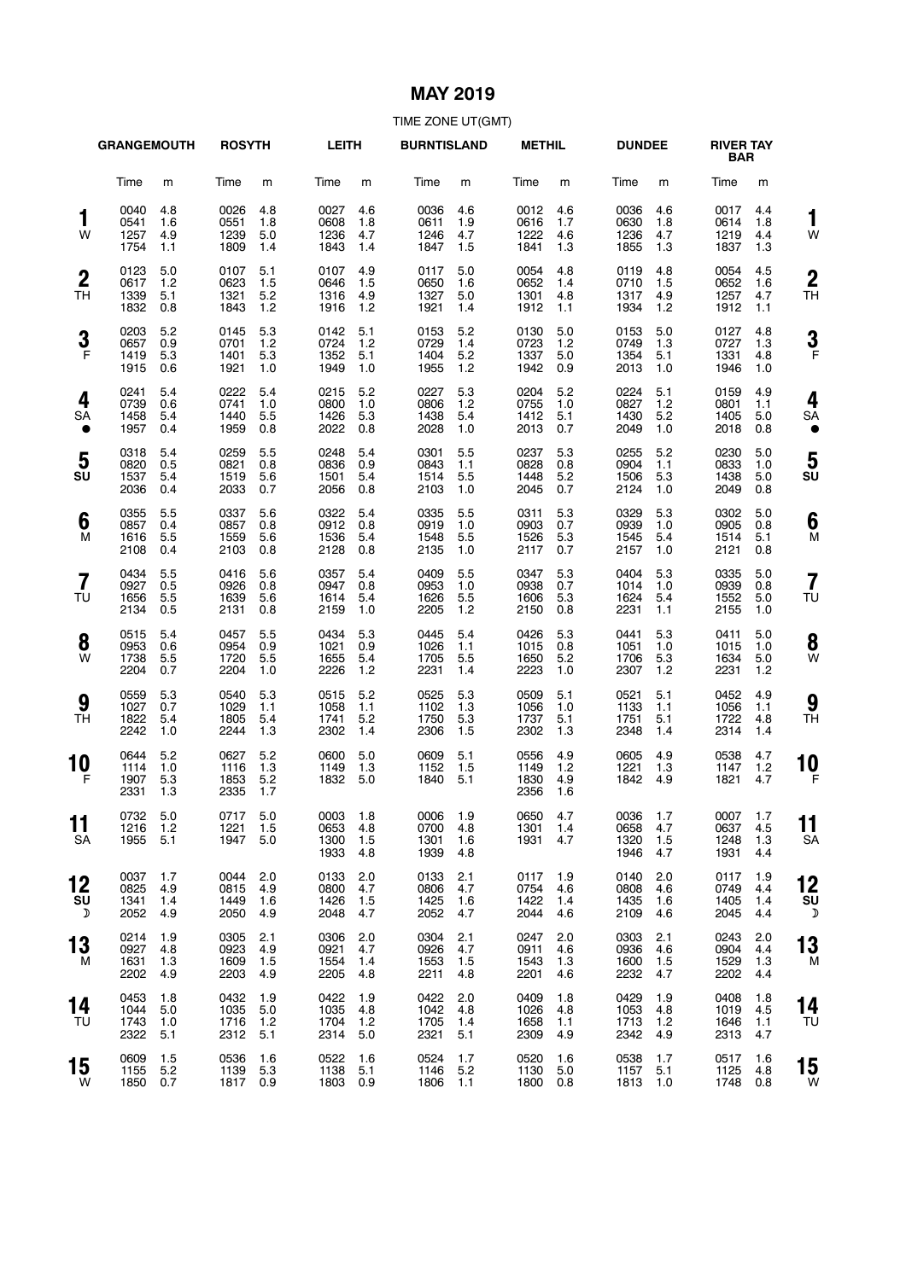#### **MAY 2019**

|                               | <b>GRANGEMOUTH</b>           |                          | <b>ROSYTH</b>                |                          | <b>LEITH</b>                     |                          | <b>BURNTISLAND</b>               |                          | <b>METHIL</b>                |                          | <b>DUNDEE</b>                    |                            | <b>RIVER TAY</b><br><b>BAR</b>   |                          |                      |
|-------------------------------|------------------------------|--------------------------|------------------------------|--------------------------|----------------------------------|--------------------------|----------------------------------|--------------------------|------------------------------|--------------------------|----------------------------------|----------------------------|----------------------------------|--------------------------|----------------------|
|                               | Time                         | m                        | Time                         | m                        | Time                             | m                        | Time                             | m                        | Time                         | m                        | Time                             | m                          | Time                             | m                        |                      |
| 1<br>W                        | 0040<br>0541<br>1257<br>1754 | 4.8<br>1.6<br>4.9<br>1.1 | 0026<br>0551<br>1239<br>1809 | 4.8<br>1.8<br>5.0<br>1.4 | 0027<br>0608<br>1236<br>1843     | 4.6<br>1.8<br>4.7<br>1.4 | 0036<br>0611<br>1246<br>1847     | 4.6<br>1.9<br>4.7<br>1.5 | 0012<br>0616<br>1222<br>1841 | 4.6<br>1.7<br>4.6<br>1.3 | 0036<br>0630<br>1236<br>1855     | 4.6<br>1.8<br>4.7<br>1.3   | 0017<br>0614<br>1219<br>1837     | 4.4<br>1.8<br>4.4<br>1.3 | 1<br>W               |
| $\boldsymbol{2}$<br><b>TH</b> | 0123<br>0617<br>1339<br>1832 | 5.0<br>1.2<br>5.1<br>0.8 | 0107<br>0623<br>1321<br>1843 | 5.1<br>1.5<br>5.2<br>1.2 | 0107<br>0646<br>1316<br>1916     | 4.9<br>1.5<br>4.9<br>1.2 | 0117<br>0650<br>1327<br>1921     | 5.0<br>1.6<br>5.0<br>1.4 | 0054<br>0652<br>1301<br>1912 | 4.8<br>1.4<br>4.8<br>1.1 | 0119<br>0710<br>1317<br>1934     | 4.8<br>1.5<br>4.9<br>1.2   | 0054<br>0652<br>1257<br>1912     | 4.5<br>1.6<br>4.7<br>1.1 | $\overline{2}$<br>ΤH |
| 3<br>$\mathsf{F}$             | 0203<br>0657<br>1419<br>1915 | 5.2<br>0.9<br>5.3<br>0.6 | 0145<br>0701<br>1401<br>1921 | 5.3<br>1.2<br>5.3<br>1.0 | 0142<br>0724<br>1352<br>1949     | 5.1<br>1.2<br>5.1<br>1.0 | 0153<br>0729<br>1404<br>1955     | 5.2<br>1.4<br>5.2<br>1.2 | 0130<br>0723<br>1337<br>1942 | 5.0<br>1.2<br>5.0<br>0.9 | 0153<br>0749<br>1354<br>2013     | 5.0<br>1.3<br>5.1<br>1.0   | 0127<br>0727<br>1331<br>1946     | 4.8<br>1.3<br>4.8<br>1.0 | 3<br>F               |
| 4<br>SA<br>●                  | 0241<br>0739<br>1458<br>1957 | 5.4<br>0.6<br>5.4<br>0.4 | 0222<br>0741<br>1440<br>1959 | 5.4<br>1.0<br>5.5<br>0.8 | 0215<br>0800<br>1426<br>2022     | 5.2<br>1.0<br>5.3<br>0.8 | 0227<br>0806<br>1438<br>2028     | 5.3<br>1.2<br>5.4<br>1.0 | 0204<br>0755<br>1412<br>2013 | 5.2<br>1.0<br>5.1<br>0.7 | 0224<br>0827<br>1430<br>2049     | 5.1<br>1.2<br>5.2<br>1.0   | 0159<br>0801<br>1405<br>2018     | 4.9<br>1.1<br>5.0<br>0.8 | 4<br>SΑ<br>c         |
| 5<br>SU                       | 0318<br>0820<br>1537<br>2036 | 5.4<br>0.5<br>5.4<br>0.4 | 0259<br>0821<br>1519<br>2033 | 5.5<br>0.8<br>5.6<br>0.7 | 0248<br>0836<br>1501<br>2056     | 5.4<br>0.9<br>5.4<br>0.8 | 0301<br>0843<br>1514<br>2103     | 5.5<br>1.1<br>5.5<br>1.0 | 0237<br>0828<br>1448<br>2045 | 5.3<br>0.8<br>5.2<br>0.7 | 0255<br>0904<br>1506<br>2124     | 5.2<br>1.1<br>5.3<br>1.0   | 0230<br>0833<br>1438<br>2049     | 5.0<br>1.0<br>5.0<br>0.8 | 5<br>SU              |
| 6<br>M                        | 0355<br>0857<br>1616<br>2108 | 5.5<br>0.4<br>5.5<br>0.4 | 0337<br>0857<br>1559<br>2103 | 5.6<br>0.8<br>5.6<br>0.8 | 0322<br>0912<br>1536<br>2128     | 5.4<br>0.8<br>5.4<br>0.8 | 0335<br>0919<br>1548<br>2135     | 5.5<br>1.0<br>5.5<br>1.0 | 0311<br>0903<br>1526<br>2117 | 5.3<br>0.7<br>5.3<br>0.7 | 0329<br>0939<br>1545<br>2157     | 5.3<br>1.0<br>5.4<br>1.0   | 0302<br>0905<br>1514<br>2121     | 5.0<br>0.8<br>5.1<br>0.8 | 6<br>M               |
| 7<br>TU                       | 0434<br>0927<br>1656<br>2134 | 5.5<br>0.5<br>5.5<br>0.5 | 0416<br>0926<br>1639<br>2131 | 5.6<br>0.8<br>5.6<br>0.8 | 0357<br>0947<br>1614<br>2159     | 5.4<br>0.8<br>5.4<br>1.0 | 0409<br>0953<br>1626<br>2205     | 5.5<br>1.0<br>5.5<br>1.2 | 0347<br>0938<br>1606<br>2150 | 5.3<br>0.7<br>5.3<br>0.8 | 0404<br>1014<br>1624<br>2231     | 5.3<br>1.0<br>5.4<br>1.1   | 0335<br>0939<br>1552<br>2155     | 5.0<br>0.8<br>5.0<br>1.0 | 7<br>TU              |
| 8<br>W                        | 0515<br>0953<br>1738<br>2204 | 5.4<br>0.6<br>5.5<br>0.7 | 0457<br>0954<br>1720<br>2204 | 5.5<br>0.9<br>5.5<br>1.0 | 0434<br>1021<br>1655<br>2226     | 5.3<br>0.9<br>5.4<br>1.2 | 0445<br>1026<br>1705<br>2231     | 5.4<br>1.1<br>5.5<br>1.4 | 0426<br>1015<br>1650<br>2223 | 5.3<br>0.8<br>5.2<br>1.0 | 0441<br>1051<br>1706<br>2307     | 5.3<br>1.0<br>5.3<br>1.2   | 0411<br>1015<br>1634<br>2231     | 5.0<br>1.0<br>5.0<br>1.2 | 8<br>W               |
| 9<br>TH                       | 0559<br>1027<br>1822<br>2242 | 5.3<br>0.7<br>5.4<br>1.0 | 0540<br>1029<br>1805<br>2244 | 5.3<br>1.1<br>5.4<br>1.3 | 0515<br>1058<br>1741<br>2302     | 5.2<br>1.1<br>5.2<br>1.4 | 0525<br>1102<br>1750<br>2306     | 5.3<br>1.3<br>5.3<br>1.5 | 0509<br>1056<br>1737<br>2302 | 5.1<br>1.0<br>5.1<br>1.3 | 0521<br>1133<br>1751<br>2348     | 5.1<br>1.1<br>5.1<br>1.4   | 0452<br>1056<br>1722<br>2314     | 4.9<br>1.1<br>4.8<br>1.4 | 9<br>ΤH              |
| 10<br>F                       | 0644<br>1114<br>1907<br>2331 | 5.2<br>1.0<br>5.3<br>1.3 | 0627<br>1116<br>1853<br>2335 | 5.2<br>1.3<br>5.2<br>1.7 | 0600<br>1149<br>1832             | 5.0<br>1.3<br>5.0        | 0609<br>1152<br>1840             | 5.1<br>1.5<br>5.1        | 0556<br>1149<br>1830<br>2356 | 4.9<br>1.2<br>4.9<br>1.6 | 0605<br>1221<br>1842             | 4.9<br>1.3<br>4.9          | 0538<br>1147<br>1821             | 4.7<br>1.2<br>4.7        | 10                   |
| 11<br>SA                      | 0732 5.0<br>1216<br>1955     | 1.2<br>5.1               | 0717 5.0<br>1221<br>1947     | 1.5<br>5.0               | 0003 1.8<br>0653<br>1300<br>1933 | 4.8<br>1.5<br>4.8        | 0006 1.9<br>0700<br>1301<br>1939 | 4.8<br>1.6<br>4.8        | 0650<br>1301<br>1931         | 4.7<br>1.4<br>4.7        | 0036 1.7<br>0658<br>1320<br>1946 | 4.7<br>1.5<br>4.7          | 0007 1.7<br>0637<br>1248<br>1931 | 4.5<br>1.3<br>4.4        | 11<br><b>SA</b>      |
| 12<br>SU<br>$\mathcal{D}$     | 0037<br>0825<br>1341<br>2052 | 1.7<br>4.9<br>1.4<br>4.9 | 0044<br>0815<br>1449<br>2050 | 2.0<br>4.9<br>1.6<br>4.9 | 0133<br>0800<br>1426<br>2048     | 2.0<br>4.7<br>1.5<br>4.7 | 0133<br>0806<br>1425<br>2052     | 2.1<br>4.7<br>1.6<br>4.7 | 0117<br>0754<br>1422<br>2044 | 1.9<br>4.6<br>1.4<br>4.6 | 0140<br>0808<br>1435<br>2109     | 2.0<br>4.6<br>1.6<br>4.6   | 0117<br>0749<br>1405<br>2045     | 1.9<br>4.4<br>1.4<br>4.4 | 12<br>SU<br>Σ        |
| 13<br>М                       | 0214<br>0927<br>1631<br>2202 | 1.9<br>4.8<br>1.3<br>4.9 | 0305<br>0923<br>1609<br>2203 | 2.1<br>4.9<br>1.5<br>4.9 | 0306<br>0921<br>1554<br>2205     | 2.0<br>4.7<br>1.4<br>4.8 | 0304<br>0926<br>1553<br>2211     | 2.1<br>4.7<br>1.5<br>4.8 | 0247<br>0911<br>1543<br>2201 | 2.0<br>4.6<br>1.3<br>4.6 | 0303<br>0936<br>1600<br>2232     | 2.1<br>4.6<br>$1.5$<br>4.7 | 0243<br>0904<br>1529<br>2202     | 2.0<br>4.4<br>1.3<br>4.4 | 13<br>M              |
| 14<br>TU                      | 0453<br>1044<br>1743<br>2322 | 1.8<br>5.0<br>1.0<br>5.1 | 0432<br>1035<br>1716<br>2312 | 1.9<br>5.0<br>1.2<br>5.1 | 0422<br>1035<br>1704<br>2314     | 1.9<br>4.8<br>1.2<br>5.0 | 0422<br>1042<br>1705<br>2321     | 2.0<br>4.8<br>1.4<br>5.1 | 0409<br>1026<br>1658<br>2309 | 1.8<br>4.8<br>1.1<br>4.9 | 0429<br>1053<br>1713<br>2342     | 1.9<br>4.8<br>1.2<br>4.9   | 0408<br>1019<br>1646<br>2313     | 1.8<br>4.5<br>1.1<br>4.7 | 14<br>TU             |
| 15<br>W                       | 0609<br>1155<br>1850         | 1.5<br>5.2<br>0.7        | 0536<br>1139<br>1817 0.9     | 1.6<br>5.3               | 0522<br>1138<br>1803 0.9         | 1.6<br>5.1               | 0524<br>1146<br>1806 1.1         | 1.7<br>5.2               | 0520<br>1130<br>1800         | 1.6<br>5.0<br>0.8        | 0538<br>1157<br>1813 1.0         | 1.7<br>5.1                 | 0517<br>1125<br>1748 0.8         | 1.6<br>4.8               | 15<br>W              |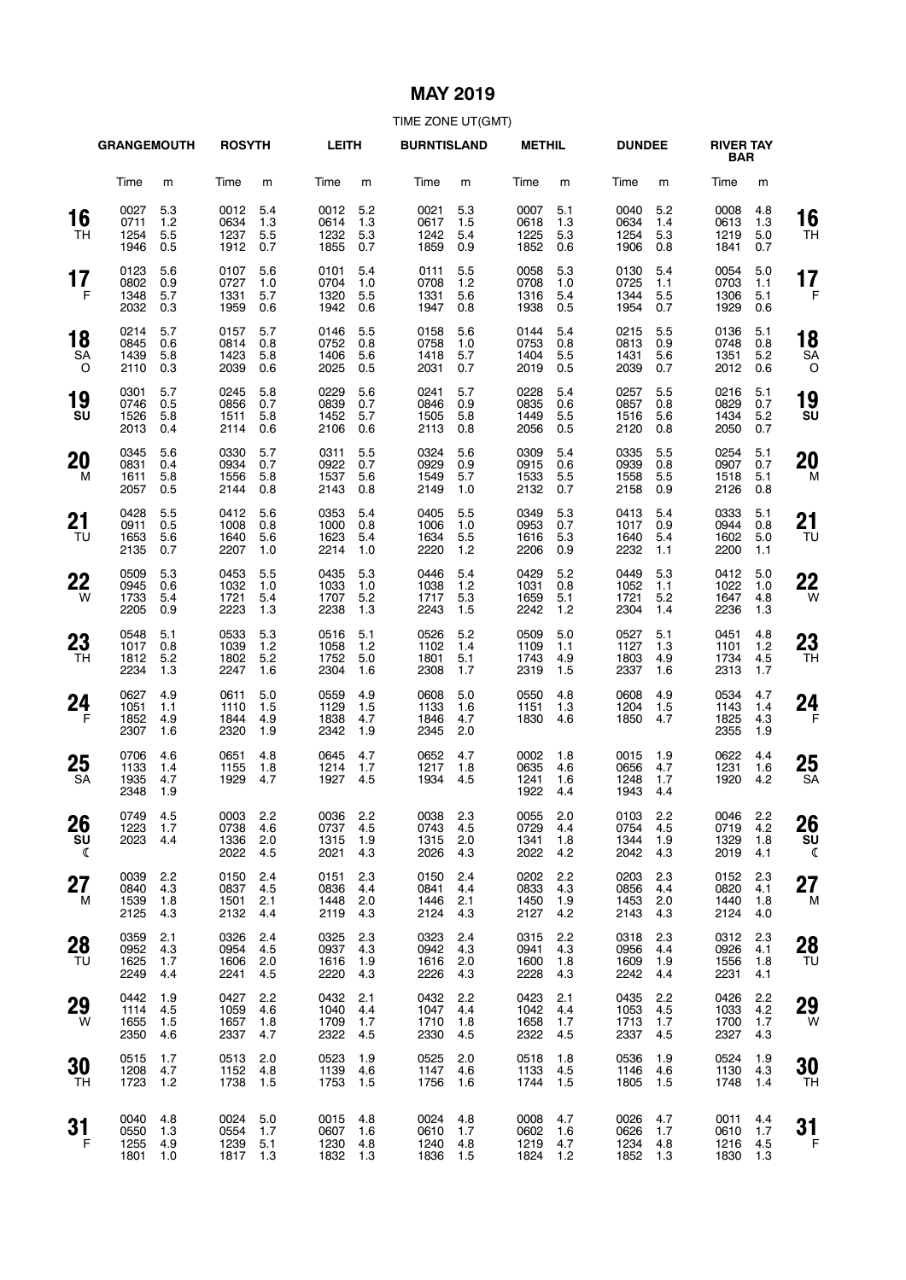# **MAY 2019**

|                     | <b>GRANGEMOUTH</b>           |                          | <b>ROSYTH</b>                    |                          | <b>LEITH</b>                     |                          | <b>BURNTISLAND</b>               |                          | <b>METHIL</b>                    |                          | <b>DUNDEE</b>                |                          | <b>RIVER TAY</b><br><b>BAR</b>   |                          |                 |
|---------------------|------------------------------|--------------------------|----------------------------------|--------------------------|----------------------------------|--------------------------|----------------------------------|--------------------------|----------------------------------|--------------------------|------------------------------|--------------------------|----------------------------------|--------------------------|-----------------|
|                     | Time                         | m                        | Time                             | m                        | Time                             | m                        | Time                             | m                        | Time                             | m                        | Time                         | m                        | Time                             | m                        |                 |
| 16<br>TH            | 0027<br>0711<br>1254<br>1946 | 5.3<br>1.2<br>5.5<br>0.5 | 0012<br>0634<br>1237<br>1912     | 5.4<br>1.3<br>5.5<br>0.7 | 0012<br>0614<br>1232<br>1855     | 5.2<br>1.3<br>5.3<br>0.7 | 0021<br>0617<br>1242<br>1859     | 5.3<br>1.5<br>5.4<br>0.9 | 0007<br>0618<br>1225<br>1852     | 5.1<br>1.3<br>5.3<br>0.6 | 0040<br>0634<br>1254<br>1906 | 5.2<br>1.4<br>5.3<br>0.8 | 0008<br>0613<br>1219<br>1841     | 4.8<br>1.3<br>5.0<br>0.7 | 16<br>TН        |
| 17<br>$\mathsf F$   | 0123<br>0802<br>1348<br>2032 | 5.6<br>0.9<br>5.7<br>0.3 | 0107<br>0727<br>1331<br>1959     | 5.6<br>1.0<br>5.7<br>0.6 | 0101<br>0704<br>1320<br>1942     | 5.4<br>1.0<br>5.5<br>0.6 | 0111<br>0708<br>1331<br>1947     | 5.5<br>1.2<br>5.6<br>0.8 | 0058<br>0708<br>1316<br>1938     | 5.3<br>1.0<br>5.4<br>0.5 | 0130<br>0725<br>1344<br>1954 | 5.4<br>1.1<br>5.5<br>0.7 | 0054<br>0703<br>1306<br>1929     | 5.0<br>1.1<br>5.1<br>0.6 | 17<br>F         |
| 18<br>SA<br>$\circ$ | 0214<br>0845<br>1439<br>2110 | 5.7<br>0.6<br>5.8<br>0.3 | 0157<br>0814<br>1423<br>2039     | 5.7<br>0.8<br>5.8<br>0.6 | 0146<br>0752<br>1406<br>2025     | 5.5<br>0.8<br>5.6<br>0.5 | 0158<br>0758<br>1418<br>2031     | 5.6<br>1.0<br>5.7<br>0.7 | 0144<br>0753<br>1404<br>2019     | 5.4<br>0.8<br>5.5<br>0.5 | 0215<br>0813<br>1431<br>2039 | 5.5<br>0.9<br>5.6<br>0.7 | 0136<br>0748<br>1351<br>2012     | 5.1<br>0.8<br>5.2<br>0.6 | 18<br>SА<br>O   |
| 19<br>SU            | 0301<br>0746<br>1526<br>2013 | 5.7<br>0.5<br>5.8<br>0.4 | 0245<br>0856<br>1511<br>2114     | 5.8<br>0.7<br>5.8<br>0.6 | 0229<br>0839<br>1452<br>2106     | 5.6<br>0.7<br>5.7<br>0.6 | 0241<br>0846<br>1505<br>2113     | 5.7<br>0.9<br>5.8<br>0.8 | 0228<br>0835<br>1449<br>2056     | 5.4<br>0.6<br>5.5<br>0.5 | 0257<br>0857<br>1516<br>2120 | 5.5<br>0.8<br>5.6<br>0.8 | 0216<br>0829<br>1434<br>2050     | 5.1<br>0.7<br>5.2<br>0.7 | 19<br>SU        |
| 20<br>М             | 0345<br>0831<br>1611<br>2057 | 5.6<br>0.4<br>5.8<br>0.5 | 0330<br>0934<br>1556<br>2144     | 5.7<br>0.7<br>5.8<br>0.8 | 0311<br>0922<br>1537<br>2143     | 5.5<br>0.7<br>5.6<br>0.8 | 0324<br>0929<br>1549<br>2149     | 5.6<br>0.9<br>5.7<br>1.0 | 0309<br>0915<br>1533<br>2132     | 5.4<br>0.6<br>5.5<br>0.7 | 0335<br>0939<br>1558<br>2158 | 5.5<br>0.8<br>5.5<br>0.9 | 0254<br>0907<br>1518<br>2126     | 5.1<br>0.7<br>5.1<br>0.8 | 20<br>M         |
| 21<br>TU            | 0428<br>0911<br>1653<br>2135 | 5.5<br>0.5<br>5.6<br>0.7 | 0412<br>1008<br>1640<br>2207     | 5.6<br>0.8<br>5.6<br>1.0 | 0353<br>1000<br>1623<br>2214     | 5.4<br>0.8<br>5.4<br>1.0 | 0405<br>1006<br>1634<br>2220     | 5.5<br>1.0<br>5.5<br>1.2 | 0349<br>0953<br>1616<br>2206     | 5.3<br>0.7<br>5.3<br>0.9 | 0413<br>1017<br>1640<br>2232 | 5.4<br>0.9<br>5.4<br>1.1 | 0333<br>0944<br>1602<br>2200     | 5.1<br>0.8<br>5.0<br>1.1 | 21<br>TU        |
| 22<br>W             | 0509<br>0945<br>1733<br>2205 | 5.3<br>0.6<br>5.4<br>0.9 | 0453<br>1032<br>1721<br>2223     | 5.5<br>1.0<br>5.4<br>1.3 | 0435<br>1033<br>1707<br>2238     | 5.3<br>1.0<br>5.2<br>1.3 | 0446<br>1038<br>1717<br>2243     | 5.4<br>1.2<br>5.3<br>1.5 | 0429<br>1031<br>1659<br>2242     | 5.2<br>0.8<br>5.1<br>1.2 | 0449<br>1052<br>1721<br>2304 | 5.3<br>1.1<br>5.2<br>1.4 | 0412<br>1022<br>1647<br>2236     | 5.0<br>1.0<br>4.8<br>1.3 | 22<br>W         |
| 23<br>TH            | 0548<br>1017<br>1812<br>2234 | 5.1<br>0.8<br>5.2<br>1.3 | 0533<br>1039<br>1802<br>2247     | 5.3<br>1.2<br>5.2<br>1.6 | 0516<br>1058<br>1752<br>2304     | 5.1<br>1.2<br>5.0<br>1.6 | 0526<br>1102<br>1801<br>2308     | 5.2<br>1.4<br>5.1<br>1.7 | 0509<br>1109<br>1743<br>2319     | 5.0<br>1.1<br>4.9<br>1.5 | 0527<br>1127<br>1803<br>2337 | 5.1<br>1.3<br>4.9<br>1.6 | 0451<br>1101<br>1734<br>2313     | 4.8<br>1.2<br>4.5<br>1.7 | 23<br>TН        |
| 24<br>F             | 0627<br>1051<br>1852<br>2307 | 4.9<br>1.1<br>4.9<br>1.6 | 0611<br>1110<br>1844<br>2320     | 5.0<br>1.5<br>4.9<br>1.9 | 0559<br>1129<br>1838<br>2342     | 4.9<br>1.5<br>4.7<br>1.9 | 0608<br>1133<br>1846<br>2345     | 5.0<br>1.6<br>4.7<br>2.0 | 0550<br>1151<br>1830             | 4.8<br>1.3<br>4.6        | 0608<br>1204<br>1850         | 4.9<br>1.5<br>4.7        | 0534<br>1143<br>1825<br>2355     | 4.7<br>1.4<br>4.3<br>1.9 | 24<br>F         |
| 25<br>SA            | 0706<br>1133<br>1935<br>2348 | 4.6<br>1.4<br>4.7<br>1.9 | 0651<br>1155<br>1929             | 4.8<br>1.8<br>4.7        | 0645<br>1214<br>1927             | 4.7<br>1.7<br>4.5        | 0652<br>1217<br>1934             | 4.7<br>1.8<br>4.5        | 0002<br>0635<br>1241<br>1922     | 1.8<br>4.6<br>1.6<br>4.4 | 0015<br>0656<br>1248<br>1943 | 1.9<br>4.7<br>1.7<br>4.4 | 0622<br>1231<br>1920             | 4.4<br>1.6<br>4.2        | 25<br><b>SA</b> |
| 26<br>SU<br>ℂ       | 0749<br>1223<br>2023         | 4.5<br>1.7<br>4.4        | 0003 2.2<br>0738<br>1336<br>2022 | 4.6<br>2.0<br>4.5        | 0036 2.2<br>0737<br>1315<br>2021 | 4.5<br>1.9<br>4.3        | 0038 2.3<br>0743<br>1315<br>2026 | 4.5<br>2.0<br>4.3        | 0055 2.0<br>0729<br>1341<br>2022 | 4.4<br>1.8<br>4.2        | 0103<br>0754<br>1344<br>2042 | 2.2<br>4.5<br>1.9<br>4.3 | 0046 2.2<br>0719<br>1329<br>2019 | 4.2<br>1.8<br>4.1        | 26<br>SU<br>ℂ   |
| 27<br>M             | 0039<br>0840<br>1539<br>2125 | 2.2<br>4.3<br>1.8<br>4.3 | 0150<br>0837<br>1501<br>2132     | 2.4<br>4.5<br>2.1<br>4.4 | 0151<br>0836<br>1448<br>2119     | 2.3<br>4.4<br>2.0<br>4.3 | 0150<br>0841<br>1446<br>2124     | 2.4<br>4.4<br>2.1<br>4.3 | 0202<br>0833<br>1450<br>2127     | 2.2<br>4.3<br>1.9<br>4.2 | 0203<br>0856<br>1453<br>2143 | 2.3<br>4.4<br>2.0<br>4.3 | 0152<br>0820<br>1440<br>2124     | 2.3<br>4.1<br>1.8<br>4.0 | 27<br>M         |
| 28<br>TU            | 0359<br>0952<br>1625<br>2249 | 2.1<br>4.3<br>1.7<br>4.4 | 0326<br>0954<br>1606<br>2241     | 2.4<br>4.5<br>2.0<br>4.5 | 0325<br>0937<br>1616<br>2220     | 2.3<br>4.3<br>1.9<br>4.3 | 0323<br>0942<br>1616<br>2226     | 2.4<br>4.3<br>2.0<br>4.3 | 0315<br>0941<br>1600<br>2228     | 2.2<br>4.3<br>1.8<br>4.3 | 0318<br>0956<br>1609<br>2242 | 2.3<br>4.4<br>1.9<br>4.4 | 0312<br>0926<br>1556<br>2231     | 2.3<br>4.1<br>1.8<br>4.1 | 28<br>TU        |
| 29<br>W             | 0442<br>1114<br>1655<br>2350 | 1.9<br>4.5<br>1.5<br>4.6 | 0427<br>1059<br>1657<br>2337     | 2.2<br>4.6<br>1.8<br>4.7 | 0432<br>1040<br>1709<br>2322     | 2.1<br>4.4<br>1.7<br>4.5 | 0432<br>1047<br>1710<br>2330     | 2.2<br>4.4<br>1.8<br>4.5 | 0423<br>1042<br>1658<br>2322     | 2.1<br>4.4<br>1.7<br>4.5 | 0435<br>1053<br>1713<br>2337 | 2.2<br>4.5<br>1.7<br>4.5 | 0426<br>1033<br>1700<br>2327     | 2.2<br>4.2<br>1.7<br>4.3 | 29<br>W         |
| 30<br>TH            | 0515<br>1208<br>1723         | 1.7<br>4.7<br>1.2        | 0513<br>1152<br>1738             | 2.0<br>4.8<br>1.5        | 0523<br>1139<br>1753             | 1.9<br>4.6<br>1.5        | 0525<br>1147<br>1756             | 2.0<br>4.6<br>1.6        | 0518<br>1133<br>1744             | 1.8<br>4.5<br>1.5        | 0536<br>1146<br>1805         | 1.9<br>4.6<br>1.5        | 0524<br>1130<br>1748             | 1.9<br>4.3<br>1.4        | 30<br>TН        |
| 31<br>F             | 0040<br>0550<br>1255<br>1801 | 4.8<br>1.3<br>4.9<br>1.0 | 0024<br>0554<br>1239<br>1817     | 5.0<br>1.7<br>5.1<br>1.3 | 0015<br>0607<br>1230<br>1832     | 4.8<br>1.6<br>4.8<br>1.3 | 0024<br>0610<br>1240<br>1836     | 4.8<br>1.7<br>4.8<br>1.5 | 0008<br>0602<br>1219<br>1824     | 4.7<br>1.6<br>4.7<br>1.2 | 0026<br>0626<br>1234<br>1852 | 4.7<br>1.7<br>4.8<br>1.3 | 0011<br>0610<br>1216<br>1830     | 4.4<br>1.7<br>4.5<br>1.3 | 31<br>F         |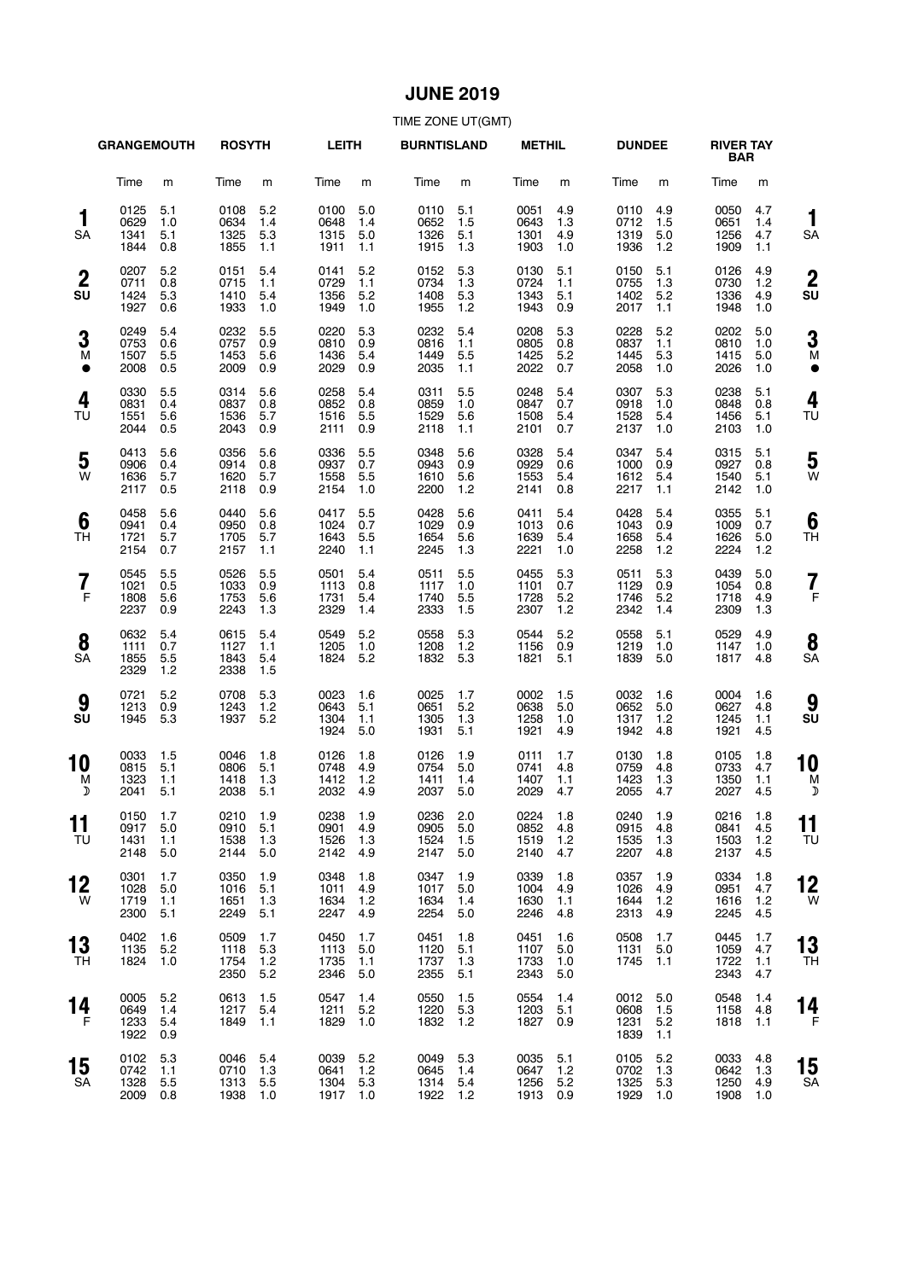### **JUNE 2019**

|                        | <b>GRANGEMOUTH</b>               |                          | <b>ROSYTH</b>                    |                            | <b>LEITH</b>                     |                          | <b>BURNTISLAND</b>               |                          | <b>METHIL</b>                    |                          | <b>DUNDEE</b>                    |                            | <b>RIVER TAY</b><br><b>BAR</b>   |                          |                    |
|------------------------|----------------------------------|--------------------------|----------------------------------|----------------------------|----------------------------------|--------------------------|----------------------------------|--------------------------|----------------------------------|--------------------------|----------------------------------|----------------------------|----------------------------------|--------------------------|--------------------|
|                        | Time                             | m                        | Time                             | m                          | Time                             | m                        | Time                             | m                        | Time                             | m                        | Time                             | m                          | Time                             | m                        |                    |
| 1<br>SA                | 0125<br>0629<br>1341<br>1844     | 5.1<br>1.0<br>5.1<br>0.8 | 0108<br>0634<br>1325<br>1855     | 5.2<br>1.4<br>5.3<br>1.1   | 0100<br>0648<br>1315<br>1911     | 5.0<br>1.4<br>5.0<br>1.1 | 0110<br>0652<br>1326<br>1915     | 5.1<br>1.5<br>5.1<br>1.3 | 0051<br>0643<br>1301<br>1903     | 4.9<br>1.3<br>4.9<br>1.0 | 0110<br>0712<br>1319<br>1936     | 4.9<br>1.5<br>5.0<br>1.2   | 0050<br>0651<br>1256<br>1909     | 4.7<br>1.4<br>4.7<br>1.1 | 1<br>SΑ            |
| $\boldsymbol{2}$<br>SU | 0207<br>0711<br>1424<br>1927     | 5.2<br>0.8<br>5.3<br>0.6 | 0151<br>0715<br>1410<br>1933     | 5.4<br>1.1<br>5.4<br>1.0   | 0141<br>0729<br>1356<br>1949     | 5.2<br>1.1<br>5.2<br>1.0 | 0152<br>0734<br>1408<br>1955     | 5.3<br>1.3<br>5.3<br>1.2 | 0130<br>0724<br>1343<br>1943     | 5.1<br>1.1<br>5.1<br>0.9 | 0150<br>0755<br>1402<br>2017     | 5.1<br>1.3<br>5.2<br>1.1   | 0126<br>0730<br>1336<br>1948     | 4.9<br>1.2<br>4.9<br>1.0 | $\mathbf{2}$<br>SU |
| 3<br>M<br>$\bullet$    | 0249<br>0753<br>1507<br>2008     | 5.4<br>0.6<br>5.5<br>0.5 | 0232<br>0757<br>1453<br>2009     | 5.5<br>0.9<br>5.6<br>0.9   | 0220<br>0810<br>1436<br>2029     | 5.3<br>0.9<br>5.4<br>0.9 | 0232<br>0816<br>1449<br>2035     | 5.4<br>1.1<br>5.5<br>1.1 | 0208<br>0805<br>1425<br>2022     | 5.3<br>0.8<br>5.2<br>0.7 | 0228<br>0837<br>1445<br>2058     | 5.2<br>1.1<br>5.3<br>1.0   | 0202<br>0810<br>1415<br>2026     | 5.0<br>1.0<br>5.0<br>1.0 | 3<br>M<br>€        |
| 4<br>TU                | 0330<br>0831<br>1551<br>2044     | 5.5<br>0.4<br>5.6<br>0.5 | 0314<br>0837<br>1536<br>2043     | 5.6<br>0.8<br>5.7<br>0.9   | 0258<br>0852<br>1516<br>2111     | 5.4<br>0.8<br>5.5<br>0.9 | 0311<br>0859<br>1529<br>2118     | 5.5<br>1.0<br>5.6<br>1.1 | 0248<br>0847<br>1508<br>2101     | 5.4<br>0.7<br>5.4<br>0.7 | 0307<br>0918<br>1528<br>2137     | 5.3<br>1.0<br>5.4<br>1.0   | 0238<br>0848<br>1456<br>2103     | 5.1<br>0.8<br>5.1<br>1.0 | 4<br>TU            |
| 5<br>W                 | 0413<br>0906<br>1636<br>2117     | 5.6<br>0.4<br>5.7<br>0.5 | 0356<br>0914<br>1620<br>2118     | 5.6<br>0.8<br>5.7<br>0.9   | 0336<br>0937<br>1558<br>2154     | 5.5<br>0.7<br>5.5<br>1.0 | 0348<br>0943<br>1610<br>2200     | 5.6<br>0.9<br>5.6<br>1.2 | 0328<br>0929<br>1553<br>2141     | 5.4<br>0.6<br>5.4<br>0.8 | 0347<br>1000<br>1612<br>2217     | 5.4<br>0.9<br>5.4<br>1.1   | 0315<br>0927<br>1540<br>2142     | 5.1<br>0.8<br>5.1<br>1.0 | 5<br>W             |
| 6<br>TН                | 0458<br>0941<br>1721<br>2154     | 5.6<br>0.4<br>5.7<br>0.7 | 0440<br>0950<br>1705<br>2157     | 5.6<br>0.8<br>5.7<br>1.1   | 0417<br>1024<br>1643<br>2240     | 5.5<br>0.7<br>5.5<br>1.1 | 0428<br>1029<br>1654<br>2245     | 5.6<br>0.9<br>5.6<br>1.3 | 0411<br>1013<br>1639<br>2221     | 5.4<br>0.6<br>5.4<br>1.0 | 0428<br>1043<br>1658<br>2258     | 5.4<br>0.9<br>5.4<br>1.2   | 0355<br>1009<br>1626<br>2224     | 5.1<br>0.7<br>5.0<br>1.2 | 6<br>ΤH            |
| 7<br>F                 | 0545<br>1021<br>1808<br>2237     | 5.5<br>0.5<br>5.6<br>0.9 | 0526<br>1033<br>1753<br>2243     | 5.5<br>0.9<br>5.6<br>1.3   | 0501<br>1113<br>1731<br>2329     | 5.4<br>0.8<br>5.4<br>1.4 | 0511<br>1117<br>1740<br>2333     | 5.5<br>1.0<br>5.5<br>1.5 | 0455<br>1101<br>1728<br>2307     | 5.3<br>0.7<br>5.2<br>1.2 | 0511<br>1129<br>1746<br>2342     | 5.3<br>0.9<br>5.2<br>1.4   | 0439<br>1054<br>1718<br>2309     | 5.0<br>0.8<br>4.9<br>1.3 | 7<br>F             |
| 8<br>SA                | 0632<br>1111<br>1855<br>2329     | 5.4<br>0.7<br>5.5<br>1.2 | 0615<br>1127<br>1843<br>2338     | 5.4<br>1.1<br>5.4<br>1.5   | 0549<br>1205<br>1824             | 5.2<br>1.0<br>5.2        | 0558<br>1208<br>1832             | 5.3<br>1.2<br>5.3        | 0544<br>1156<br>1821             | 5.2<br>0.9<br>5.1        | 0558<br>1219<br>1839             | 5.1<br>1.0<br>5.0          | 0529<br>1147<br>1817             | 4.9<br>1.0<br>4.8        | 8<br>SA            |
| 9<br>SU                | 0721<br>1213<br>1945             | 5.2<br>0.9<br>5.3        | 0708<br>1243<br>1937             | 5.3<br>1.2<br>5.2          | 0023<br>0643<br>1304<br>1924     | 1.6<br>5.1<br>1.1<br>5.0 | 0025<br>0651<br>1305<br>1931     | 1.7<br>5.2<br>1.3<br>5.1 | 0002<br>0638<br>1258<br>1921     | 1.5<br>5.0<br>1.0<br>4.9 | 0032<br>0652<br>1317<br>1942     | 1.6<br>5.0<br>1.2<br>4.8   | 0004<br>0627<br>1245<br>1921     | 1.6<br>4.8<br>1.1<br>4.5 | 9<br>SU            |
| 10<br>M<br>D           | 0033<br>0815<br>1323<br>2041     | 1.5<br>5.1<br>1.1<br>5.1 | 0046<br>0806<br>1418<br>2038     | 1.8<br>5.1<br>1.3<br>5.1   | 0126<br>0748<br>1412<br>2032     | 1.8<br>4.9<br>1.2<br>4.9 | 0126<br>0754<br>1411<br>2037     | 1.9<br>5.0<br>1.4<br>5.0 | 0111<br>0741<br>1407<br>2029     | 1.7<br>4.8<br>1.1<br>4.7 | 0130<br>0759<br>1423<br>2055     | 1.8<br>4.8<br>1.3<br>4.7   | 0105<br>0733<br>1350<br>2027     | 1.8<br>4.7<br>1.1<br>4.5 | 10<br>M<br>J       |
| 11<br>TU               | 0150 1.7<br>0917<br>1431<br>2148 | 5.0<br>1.1<br>5.0        | 0210 1.9<br>0910<br>1538<br>2144 | 5.1<br>1.3<br>5.0          | 0238 1.9<br>0901<br>1526<br>2142 | 4.9<br>1.3<br>4.9        | 0236 2.0<br>0905<br>1524<br>2147 | 5.0<br>1.5<br>5.0        | 0224 1.8<br>0852<br>1519<br>2140 | 4.8<br>1.2<br>4.7        | 0240 1.9<br>0915<br>1535<br>2207 | 4.8<br>1.3<br>4.8          | 0216 1.8<br>0841<br>1503<br>2137 | 4.5<br>1.2<br>4.5        | 11<br>ТU           |
| 12<br>W                | 0301<br>1028<br>1719<br>2300     | 1.7<br>5.0<br>1.1<br>5.1 | 0350<br>1016<br>1651<br>2249     | 1.9<br>5.1<br>1.3<br>5.1   | 0348<br>1011<br>1634<br>2247     | 1.8<br>4.9<br>1.2<br>4.9 | 0347<br>1017<br>1634<br>2254     | 1.9<br>5.0<br>1.4<br>5.0 | 0339<br>1004<br>1630<br>2246     | 1.8<br>4.9<br>1.1<br>4.8 | 0357<br>1026<br>1644<br>2313     | 1.9<br>4.9<br>$1.2$<br>4.9 | 0334<br>0951<br>1616<br>2245     | 1.8<br>4.7<br>1.2<br>4.5 | 12<br>W            |
| 13<br>TН               | 0402<br>1135<br>1824             | 1.6<br>$5.2$<br>1.0      | 0509<br>1118<br>1754<br>2350     | 1.7<br>5.3<br>1.2<br>$5.2$ | 0450<br>1113<br>1735<br>2346     | 1.7<br>5.0<br>1.1<br>5.0 | 0451<br>1120<br>1737<br>2355     | 1.8<br>5.1<br>1.3<br>5.1 | 0451<br>1107<br>1733<br>2343     | 1.6<br>5.0<br>1.0<br>5.0 | 0508<br>1131<br>1745             | 1.7<br>5.0<br>1.1          | 0445<br>1059<br>1722<br>2343     | 1.7<br>4.7<br>1.1<br>4.7 | 13<br>ΤH           |
| 14<br>-F               | 0005<br>0649<br>1233<br>1922     | 5.2<br>1.4<br>5.4<br>0.9 | 0613<br>1217<br>1849             | 1.5<br>5.4<br>1.1          | 0547<br>1211<br>1829             | 1.4<br>5.2<br>1.0        | 0550<br>1220<br>1832             | 1.5<br>5.3<br>1.2        | 0554<br>1203<br>1827             | 1.4<br>5.1<br>0.9        | 0012<br>0608<br>1231<br>1839     | 5.0<br>1.5<br>5.2<br>1.1   | 0548<br>1158<br>1818             | 1.4<br>4.8<br>1.1        | 14<br>F            |
| 15<br>SA               | 0102<br>0742<br>1328<br>2009     | 5.3<br>1.1<br>5.5<br>0.8 | 0046<br>0710<br>1313<br>1938     | 5.4<br>1.3<br>5.5<br>1.0   | 0039<br>0641<br>1304<br>1917     | 5.2<br>1.2<br>5.3<br>1.0 | 0049<br>0645<br>1314<br>1922     | 5.3<br>1.4<br>5.4<br>1.2 | 0035<br>0647<br>1256<br>1913     | 5.1<br>1.2<br>5.2<br>0.9 | 0105<br>0702<br>1325<br>1929     | 5.2<br>1.3<br>5.3<br>1.0   | 0033<br>0642<br>1250<br>1908     | 4.8<br>1.3<br>4.9<br>1.0 | 15<br>SΑ           |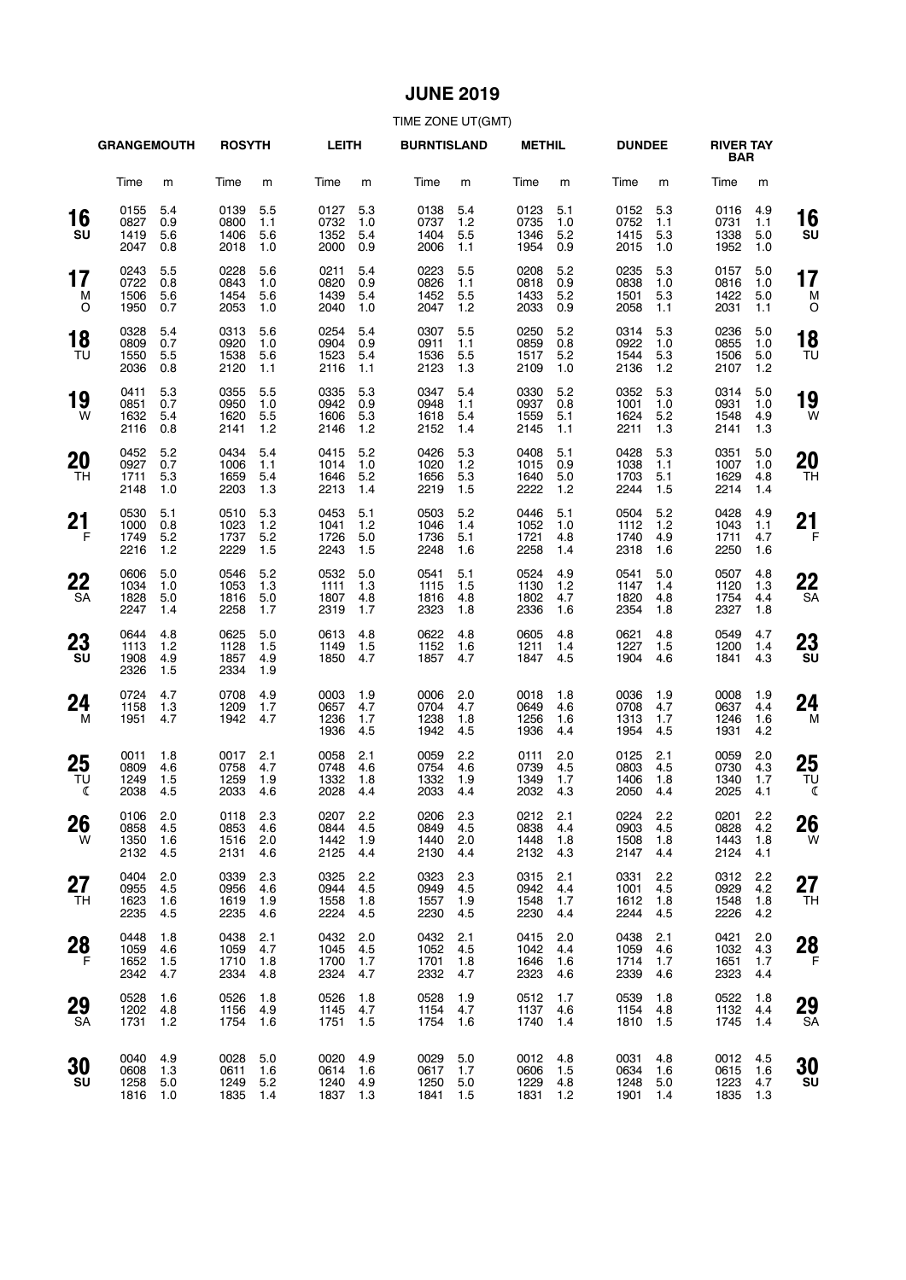### **JUNE 2019**

|               | <b>GRANGEMOUTH</b>           |                          | <b>ROSYTH</b>                    |                          | <b>LEITH</b>                     |                            | <b>BURNTISLAND</b>               |                            | <b>METHIL</b>                    |                          | <b>DUNDEE</b>                    |                            | <b>RIVER TAY</b><br><b>BAR</b> |                          |                      |
|---------------|------------------------------|--------------------------|----------------------------------|--------------------------|----------------------------------|----------------------------|----------------------------------|----------------------------|----------------------------------|--------------------------|----------------------------------|----------------------------|--------------------------------|--------------------------|----------------------|
|               | Time                         | m                        | Time                             | m                        | Time                             | m                          | Time                             | m                          | Time                             | m                        | Time                             | m                          | Time                           | m                        |                      |
| 16<br>SU      | 0155<br>0827<br>1419<br>2047 | 5.4<br>0.9<br>5.6<br>0.8 | 0139<br>0800<br>1406<br>2018     | 5.5<br>1.1<br>5.6<br>1.0 | 0127<br>0732<br>1352<br>2000     | 5.3<br>1.0<br>5.4<br>0.9   | 0138<br>0737<br>1404<br>2006     | 5.4<br>$1.2$<br>5.5<br>1.1 | 0123<br>0735<br>1346<br>1954     | 5.1<br>1.0<br>5.2<br>0.9 | 0152<br>0752<br>1415<br>2015     | 5.3<br>1.1<br>5.3<br>1.0   | 0116<br>0731<br>1338<br>1952   | 4.9<br>1.1<br>5.0<br>1.0 | 16<br>SU             |
| 17<br>М<br>O  | 0243<br>0722<br>1506<br>1950 | 5.5<br>0.8<br>5.6<br>0.7 | 0228<br>0843<br>1454<br>2053     | 5.6<br>1.0<br>5.6<br>1.0 | 0211<br>0820<br>1439<br>2040     | 5.4<br>0.9<br>5.4<br>1.0   | 0223<br>0826<br>1452<br>2047     | 5.5<br>1.1<br>5.5<br>1.2   | 0208<br>0818<br>1433<br>2033     | 5.2<br>0.9<br>5.2<br>0.9 | 0235<br>0838<br>1501<br>2058     | 5.3<br>1.0<br>5.3<br>1.1   | 0157<br>0816<br>1422<br>2031   | 5.0<br>1.0<br>5.0<br>1.1 | 17<br>M<br>O         |
| 18<br>TU      | 0328<br>0809<br>1550<br>2036 | 5.4<br>0.7<br>5.5<br>0.8 | 0313<br>0920<br>1538<br>2120     | 5.6<br>1.0<br>5.6<br>1.1 | 0254<br>0904<br>1523<br>2116     | 5.4<br>0.9<br>5.4<br>1.1   | 0307<br>0911<br>1536<br>2123     | 5.5<br>1.1<br>5.5<br>1.3   | 0250<br>0859<br>1517<br>2109     | 5.2<br>0.8<br>5.2<br>1.0 | 0314<br>0922<br>1544<br>2136     | 5.3<br>1.0<br>5.3<br>$1.2$ | 0236<br>0855<br>1506<br>2107   | 5.0<br>1.0<br>5.0<br>1.2 | 18<br>TU             |
| 19<br>W       | 0411<br>0851<br>1632<br>2116 | 5.3<br>0.7<br>5.4<br>0.8 | 0355<br>0950<br>1620<br>2141     | 5.5<br>1.0<br>5.5<br>1.2 | 0335<br>0942<br>1606<br>2146     | 5.3<br>0.9<br>5.3<br>1.2   | 0347<br>0948<br>1618<br>2152     | 5.4<br>1.1<br>5.4<br>1.4   | 0330<br>0937<br>1559<br>2145     | 5.2<br>0.8<br>5.1<br>1.1 | 0352<br>1001<br>1624<br>2211     | 5.3<br>1.0<br>5.2<br>1.3   | 0314<br>0931<br>1548<br>2141   | 5.0<br>1.0<br>4.9<br>1.3 | 19<br>W              |
| 20<br>TH      | 0452<br>0927<br>1711<br>2148 | 5.2<br>0.7<br>5.3<br>1.0 | 0434<br>1006<br>1659<br>2203     | 5.4<br>1.1<br>5.4<br>1.3 | 0415<br>1014<br>1646<br>2213     | 5.2<br>1.0<br>5.2<br>1.4   | 0426<br>1020<br>1656<br>2219     | 5.3<br>1.2<br>5.3<br>1.5   | 0408<br>1015<br>1640<br>2222     | 5.1<br>0.9<br>5.0<br>1.2 | 0428<br>1038<br>1703<br>2244     | 5.3<br>1.1<br>5.1<br>1.5   | 0351<br>1007<br>1629<br>2214   | 5.0<br>1.0<br>4.8<br>1.4 | 20<br><b>TH</b>      |
| 21<br>F       | 0530<br>1000<br>1749<br>2216 | 5.1<br>0.8<br>5.2<br>1.2 | 0510<br>1023<br>1737<br>2229     | 5.3<br>1.2<br>5.2<br>1.5 | 0453<br>1041<br>1726<br>2243     | 5.1<br>1.2<br>5.0<br>1.5   | 0503<br>1046<br>1736<br>2248     | 5.2<br>1.4<br>5.1<br>1.6   | 0446<br>1052<br>1721<br>2258     | 5.1<br>1.0<br>4.8<br>1.4 | 0504<br>1112<br>1740<br>2318     | 5.2<br>1.2<br>4.9<br>1.6   | 0428<br>1043<br>1711<br>2250   | 4.9<br>1.1<br>4.7<br>1.6 | 21<br>F              |
| 22<br>SA      | 0606<br>1034<br>1828<br>2247 | 5.0<br>1.0<br>5.0<br>1.4 | 0546<br>1053<br>1816<br>2258     | 5.2<br>1.3<br>5.0<br>1.7 | 0532<br>1111<br>1807<br>2319     | 5.0<br>1.3<br>4.8<br>1.7   | 0541<br>1115<br>1816<br>2323     | 5.1<br>1.5<br>4.8<br>1.8   | 0524<br>1130<br>1802<br>2336     | 4.9<br>1.2<br>4.7<br>1.6 | 0541<br>1147<br>1820<br>2354     | 5.0<br>1.4<br>4.8<br>1.8   | 0507<br>1120<br>1754<br>2327   | 4.8<br>1.3<br>4.4<br>1.8 | 22<br><b>SA</b>      |
| 23<br>SU      | 0644<br>1113<br>1908<br>2326 | 4.8<br>1.2<br>4.9<br>1.5 | 0625<br>1128<br>1857<br>2334     | 5.0<br>1.5<br>4.9<br>1.9 | 0613<br>1149<br>1850             | 4.8<br>1.5<br>4.7          | 0622<br>1152<br>1857             | 4.8<br>1.6<br>4.7          | 0605<br>1211<br>1847             | 4.8<br>1.4<br>4.5        | 0621<br>1227<br>1904             | 4.8<br>1.5<br>4.6          | 0549<br>1200<br>1841           | 4.7<br>1.4<br>4.3        | 23<br>SU             |
| 24<br>М       | 0724<br>1158<br>1951         | 4.7<br>1.3<br>4.7        | 0708<br>1209<br>1942             | 4.9<br>1.7<br>4.7        | 0003<br>0657<br>1236<br>1936     | 1.9<br>4.7<br>1.7<br>4.5   | 0006<br>0704<br>1238<br>1942     | 2.0<br>4.7<br>1.8<br>4.5   | 0018<br>0649<br>1256<br>1936     | 1.8<br>4.6<br>1.6<br>4.4 | 0036<br>0708<br>1313<br>1954     | 1.9<br>4.7<br>1.7<br>4.5   | 0008<br>0637<br>1246<br>1931   | 1.9<br>4.4<br>1.6<br>4.2 | 24<br>M              |
| 25<br>TU<br>ℭ | 0011<br>0809<br>1249<br>2038 | 1.8<br>4.6<br>1.5<br>4.5 | 0017<br>0758<br>1259<br>2033     | 2.1<br>4.7<br>1.9<br>4.6 | 0058<br>0748<br>1332<br>2028     | 2.1<br>4.6<br>1.8<br>4.4   | 0059<br>0754<br>1332<br>2033     | 2.2<br>4.6<br>1.9<br>4.4   | 0111<br>0739<br>1349<br>2032     | 2.0<br>4.5<br>1.7<br>4.3 | 0125<br>0803<br>1406<br>2050     | 2.1<br>4.5<br>1.8<br>4.4   | 0059<br>0730<br>1340<br>2025   | 2.0<br>4.3<br>1.7<br>4.1 | 25<br><b>TU</b><br>ℭ |
| 26<br>W       | 0106<br>0858<br>1350<br>2132 | 2.0<br>4.5<br>1.6<br>4.5 | 0118 2.3<br>0853<br>1516<br>2131 | 4.6<br>2.0<br>4.6        | 0207 2.2<br>0844<br>1442<br>2125 | 4.5<br>1.9<br>4.4          | 0206 2.3<br>0849<br>1440<br>2130 | 4.5<br>2.0<br>4.4          | 0212 2.1<br>0838<br>1448<br>2132 | 4.4<br>1.8<br>4.3        | 0224 2.2<br>0903<br>1508<br>2147 | 4.5<br>1.8<br>4.4          | 0201<br>0828<br>1443<br>2124   | 2.2<br>4.2<br>1.8<br>4.1 | 26<br>W              |
| 27<br>TH      | 0404<br>0955<br>1623<br>2235 | 2.0<br>4.5<br>1.6<br>4.5 | 0339<br>0956<br>1619<br>2235     | 2.3<br>4.6<br>1.9<br>4.6 | 0325<br>0944<br>1558<br>2224     | 2.2<br>4.5<br>1.8<br>4.5   | 0323<br>0949<br>1557<br>2230     | 2.3<br>4.5<br>1.9<br>4.5   | 0315<br>0942<br>1548<br>2230     | 2.1<br>4.4<br>1.7<br>4.4 | 0331<br>1001<br>1612<br>2244     | 2.2<br>4.5<br>1.8<br>4.5   | 0312<br>0929<br>1548<br>2226   | 2.2<br>4.2<br>1.8<br>4.2 | 27<br>TН             |
| 28<br>F       | 0448<br>1059<br>1652<br>2342 | 1.8<br>4.6<br>1.5<br>4.7 | 0438<br>1059<br>1710<br>2334     | 2.1<br>4.7<br>1.8<br>4.8 | 0432<br>1045<br>1700<br>2324     | 2.0<br>4.5<br>1.7<br>4.7   | 0432<br>1052<br>1701<br>2332     | 2.1<br>4.5<br>1.8<br>4.7   | 0415<br>1042<br>1646<br>2323     | 2.0<br>4.4<br>1.6<br>4.6 | 0438<br>1059<br>1714<br>2339     | 2.1<br>4.6<br>1.7<br>4.6   | 0421<br>1032<br>1651<br>2323   | 2.0<br>4.3<br>1.7<br>4.4 | 28<br>F              |
| 29<br>SA      | 0528<br>1202<br>1731         | 1.6<br>4.8<br>1.2        | 0526<br>1156<br>1754             | 1.8<br>4.9<br>1.6        | 0526<br>1145<br>1751             | 1.8<br>4.7<br>1.5          | 0528<br>1154<br>1754             | 1.9<br>4.7<br>1.6          | 0512<br>1137<br>1740             | 1.7<br>4.6<br>1.4        | 0539<br>1154<br>1810             | 1.8<br>4.8<br>1.5          | 0522<br>1132<br>1745           | 1.8<br>4.4<br>1.4        | 29<br>SА             |
| 30<br>SU      | 0040<br>0608<br>1258<br>1816 | 4.9<br>1.3<br>5.0<br>1.0 | 0028<br>0611<br>1249<br>1835     | 5.0<br>1.6<br>5.2<br>1.4 | 0020<br>0614<br>1240<br>1837     | 4.9<br>1.6<br>4.9<br>- 1.3 | 0029<br>0617<br>1250<br>1841     | 5.0<br>1.7<br>5.0<br>1.5   | 0012<br>0606<br>1229<br>1831     | 4.8<br>1.5<br>4.8<br>1.2 | 0031<br>0634<br>1248<br>1901     | 4.8<br>1.6<br>5.0<br>1.4   | 0012<br>0615<br>1223<br>1835   | 4.5<br>1.6<br>4.7<br>1.3 | 30<br>SU             |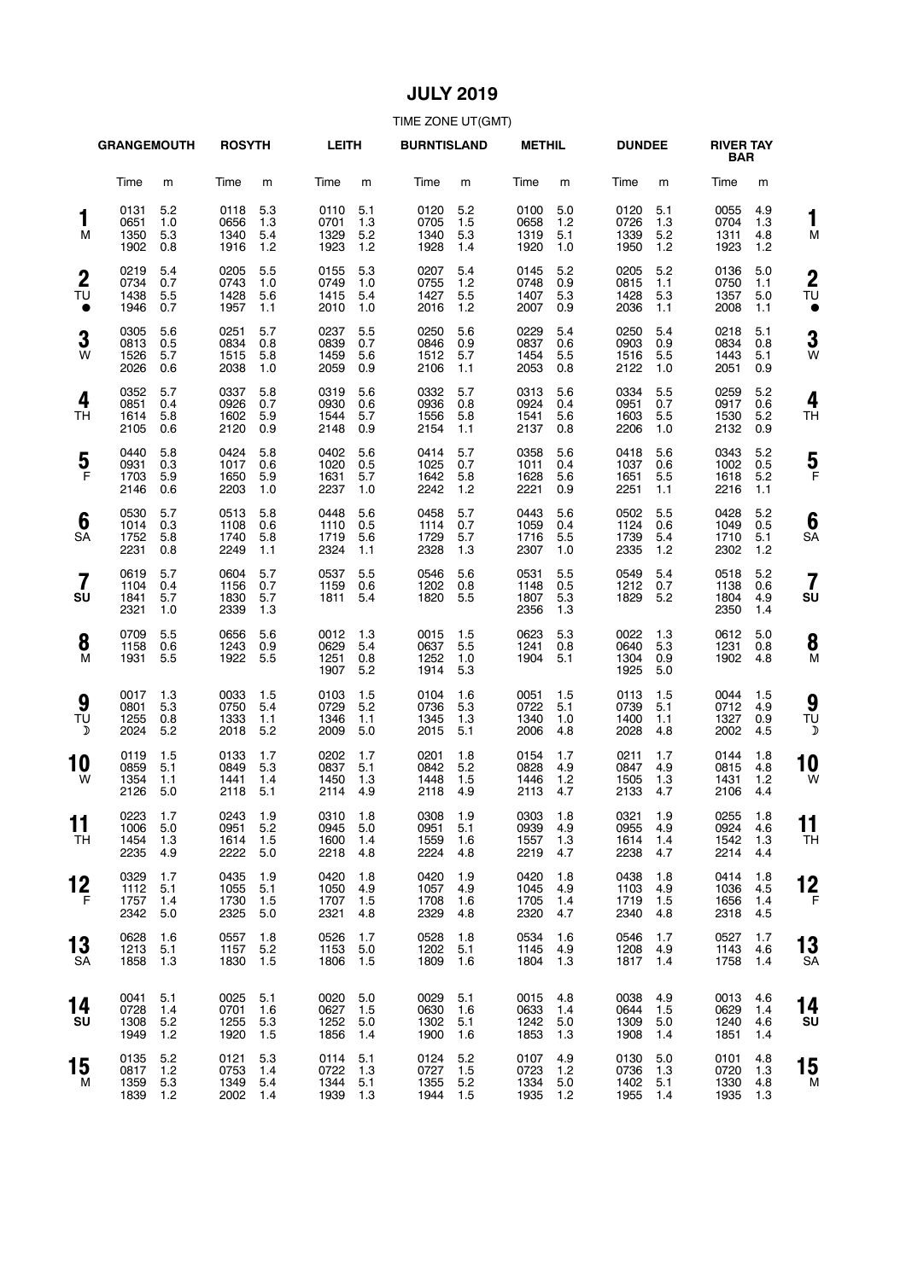#### **JULY 2019**

|                               | <b>GRANGEMOUTH</b>               |                              | <b>ROSYTH</b>                    |                          | <b>LEITH</b>                     |                          | <b>BURNTISLAND</b>               |                          | <b>METHIL</b>                    |                          | <b>DUNDEE</b>                    |                          | <b>RIVER TAY</b><br><b>BAR</b>   |                          |                      |
|-------------------------------|----------------------------------|------------------------------|----------------------------------|--------------------------|----------------------------------|--------------------------|----------------------------------|--------------------------|----------------------------------|--------------------------|----------------------------------|--------------------------|----------------------------------|--------------------------|----------------------|
|                               | Time                             | m                            | Time                             | m                        | Time                             | m                        | Time                             | m                        | Time                             | m                        | Time                             | m                        | Time                             | m                        |                      |
| 1<br>м                        | 0131<br>0651<br>1350<br>1902     | 5.2<br>1.0<br>5.3<br>0.8     | 0118<br>0656<br>1340<br>1916     | 5.3<br>1.3<br>5.4<br>1.2 | 0110<br>0701<br>1329<br>1923     | 5.1<br>1.3<br>5.2<br>1.2 | 0120<br>0705<br>1340<br>1928     | 5.2<br>1.5<br>5.3<br>1.4 | 0100<br>0658<br>1319<br>1920     | 5.0<br>1.2<br>5.1<br>1.0 | 0120<br>0726<br>1339<br>1950     | 5.1<br>1.3<br>5.2<br>1.2 | 0055<br>0704<br>1311<br>1923     | 4.9<br>1.3<br>4.8<br>1.2 | 1<br>M               |
| $\boldsymbol{2}$<br>TU        | 0219<br>0734<br>1438<br>1946     | 5.4<br>0.7<br>5.5<br>0.7     | 0205<br>0743<br>1428<br>1957     | 5.5<br>1.0<br>5.6<br>1.1 | 0155<br>0749<br>1415<br>2010     | 5.3<br>1.0<br>5.4<br>1.0 | 0207<br>0755<br>1427<br>2016     | 5.4<br>1.2<br>5.5<br>1.2 | 0145<br>0748<br>1407<br>2007     | 5.2<br>0.9<br>5.3<br>0.9 | 0205<br>0815<br>1428<br>2036     | 5.2<br>1.1<br>5.3<br>1.1 | 0136<br>0750<br>1357<br>2008     | 5.0<br>1.1<br>5.0<br>1.1 | $\overline{2}$<br>TU |
| 3<br>W                        | 0305<br>0813<br>1526<br>2026     | 5.6<br>0.5<br>5.7<br>0.6     | 0251<br>0834<br>1515<br>2038     | 5.7<br>0.8<br>5.8<br>1.0 | 0237<br>0839<br>1459<br>2059     | 5.5<br>0.7<br>5.6<br>0.9 | 0250<br>0846<br>1512<br>2106     | 5.6<br>0.9<br>5.7<br>1.1 | 0229<br>0837<br>1454<br>2053     | 5.4<br>0.6<br>5.5<br>0.8 | 0250<br>0903<br>1516<br>2122     | 5.4<br>0.9<br>5.5<br>1.0 | 0218<br>0834<br>1443<br>2051     | 5.1<br>0.8<br>5.1<br>0.9 | 3<br>W               |
| 4<br><b>TH</b>                | 0352<br>0851<br>1614<br>2105     | 5.7<br>0.4<br>5.8<br>0.6     | 0337<br>0926<br>1602<br>2120     | 5.8<br>0.7<br>5.9<br>0.9 | 0319<br>0930<br>1544<br>2148     | 5.6<br>0.6<br>5.7<br>0.9 | 0332<br>0936<br>1556<br>2154     | 5.7<br>0.8<br>5.8<br>1.1 | 0313<br>0924<br>1541<br>2137     | 5.6<br>0.4<br>5.6<br>0.8 | 0334<br>0951<br>1603<br>2206     | 5.5<br>0.7<br>5.5<br>1.0 | 0259<br>0917<br>1530<br>2132     | 5.2<br>0.6<br>5.2<br>0.9 | 4<br>TН              |
| 5<br>$\mathsf{F}$             | 0440<br>0931<br>1703<br>2146     | 5.8<br>0.3<br>5.9<br>0.6     | 0424<br>1017<br>1650<br>2203     | 5.8<br>0.6<br>5.9<br>1.0 | 0402<br>1020<br>1631<br>2237     | 5.6<br>0.5<br>5.7<br>1.0 | 0414<br>1025<br>1642<br>2242     | 5.7<br>0.7<br>5.8<br>1.2 | 0358<br>1011<br>1628<br>2221     | 5.6<br>0.4<br>5.6<br>0.9 | 0418<br>1037<br>1651<br>2251     | 5.6<br>0.6<br>5.5<br>1.1 | 0343<br>1002<br>1618<br>2216     | 5.2<br>0.5<br>5.2<br>1.1 | 5<br>F               |
| 6<br><b>SA</b>                | 0530<br>1014<br>1752<br>2231     | 5.7<br>0.3<br>5.8<br>0.8     | 0513<br>1108<br>1740<br>2249     | 5.8<br>0.6<br>5.8<br>1.1 | 0448<br>1110<br>1719<br>2324     | 5.6<br>0.5<br>5.6<br>1.1 | 0458<br>1114<br>1729<br>2328     | 5.7<br>0.7<br>5.7<br>1.3 | 0443<br>1059<br>1716<br>2307     | 5.6<br>0.4<br>5.5<br>1.0 | 0502<br>1124<br>1739<br>2335     | 5.5<br>0.6<br>5.4<br>1.2 | 0428<br>1049<br>1710<br>2302     | 5.2<br>0.5<br>5.1<br>1.2 | 6<br>SA              |
| $\overline{\mathbf{r}}$<br>SU | 0619<br>1104<br>1841<br>2321     | 5.7<br>0.4<br>5.7<br>1.0     | 0604<br>1156<br>1830<br>2339     | 5.7<br>0.7<br>5.7<br>1.3 | 0537<br>1159<br>1811             | 5.5<br>0.6<br>5.4        | 0546<br>1202<br>1820             | 5.6<br>0.8<br>5.5        | 0531<br>1148<br>1807<br>2356     | 5.5<br>0.5<br>5.3<br>1.3 | 0549<br>1212<br>1829             | 5.4<br>0.7<br>5.2        | 0518<br>1138<br>1804<br>2350     | 5.2<br>0.6<br>4.9<br>1.4 | 7<br>SU              |
| 8<br>M                        | 0709<br>1158<br>1931             | 5.5<br>0.6<br>5.5            | 0656<br>1243<br>1922             | 5.6<br>0.9<br>5.5        | 0012<br>0629<br>1251<br>1907     | 1.3<br>5.4<br>0.8<br>5.2 | 0015<br>0637<br>1252<br>1914     | 1.5<br>5.5<br>1.0<br>5.3 | 0623<br>1241<br>1904             | 5.3<br>0.8<br>5.1        | 0022<br>0640<br>1304<br>1925     | 1.3<br>5.3<br>0.9<br>5.0 | 0612<br>1231<br>1902             | 5.0<br>0.8<br>4.8        | 8<br>M               |
| 9<br>TU<br>♪                  | 0017<br>0801<br>1255<br>2024     | 1.3<br>5.3<br>0.8<br>5.2     | 0033<br>0750<br>1333<br>2018     | 1.5<br>5.4<br>1.1<br>5.2 | 0103<br>0729<br>1346<br>2009     | 1.5<br>5.2<br>1.1<br>5.0 | 0104<br>0736<br>1345<br>2015     | 1.6<br>5.3<br>1.3<br>5.1 | 0051<br>0722<br>1340<br>2006     | 1.5<br>5.1<br>1.0<br>4.8 | 0113<br>0739<br>1400<br>2028     | 1.5<br>5.1<br>1.1<br>4.8 | 0044<br>0712<br>1327<br>2002     | 1.5<br>4.9<br>0.9<br>4.5 | 9<br>TU<br>I         |
| 10<br>W                       | 0119<br>0859<br>1354<br>2126     | 1.5<br>5.1<br>1.1<br>5.0     | 0133<br>0849<br>1441<br>2118     | 1.7<br>5.3<br>1.4<br>5.1 | 0202<br>0837<br>1450<br>2114     | 1.7<br>5.1<br>1.3<br>4.9 | 0201<br>0842<br>1448<br>2118     | 1.8<br>5.2<br>1.5<br>4.9 | 0154<br>0828<br>1446<br>2113     | 1.7<br>4.9<br>1.2<br>4.7 | 0211<br>0847<br>1505<br>2133     | 1.7<br>4.9<br>1.3<br>4.7 | 0144<br>0815<br>1431<br>2106     | 1.8<br>4.8<br>1.2<br>4.4 | 10<br>W              |
| 11<br>TН                      | 0223 1.7<br>1006<br>1454<br>2235 | 5.0<br>1.3<br>4.9            | 0243 1.9<br>0951<br>1614<br>2222 | $5.2$<br>1.5<br>5.0      | 0310 1.8<br>0945<br>1600<br>2218 | 5.0<br>1.4<br>4.8        | 0308 1.9<br>0951<br>1559<br>2224 | 5.1<br>1.6<br>4.8        | 0303 1.8<br>0939<br>1557<br>2219 | 4.9<br>1.3<br>4.7        | 0321 1.9<br>0955<br>1614<br>2238 | 4.9<br>1.4<br>4.7        | 0255 1.8<br>0924<br>1542<br>2214 | 4.6<br>1.3<br>4.4        | 11<br>ΤH             |
| 12<br>F                       | 0329<br>1112<br>1757<br>2342     | 1.7<br>5.1<br>1.4<br>5.0     | 0435<br>1055<br>1730<br>2325     | 1.9<br>5.1<br>1.5<br>5.0 | 0420<br>1050<br>1707<br>2321     | 1.8<br>4.9<br>1.5<br>4.8 | 0420<br>1057<br>1708<br>2329     | 1.9<br>4.9<br>1.6<br>4.8 | 0420<br>1045<br>1705<br>2320     | 1.8<br>4.9<br>1.4<br>4.7 | 0438<br>1103<br>1719<br>2340     | 1.8<br>4.9<br>1.5<br>4.8 | 0414<br>1036<br>1656<br>2318     | 1.8<br>4.5<br>1.4<br>4.5 | 12<br>F              |
| 13<br>SA                      | 0628<br>1213<br>1858             | 1.6<br>5.1<br>1.3            | 0557<br>1157<br>1830             | 1.8<br>5.2<br>1.5        | 0526<br>1153<br>1806             | 1.7<br>5.0<br>1.5        | 0528<br>1202<br>1809             | 1.8<br>5.1<br>1.6        | 0534<br>1145<br>1804             | 1.6<br>4.9<br>1.3        | 0546<br>1208<br>1817             | 1.7<br>4.9<br>1.4        | 0527<br>1143<br>1758             | 1.7<br>4.6<br>1.4        | 13<br>SΑ             |
| 14<br>SU                      | 0041<br>0728<br>1308<br>1949     | 5.1<br>1.4<br>5.2<br>1.2     | 0025<br>0701<br>1255<br>1920     | 5.1<br>1.6<br>5.3<br>1.5 | 0020<br>0627<br>1252<br>1856     | 5.0<br>1.5<br>5.0<br>1.4 | 0029<br>0630<br>1302<br>1900     | 5.1<br>1.6<br>5.1<br>1.6 | 0015<br>0633<br>1242<br>1853     | 4.8<br>1.4<br>5.0<br>1.3 | 0038<br>0644<br>1309<br>1908     | 4.9<br>1.5<br>5.0<br>1.4 | 0013<br>0629<br>1240<br>1851     | 4.6<br>1.4<br>4.6<br>1.4 | 14<br>SU             |
| 15<br>м                       | 0135<br>0817<br>1359<br>1839     | 5.2<br>$1.2$<br>5.3<br>$1.2$ | 0121<br>0753<br>1349<br>2002     | 5.3<br>1.4<br>5.4<br>1.4 | 0114<br>0722<br>1344<br>1939     | 5.1<br>1.3<br>5.1<br>1.3 | 0124<br>0727<br>1355<br>1944     | 5.2<br>1.5<br>5.2<br>1.5 | 0107<br>0723<br>1334<br>1935     | 4.9<br>1.2<br>5.0<br>1.2 | 0130<br>0736<br>1402<br>1955     | 5.0<br>1.3<br>5.1<br>1.4 | 0101<br>0720<br>1330<br>1935     | 4.8<br>1.3<br>4.8<br>1.3 | 15<br>M              |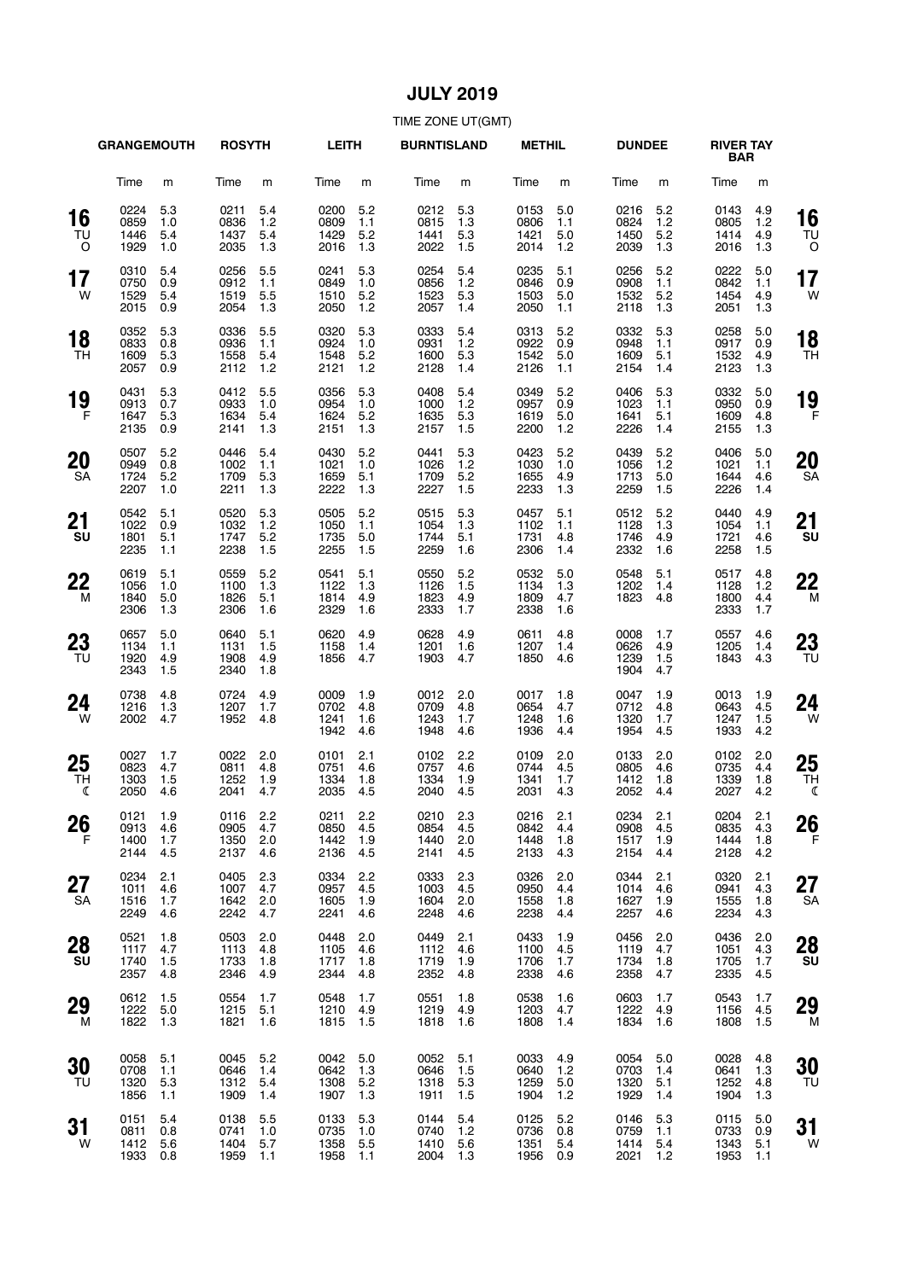#### **JULY 2019**

|                     | <b>GRANGEMOUTH</b>           |                          | <b>ROSYTH</b>                    |                          | <b>LEITH</b>                     |                            | <b>BURNTISLAND</b>               |                          | <b>METHIL</b>                    |                          | <b>DUNDEE</b>                    |                            | <b>RIVER TAY</b><br><b>BAR</b> |                          |                      |
|---------------------|------------------------------|--------------------------|----------------------------------|--------------------------|----------------------------------|----------------------------|----------------------------------|--------------------------|----------------------------------|--------------------------|----------------------------------|----------------------------|--------------------------------|--------------------------|----------------------|
|                     | Time                         | m                        | Time                             | m                        | Time                             | m                          | Time                             | m                        | Time                             | m                        | Time                             | m                          | Time                           | m                        |                      |
| 16<br>TU<br>$\circ$ | 0224<br>0859<br>1446<br>1929 | 5.3<br>1.0<br>5.4<br>1.0 | 0211<br>0836<br>1437<br>2035     | 5.4<br>1.2<br>5.4<br>1.3 | 0200<br>0809<br>1429<br>2016     | 5.2<br>1.1<br>5.2<br>1.3   | 0212<br>0815<br>1441<br>2022     | 5.3<br>1.3<br>5.3<br>1.5 | 0153<br>0806<br>1421<br>2014     | 5.0<br>1.1<br>5.0<br>1.2 | 0216<br>0824<br>1450<br>2039     | 5.2<br>$1.2$<br>5.2<br>1.3 | 0143<br>0805<br>1414<br>2016   | 4.9<br>1.2<br>4.9<br>1.3 | 16<br>TU<br>O        |
| 17<br>W             | 0310<br>0750<br>1529<br>2015 | 5.4<br>0.9<br>5.4<br>0.9 | 0256<br>0912<br>1519<br>2054     | 5.5<br>1.1<br>5.5<br>1.3 | 0241<br>0849<br>1510<br>2050     | 5.3<br>1.0<br>5.2<br>1.2   | 0254<br>0856<br>1523<br>2057     | 5.4<br>1.2<br>5.3<br>1.4 | 0235<br>0846<br>1503<br>2050     | 5.1<br>0.9<br>5.0<br>1.1 | 0256<br>0908<br>1532<br>2118     | 5.2<br>1.1<br>5.2<br>1.3   | 0222<br>0842<br>1454<br>2051   | 5.0<br>1.1<br>4.9<br>1.3 | 17<br>W              |
| 18<br>TН            | 0352<br>0833<br>1609<br>2057 | 5.3<br>0.8<br>5.3<br>0.9 | 0336<br>0936<br>1558<br>2112     | 5.5<br>1.1<br>5.4<br>1.2 | 0320<br>0924<br>1548<br>2121     | 5.3<br>1.0<br>5.2<br>$1.2$ | 0333<br>0931<br>1600<br>2128     | 5.4<br>1.2<br>5.3<br>1.4 | 0313<br>0922<br>1542<br>2126     | 5.2<br>0.9<br>5.0<br>1.1 | 0332<br>0948<br>1609<br>2154     | 5.3<br>1.1<br>5.1<br>1.4   | 0258<br>0917<br>1532<br>2123   | 5.0<br>0.9<br>4.9<br>1.3 | 18<br><b>TH</b>      |
| 19<br>F             | 0431<br>0913<br>1647<br>2135 | 5.3<br>0.7<br>5.3<br>0.9 | 0412<br>0933<br>1634<br>2141     | 5.5<br>1.0<br>5.4<br>1.3 | 0356<br>0954<br>1624<br>2151     | 5.3<br>1.0<br>5.2<br>1.3   | 0408<br>1000<br>1635<br>2157     | 5.4<br>1.2<br>5.3<br>1.5 | 0349<br>0957<br>1619<br>2200     | 5.2<br>0.9<br>5.0<br>1.2 | 0406<br>1023<br>1641<br>2226     | 5.3<br>1.1<br>5.1<br>1.4   | 0332<br>0950<br>1609<br>2155   | 5.0<br>0.9<br>4.8<br>1.3 | 19<br>F              |
| 20<br><b>SA</b>     | 0507<br>0949<br>1724<br>2207 | 5.2<br>0.8<br>5.2<br>1.0 | 0446<br>1002<br>1709<br>2211     | 5.4<br>1.1<br>5.3<br>1.3 | 0430<br>1021<br>1659<br>2222     | 5.2<br>1.0<br>5.1<br>1.3   | 0441<br>1026<br>1709<br>2227     | 5.3<br>1.2<br>5.2<br>1.5 | 0423<br>1030<br>1655<br>2233     | 5.2<br>1.0<br>4.9<br>1.3 | 0439<br>1056<br>1713<br>2259     | 5.2<br>1.2<br>5.0<br>1.5   | 0406<br>1021<br>1644<br>2226   | 5.0<br>1.1<br>4.6<br>1.4 | 20<br><b>SA</b>      |
| 21<br>SU            | 0542<br>1022<br>1801<br>2235 | 5.1<br>0.9<br>5.1<br>1.1 | 0520<br>1032<br>1747<br>2238     | 5.3<br>1.2<br>5.2<br>1.5 | 0505<br>1050<br>1735<br>2255     | 5.2<br>1.1<br>5.0<br>1.5   | 0515<br>1054<br>1744<br>2259     | 5.3<br>1.3<br>5.1<br>1.6 | 0457<br>1102<br>1731<br>2306     | 5.1<br>1.1<br>4.8<br>1.4 | 0512<br>1128<br>1746<br>2332     | 5.2<br>1.3<br>4.9<br>1.6   | 0440<br>1054<br>1721<br>2258   | 4.9<br>1.1<br>4.6<br>1.5 | 21<br>SU             |
| 22<br>M             | 0619<br>1056<br>1840<br>2306 | 5.1<br>1.0<br>5.0<br>1.3 | 0559<br>1100<br>1826<br>2306     | 5.2<br>1.3<br>5.1<br>1.6 | 0541<br>1122<br>1814<br>2329     | 5.1<br>1.3<br>4.9<br>1.6   | 0550<br>1126<br>1823<br>2333     | 5.2<br>1.5<br>4.9<br>1.7 | 0532<br>1134<br>1809<br>2338     | 5.0<br>1.3<br>4.7<br>1.6 | 0548<br>1202<br>1823             | 5.1<br>1.4<br>4.8          | 0517<br>1128<br>1800<br>2333   | 4.8<br>1.2<br>4.4<br>1.7 | 22<br>M              |
| 23<br>TU            | 0657<br>1134<br>1920<br>2343 | 5.0<br>1.1<br>4.9<br>1.5 | 0640<br>1131<br>1908<br>2340     | 5.1<br>1.5<br>4.9<br>1.8 | 0620<br>1158<br>1856             | 4.9<br>1.4<br>4.7          | 0628<br>1201<br>1903             | 4.9<br>1.6<br>4.7        | 0611<br>1207<br>1850             | 4.8<br>1.4<br>4.6        | 0008<br>0626<br>1239<br>1904     | 1.7<br>4.9<br>1.5<br>4.7   | 0557<br>1205<br>1843           | 4.6<br>1.4<br>4.3        | 23<br>TU             |
| 24<br>W             | 0738<br>1216<br>2002         | 4.8<br>1.3<br>4.7        | 0724<br>1207<br>1952             | 4.9<br>1.7<br>4.8        | 0009<br>0702<br>1241<br>1942     | 1.9<br>4.8<br>1.6<br>4.6   | 0012<br>0709<br>1243<br>1948     | 2.0<br>4.8<br>1.7<br>4.6 | 0017<br>0654<br>1248<br>1936     | 1.8<br>4.7<br>1.6<br>4.4 | 0047<br>0712<br>1320<br>1954     | 1.9<br>4.8<br>1.7<br>4.5   | 0013<br>0643<br>1247<br>1933   | 1.9<br>4.5<br>1.5<br>4.2 | 24<br>W              |
| 25<br>TН<br>ℭ       | 0027<br>0823<br>1303<br>2050 | 1.7<br>4.7<br>1.5<br>4.6 | 0022<br>0811<br>1252<br>2041     | 2.0<br>4.8<br>1.9<br>4.7 | 0101<br>0751<br>1334<br>2035     | 2.1<br>4.6<br>1.8<br>4.5   | 0102<br>0757<br>1334<br>2040     | 2.2<br>4.6<br>1.9<br>4.5 | 0109<br>0744<br>1341<br>2031     | 2.0<br>4.5<br>1.7<br>4.3 | 0133<br>0805<br>1412<br>2052     | 2.0<br>4.6<br>1.8<br>4.4   | 0102<br>0735<br>1339<br>2027   | 2.0<br>4.4<br>1.8<br>4.2 | 25<br><b>TH</b><br>ℭ |
| 26<br>F             | 0121<br>0913<br>1400<br>2144 | 1.9<br>4.6<br>1.7<br>4.5 | 0116 2.2<br>0905<br>1350<br>2137 | 4.7<br>2.0<br>4.6        | 0211 2.2<br>0850<br>1442<br>2136 | 4.5<br>1.9<br>4.5          | 0210 2.3<br>0854<br>1440<br>2141 | 4.5<br>2.0<br>4.5        | 0216 2.1<br>0842<br>1448<br>2133 | 4.4<br>1.8<br>4.3        | 0234 2.1<br>0908<br>1517<br>2154 | 4.5<br>1.9<br>4.4          | 0204<br>0835<br>1444<br>2128   | 2.1<br>4.3<br>1.8<br>4.2 | 26<br>F              |
| 27<br>SA            | 0234<br>1011<br>1516<br>2249 | 2.1<br>4.6<br>1.7<br>4.6 | 0405<br>1007<br>1642<br>2242     | 2.3<br>4.7<br>2.0<br>4.7 | 0334<br>0957<br>1605<br>2241     | 2.2<br>4.5<br>1.9<br>4.6   | 0333<br>1003<br>1604<br>2248     | 2.3<br>4.5<br>2.0<br>4.6 | 0326<br>0950<br>1558<br>2238     | 2.0<br>4.4<br>1.8<br>4.4 | 0344<br>1014<br>1627<br>2257     | 2.1<br>4.6<br>1.9<br>4.6   | 0320<br>0941<br>1555<br>2234   | 2.1<br>4.3<br>1.8<br>4.3 | 27<br><b>SA</b>      |
| 28<br>SU            | 0521<br>1117<br>1740<br>2357 | 1.8<br>4.7<br>1.5<br>4.8 | 0503<br>1113<br>1733<br>2346     | 2.0<br>4.8<br>1.8<br>4.9 | 0448<br>1105<br>1717<br>2344     | 2.0<br>4.6<br>1.8<br>4.8   | 0449<br>1112<br>1719<br>2352     | 2.1<br>4.6<br>1.9<br>4.8 | 0433<br>1100<br>1706<br>2338     | 1.9<br>4.5<br>1.7<br>4.6 | 0456<br>1119<br>1734<br>2358     | 2.0<br>4.7<br>1.8<br>4.7   | 0436<br>1051<br>1705<br>2335   | 2.0<br>4.3<br>1.7<br>4.5 | 28<br>SU             |
| 29<br>м             | 0612<br>1222<br>1822         | 1.5<br>5.0<br>1.3        | 0554<br>1215<br>1821             | 1.7<br>5.1<br>1.6        | 0548<br>1210<br>1815             | 1.7<br>4.9<br>1.5          | 0551<br>1219<br>1818             | 1.8<br>4.9<br>1.6        | 0538<br>1203<br>1808             | 1.6<br>4.7<br>1.4        | 0603<br>1222<br>1834             | 1.7<br>4.9<br>1.6          | 0543<br>1156<br>1808           | 1.7<br>4.5<br>1.5        | 29<br>M              |
| 30<br>TU            | 0058<br>0708<br>1320<br>1856 | 5.1<br>1.1<br>5.3<br>1.1 | 0045<br>0646<br>1312<br>1909     | 5.2<br>1.4<br>5.4<br>1.4 | 0042<br>0642<br>1308<br>1907     | 5.0<br>1.3<br>5.2<br>1.3   | 0052<br>0646<br>1318<br>1911     | 5.1<br>1.5<br>5.3<br>1.5 | 0033<br>0640<br>1259<br>1904     | 4.9<br>1.2<br>5.0<br>1.2 | 0054<br>0703<br>1320<br>1929     | 5.0<br>1.4<br>5.1<br>1.4   | 0028<br>0641<br>1252<br>1904   | 4.8<br>1.3<br>4.8<br>1.3 | 30<br>TU             |
| 31<br>W             | 0151<br>0811<br>1412<br>1933 | 5.4<br>0.8<br>5.6<br>0.8 | 0138<br>0741<br>1404<br>1959     | 5.5<br>1.0<br>5.7<br>1.1 | 0133<br>0735<br>1358<br>1958     | 5.3<br>1.0<br>5.5<br>1.1   | 0144<br>0740<br>1410<br>2004     | 5.4<br>1.2<br>5.6<br>1.3 | 0125<br>0736<br>1351<br>1956     | 5.2<br>0.8<br>5.4<br>0.9 | 0146<br>0759<br>1414<br>2021     | 5.3<br>1.1<br>5.4<br>$1.2$ | 0115<br>0733<br>1343<br>1953   | 5.0<br>0.9<br>5.1<br>1.1 | 31<br>W              |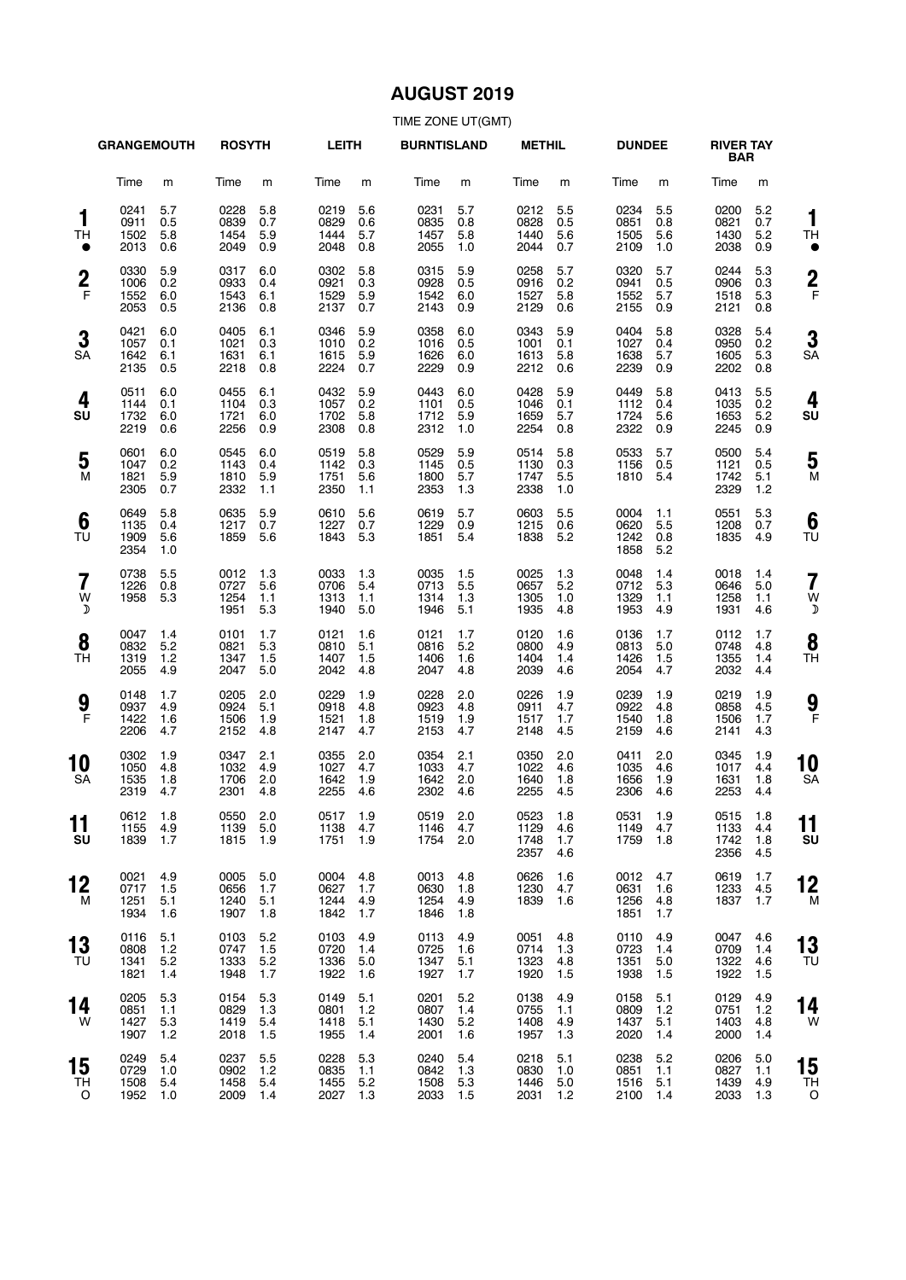### **AUGUST 2019**

|                         | <b>GRANGEMOUTH</b>           |                            | <b>ROSYTH</b>                |                          | <b>LEITH</b>                 |                          | <b>BURNTISLAND</b>           |                          | <b>METHIL</b>                    |                          | <b>DUNDEE</b>                |                            | <b>RIVER TAY</b><br><b>BAR</b>   |                          |                     |
|-------------------------|------------------------------|----------------------------|------------------------------|--------------------------|------------------------------|--------------------------|------------------------------|--------------------------|----------------------------------|--------------------------|------------------------------|----------------------------|----------------------------------|--------------------------|---------------------|
|                         | Time                         | m                          | Time                         | m                        | Time                         | m                        | Time                         | m                        | Time                             | m                        | Time                         | m                          | Time                             | m                        |                     |
| 1<br><b>TH</b><br>0     | 0241<br>0911<br>1502<br>2013 | 5.7<br>0.5<br>5.8<br>0.6   | 0228<br>0839<br>1454<br>2049 | 5.8<br>0.7<br>5.9<br>0.9 | 0219<br>0829<br>1444<br>2048 | 5.6<br>0.6<br>5.7<br>0.8 | 0231<br>0835<br>1457<br>2055 | 5.7<br>0.8<br>5.8<br>1.0 | 0212<br>0828<br>1440<br>2044     | 5.5<br>0.5<br>5.6<br>0.7 | 0234<br>0851<br>1505<br>2109 | 5.5<br>0.8<br>5.6<br>1.0   | 0200<br>0821<br>1430<br>2038     | 5.2<br>0.7<br>5.2<br>0.9 | 1<br>ΤH             |
| $\frac{2}{F}$           | 0330<br>1006<br>1552<br>2053 | 5.9<br>0.2<br>6.0<br>0.5   | 0317<br>0933<br>1543<br>2136 | 6.0<br>0.4<br>6.1<br>0.8 | 0302<br>0921<br>1529<br>2137 | 5.8<br>0.3<br>5.9<br>0.7 | 0315<br>0928<br>1542<br>2143 | 5.9<br>0.5<br>6.0<br>0.9 | 0258<br>0916<br>1527<br>2129     | 5.7<br>0.2<br>5.8<br>0.6 | 0320<br>0941<br>1552<br>2155 | 5.7<br>0.5<br>5.7<br>0.9   | 0244<br>0906<br>1518<br>2121     | 5.3<br>0.3<br>5.3<br>0.8 | $\overline{2}$<br>F |
| 3<br><b>SA</b>          | 0421<br>1057<br>1642<br>2135 | 6.0<br>0.1<br>6.1<br>0.5   | 0405<br>1021<br>1631<br>2218 | 6.1<br>0.3<br>6.1<br>0.8 | 0346<br>1010<br>1615<br>2224 | 5.9<br>0.2<br>5.9<br>0.7 | 0358<br>1016<br>1626<br>2229 | 6.0<br>0.5<br>6.0<br>0.9 | 0343<br>1001<br>1613<br>2212     | 5.9<br>0.1<br>5.8<br>0.6 | 0404<br>1027<br>1638<br>2239 | 5.8<br>0.4<br>5.7<br>0.9   | 0328<br>0950<br>1605<br>2202     | 5.4<br>0.2<br>5.3<br>0.8 | 3<br>SΑ             |
| 4<br>SU                 | 0511<br>1144<br>1732<br>2219 | 6.0<br>0.1<br>6.0<br>0.6   | 0455<br>1104<br>1721<br>2256 | 6.1<br>0.3<br>6.0<br>0.9 | 0432<br>1057<br>1702<br>2308 | 5.9<br>0.2<br>5.8<br>0.8 | 0443<br>1101<br>1712<br>2312 | 6.0<br>0.5<br>5.9<br>1.0 | 0428<br>1046<br>1659<br>2254     | 5.9<br>0.1<br>5.7<br>0.8 | 0449<br>1112<br>1724<br>2322 | 5.8<br>0.4<br>5.6<br>0.9   | 0413<br>1035<br>1653<br>2245     | 5.5<br>0.2<br>5.2<br>0.9 | 4<br>SU             |
| 5<br>M                  | 0601<br>1047<br>1821<br>2305 | 6.0<br>0.2<br>5.9<br>0.7   | 0545<br>1143<br>1810<br>2332 | 6.0<br>0.4<br>5.9<br>1.1 | 0519<br>1142<br>1751<br>2350 | 5.8<br>0.3<br>5.6<br>1.1 | 0529<br>1145<br>1800<br>2353 | 5.9<br>0.5<br>5.7<br>1.3 | 0514<br>1130<br>1747<br>2338     | 5.8<br>0.3<br>5.5<br>1.0 | 0533<br>1156<br>1810         | 5.7<br>0.5<br>5.4          | 0500<br>1121<br>1742<br>2329     | 5.4<br>0.5<br>5.1<br>1.2 | 5<br>M              |
| 6<br>TU                 | 0649<br>1135<br>1909<br>2354 | 5.8<br>0.4<br>5.6<br>1.0   | 0635<br>1217<br>1859         | 5.9<br>0.7<br>5.6        | 0610<br>1227<br>1843         | 5.6<br>0.7<br>5.3        | 0619<br>1229<br>1851         | 5.7<br>0.9<br>5.4        | 0603<br>1215<br>1838             | 5.5<br>0.6<br>5.2        | 0004<br>0620<br>1242<br>1858 | 1.1<br>5.5<br>0.8<br>5.2   | 0551<br>1208<br>1835             | 5.3<br>0.7<br>4.9        | 6<br>TU             |
| 7<br>W<br>$\mathcal{D}$ | 0738<br>1226<br>1958         | 5.5<br>0.8<br>5.3          | 0012<br>0727<br>1254<br>1951 | 1.3<br>5.6<br>1.1<br>5.3 | 0033<br>0706<br>1313<br>1940 | 1.3<br>5.4<br>1.1<br>5.0 | 0035<br>0713<br>1314<br>1946 | 1.5<br>5.5<br>1.3<br>5.1 | 0025<br>0657<br>1305<br>1935     | 1.3<br>5.2<br>1.0<br>4.8 | 0048<br>0712<br>1329<br>1953 | 1.4<br>5.3<br>1.1<br>4.9   | 0018<br>0646<br>1258<br>1931     | 1.4<br>5.0<br>1.1<br>4.6 | W<br>J              |
| 8<br>TH                 | 0047<br>0832<br>1319<br>2055 | 1.4<br>5.2<br>1.2<br>4.9   | 0101<br>0821<br>1347<br>2047 | 1.7<br>5.3<br>1.5<br>5.0 | 0121<br>0810<br>1407<br>2042 | 1.6<br>5.1<br>1.5<br>4.8 | 0121<br>0816<br>1406<br>2047 | 1.7<br>5.2<br>1.6<br>4.8 | 0120<br>0800<br>1404<br>2039     | 1.6<br>4.9<br>1.4<br>4.6 | 0136<br>0813<br>1426<br>2054 | 1.7<br>5.0<br>1.5<br>4.7   | 0112<br>0748<br>1355<br>2032     | 1.7<br>4.8<br>1.4<br>4.4 | 8<br>ΤH             |
| 9 <sub>F</sub>          | 0148<br>0937<br>1422<br>2206 | 1.7<br>4.9<br>1.6<br>4.7   | 0205<br>0924<br>1506<br>2152 | 2.0<br>5.1<br>1.9<br>4.8 | 0229<br>0918<br>1521<br>2147 | 1.9<br>4.8<br>1.8<br>4.7 | 0228<br>0923<br>1519<br>2153 | 2.0<br>4.8<br>1.9<br>4.7 | 0226<br>0911<br>1517<br>2148     | 1.9<br>4.7<br>1.7<br>4.5 | 0239<br>0922<br>1540<br>2159 | 1.9<br>4.8<br>1.8<br>4.6   | 0219<br>0858<br>1506<br>2141     | 1.9<br>4.5<br>1.7<br>4.3 | 9<br>F              |
| 10<br>SA                | 0302<br>1050<br>1535<br>2319 | 1.9<br>4.8<br>1.8<br>4.7   | 0347<br>1032<br>1706<br>2301 | 2.1<br>4.9<br>2.0<br>4.8 | 0355<br>1027<br>1642<br>2255 | 2.0<br>4.7<br>1.9<br>4.6 | 0354<br>1033<br>1642<br>2302 | 2.1<br>4.7<br>2.0<br>4.6 | 0350<br>1022<br>1640<br>2255     | 2.0<br>4.6<br>1.8<br>4.5 | 0411<br>1035<br>1656<br>2306 | 2.0<br>4.6<br>1.9<br>4.6   | 0345<br>1017<br>1631<br>2253     | 1.9<br>4.4<br>1.8<br>4.4 | 10<br><b>SA</b>     |
| . .<br>11<br>SU         | 0612 1.8<br>1155<br>1839     | 4.9<br>1.7                 | 0550 2.0<br>1139 5.0<br>1815 | 1.9                      | 0517 1.9<br>1138<br>1751     | 4.7<br>1.9               | 0519 2.0<br>1146<br>1754     | 4.7<br>2.0               | 0523 1.8<br>1129<br>1748<br>2357 | 4.6<br>1.7<br>4.6        | 0531 1.9<br>1149<br>1759     | 4.7<br>1.8                 | 0515 1.8<br>1133<br>1742<br>2356 | 4.4<br>1.8<br>4.5        | . .<br>11<br>su     |
| 12<br>M                 | 0021<br>0717<br>1251<br>1934 | 4.9<br>1.5<br>5.1<br>1.6   | 0005<br>0656<br>1240<br>1907 | 5.0<br>1.7<br>5.1<br>1.8 | 0004<br>0627<br>1244<br>1842 | 4.8<br>1.7<br>4.9<br>1.7 | 0013<br>0630<br>1254<br>1846 | 4.8<br>1.8<br>4.9<br>1.8 | 0626<br>1230<br>1839             | 1.6<br>4.7<br>1.6        | 0012<br>0631<br>1256<br>1851 | 4.7<br>1.6<br>4.8<br>1.7   | 0619<br>1233<br>1837             | 1.7<br>4.5<br>1.7        | 12<br>M             |
| 13<br>TU                | 0116<br>0808<br>1341<br>1821 | 5.1<br>$1.2$<br>5.2<br>1.4 | 0103<br>0747<br>1333<br>1948 | 5.2<br>1.5<br>5.2<br>1.7 | 0103<br>0720<br>1336<br>1922 | 4.9<br>1.4<br>5.0<br>1.6 | 0113<br>0725<br>1347<br>1927 | 4.9<br>1.6<br>5.1<br>1.7 | 0051<br>0714<br>1323<br>1920     | 4.8<br>1.3<br>4.8<br>1.5 | 0110<br>0723<br>1351<br>1938 | 4.9<br>1.4<br>5.0<br>1.5   | 0047<br>0709<br>1322<br>1922     | 4.6<br>1.4<br>4.6<br>1.5 | 13<br>TU            |
| 14<br>W                 | 0205<br>0851<br>1427<br>1907 | 5.3<br>1.1<br>5.3<br>1.2   | 0154<br>0829<br>1419<br>2018 | 5.3<br>1.3<br>5.4<br>1.5 | 0149<br>0801<br>1418<br>1955 | 5.1<br>1.2<br>5.1<br>1.4 | 0201<br>0807<br>1430<br>2001 | 5.2<br>1.4<br>5.2<br>1.6 | 0138<br>0755<br>1408<br>1957     | 4.9<br>1.1<br>4.9<br>1.3 | 0158<br>0809<br>1437<br>2020 | 5.1<br>$1.2$<br>5.1<br>1.4 | 0129<br>0751<br>1403<br>2000     | 4.9<br>1.2<br>4.8<br>1.4 | 14<br>W             |
| 15<br>TН<br>O           | 0249<br>0729<br>1508<br>1952 | 5.4<br>1.0<br>5.4<br>1.0   | 0237<br>0902<br>1458<br>2009 | 5.5<br>1.2<br>5.4<br>1.4 | 0228<br>0835<br>1455<br>2027 | 5.3<br>1.1<br>5.2<br>1.3 | 0240<br>0842<br>1508<br>2033 | 5.4<br>1.3<br>5.3<br>1.5 | 0218<br>0830<br>1446<br>2031     | 5.1<br>1.0<br>5.0<br>1.2 | 0238<br>0851<br>1516<br>2100 | 5.2<br>1.1<br>5.1<br>1.4   | 0206<br>0827<br>1439<br>2033     | 5.0<br>1.1<br>4.9<br>1.3 | 15<br>TΗ<br>C       |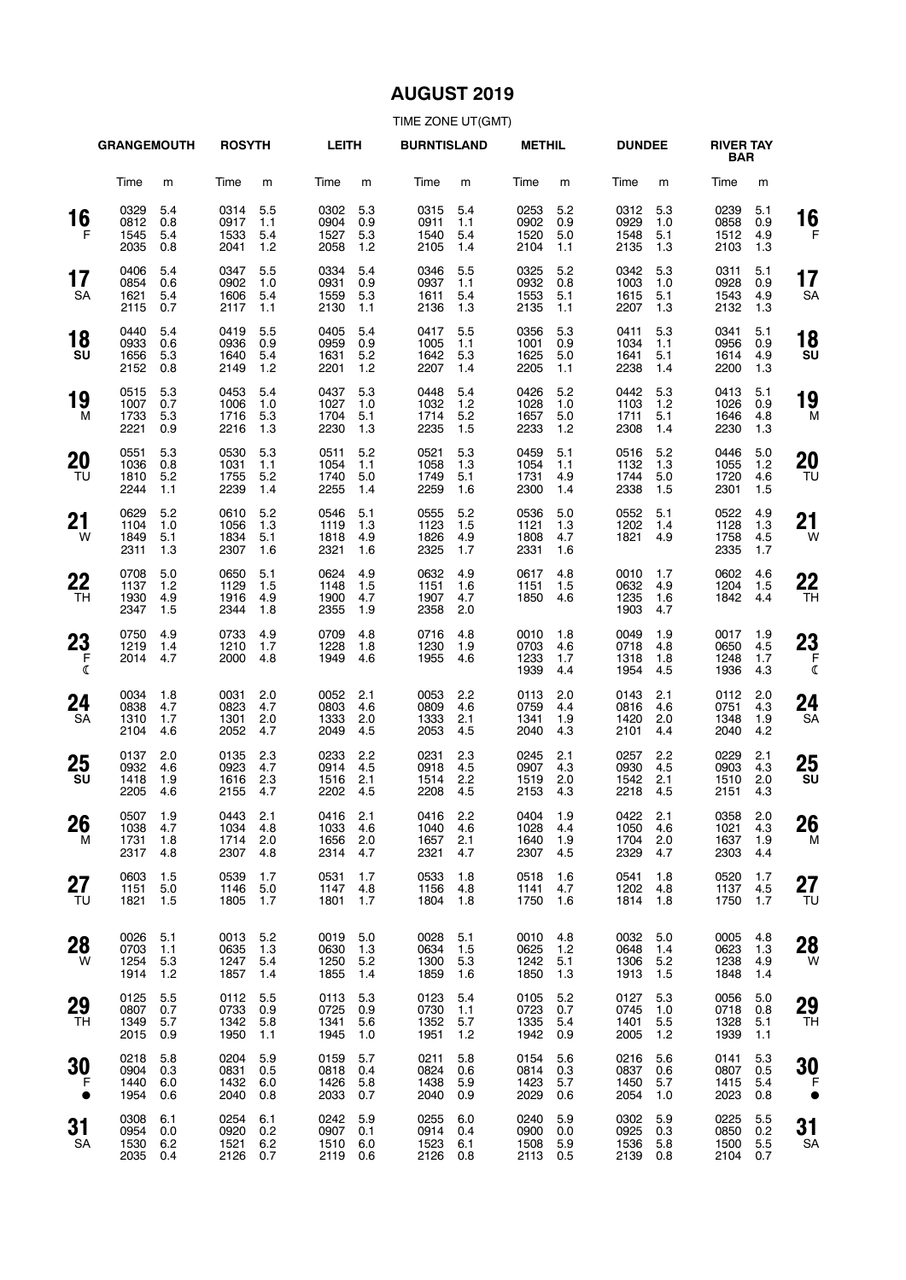# **AUGUST 2019**

|                             | <b>GRANGEMOUTH</b>               |                          | <b>ROSYTH</b>                    |                          | <b>LEITH</b>                     |                          | <b>BURNTISLAND</b>               |                          | <b>METHIL</b>                    |                          | <b>DUNDEE</b>                    |                            | <b>RIVER TAY</b><br><b>BAR</b> |                          |                 |
|-----------------------------|----------------------------------|--------------------------|----------------------------------|--------------------------|----------------------------------|--------------------------|----------------------------------|--------------------------|----------------------------------|--------------------------|----------------------------------|----------------------------|--------------------------------|--------------------------|-----------------|
|                             | Time                             | m                        | Time                             | m                        | Time                             | m                        | Time                             | m                        | Time                             | m                        | Time                             | m                          | Time                           | m                        |                 |
| $16 \nF$                    | 0329<br>0812<br>1545<br>2035     | 5.4<br>0.8<br>5.4<br>0.8 | 0314<br>0917<br>1533<br>2041     | 5.5<br>1.1<br>5.4<br>1.2 | 0302<br>0904<br>1527<br>2058     | 5.3<br>0.9<br>5.3<br>1.2 | 0315<br>0911<br>1540<br>2105     | 5.4<br>1.1<br>5.4<br>1.4 | 0253<br>0902<br>1520<br>2104     | 5.2<br>0.9<br>5.0<br>1.1 | 0312<br>0929<br>1548<br>2135     | 5.3<br>1.0<br>5.1<br>1.3   | 0239<br>0858<br>1512<br>2103   | 5.1<br>0.9<br>4.9<br>1.3 | 16<br>F         |
| 17<br>SA                    | 0406<br>0854<br>1621<br>2115     | 5.4<br>0.6<br>5.4<br>0.7 | 0347<br>0902<br>1606<br>2117     | 5.5<br>1.0<br>5.4<br>1.1 | 0334<br>0931<br>1559<br>2130     | 5.4<br>0.9<br>5.3<br>1.1 | 0346<br>0937<br>1611<br>2136     | 5.5<br>1.1<br>5.4<br>1.3 | 0325<br>0932<br>1553<br>2135     | 5.2<br>0.8<br>5.1<br>1.1 | 0342<br>1003<br>1615<br>2207     | 5.3<br>1.0<br>5.1<br>1.3   | 0311<br>0928<br>1543<br>2132   | 5.1<br>0.9<br>4.9<br>1.3 | 17<br><b>SA</b> |
| 18<br>SU                    | 0440<br>0933<br>1656<br>2152     | 5.4<br>0.6<br>5.3<br>0.8 | 0419<br>0936<br>1640<br>2149     | 5.5<br>0.9<br>5.4<br>1.2 | 0405<br>0959<br>1631<br>2201     | 5.4<br>0.9<br>5.2<br>1.2 | 0417<br>1005<br>1642<br>2207     | 5.5<br>1.1<br>5.3<br>1.4 | 0356<br>1001<br>1625<br>2205     | 5.3<br>0.9<br>5.0<br>1.1 | 0411<br>1034<br>1641<br>2238     | 5.3<br>1.1<br>5.1<br>1.4   | 0341<br>0956<br>1614<br>2200   | 5.1<br>0.9<br>4.9<br>1.3 | 18<br>SU        |
| 19<br>м                     | 0515<br>1007<br>1733<br>2221     | 5.3<br>0.7<br>5.3<br>0.9 | 0453<br>1006<br>1716<br>2216     | 5.4<br>1.0<br>5.3<br>1.3 | 0437<br>1027<br>1704<br>2230     | 5.3<br>1.0<br>5.1<br>1.3 | 0448<br>1032<br>1714<br>2235     | 5.4<br>1.2<br>5.2<br>1.5 | 0426<br>1028<br>1657<br>2233     | 5.2<br>1.0<br>5.0<br>1.2 | 0442<br>1103<br>1711<br>2308     | 5.3<br>1.2<br>5.1<br>1.4   | 0413<br>1026<br>1646<br>2230   | 5.1<br>0.9<br>4.8<br>1.3 | 19<br>M         |
| <b>20</b><br>TU             | 0551<br>1036<br>1810<br>2244     | 5.3<br>0.8<br>5.2<br>1.1 | 0530<br>1031<br>1755<br>2239     | 5.3<br>1.1<br>5.2<br>1.4 | 0511<br>1054<br>1740<br>2255     | 5.2<br>1.1<br>5.0<br>1.4 | 0521<br>1058<br>1749<br>2259     | 5.3<br>1.3<br>5.1<br>1.6 | 0459<br>1054<br>1731<br>2300     | 5.1<br>1.1<br>4.9<br>1.4 | 0516<br>1132<br>1744<br>2338     | 5.2<br>1.3<br>5.0<br>1.5   | 0446<br>1055<br>1720<br>2301   | 5.0<br>1.2<br>4.6<br>1.5 | 20<br>TU        |
| 21<br><b>W</b>              | 0629<br>1104<br>1849<br>2311     | 5.2<br>1.0<br>5.1<br>1.3 | 0610<br>1056<br>1834<br>2307     | 5.2<br>1.3<br>5.1<br>1.6 | 0546<br>1119<br>1818<br>2321     | 5.1<br>1.3<br>4.9<br>1.6 | 0555<br>1123<br>1826<br>2325     | 5.2<br>1.5<br>4.9<br>1.7 | 0536<br>1121<br>1808<br>2331     | 5.0<br>1.3<br>4.7<br>1.6 | 0552<br>1202<br>1821             | 5.1<br>1.4<br>4.9          | 0522<br>1128<br>1758<br>2335   | 4.9<br>1.3<br>4.5<br>1.7 | 21<br>W         |
| 22<br>TH                    | 0708<br>1137<br>1930<br>2347     | 5.0<br>1.2<br>4.9<br>1.5 | 0650<br>1129<br>1916<br>2344     | 5.1<br>1.5<br>4.9<br>1.8 | 0624<br>1148<br>1900<br>2355     | 4.9<br>1.5<br>4.7<br>1.9 | 0632<br>1151<br>1907<br>2358     | 4.9<br>1.6<br>4.7<br>2.0 | 0617<br>1151<br>1850             | 4.8<br>1.5<br>4.6        | 0010<br>0632<br>1235<br>1903     | 1.7<br>4.9<br>1.6<br>4.7   | 0602<br>1204<br>1842           | 4.6<br>1.5<br>4.4        | 22<br>TН        |
| 23<br>$F$<br>$\overline{F}$ | 0750<br>1219<br>2014             | 4.9<br>1.4<br>4.7        | 0733<br>1210<br>2000             | 4.9<br>1.7<br>4.8        | 0709<br>1228<br>1949             | 4.8<br>1.8<br>4.6        | 0716<br>1230<br>1955             | 4.8<br>1.9<br>4.6        | 0010<br>0703<br>1233<br>1939     | 1.8<br>4.6<br>1.7<br>4.4 | 0049<br>0718<br>1318<br>1954     | 1.9<br>4.8<br>1.8<br>4.5   | 0017<br>0650<br>1248<br>1936   | 1.9<br>4.5<br>1.7<br>4.3 | 23<br>- F<br>€  |
| 24<br><b>SA</b>             | 0034<br>0838<br>1310<br>2104     | 1.8<br>4.7<br>1.7<br>4.6 | 0031<br>0823<br>1301<br>2052     | 2.0<br>4.7<br>2.0<br>4.7 | 0052<br>0803<br>1333<br>2049     | 2.1<br>4.6<br>2.0<br>4.5 | 0053<br>0809<br>1333<br>2053     | 2.2<br>4.6<br>2.1<br>4.5 | 0113<br>0759<br>1341<br>2040     | 2.0<br>4.4<br>1.9<br>4.3 | 0143<br>0816<br>1420<br>2101     | 2.1<br>4.6<br>2.0<br>4.4   | 0112<br>0751<br>1348<br>2040   | 2.0<br>4.3<br>1.9<br>4.2 | 24<br><b>SA</b> |
| 25<br>SU                    | 0137<br>0932<br>1418<br>2205     | 2.0<br>4.6<br>1.9<br>4.6 | 0135<br>0923<br>1616<br>2155     | 2.3<br>4.7<br>2.3<br>4.7 | 0233<br>0914<br>1516<br>2202     | 2.2<br>4.5<br>2.1<br>4.5 | 0231<br>0918<br>1514<br>2208     | 2.3<br>4.5<br>2.2<br>4.5 | 0245<br>0907<br>1519<br>2153     | 2.1<br>4.3<br>2.0<br>4.3 | 0257<br>0930<br>1542<br>2218     | 2.2<br>4.5<br>2.1<br>4.5   | 0229<br>0903<br>1510<br>2151   | 2.1<br>4.3<br>2.0<br>4.3 | 25<br>SU        |
| 26<br>M                     | 0507 1.9<br>1038<br>1731<br>2317 | 4.7<br>1.8<br>4.8        | 0443 2.1<br>1034<br>1714<br>2307 | 4.8<br>2.0<br>4.8        | 0416 2.1<br>1033<br>1656<br>2314 | -4.6<br>2.0<br>4.7       | 0416 2.2<br>1040<br>1657<br>2321 | 4.6<br>2.1<br>4.7        | 0404 1.9<br>1028<br>1640<br>2307 | 4.4<br>1.9<br>4.5        | 0422 2.1<br>1050<br>1704<br>2329 | 4.6<br>2.0<br>4.7          | 0358<br>1021<br>1637<br>2303   | 2.0<br>4.3<br>1.9<br>4.4 | 26<br>M         |
| 27<br>TU                    | 0603<br>1151<br>1821             | 1.5<br>5.0<br>1.5        | 0539<br>1146<br>1805             | 1.7<br>5.0<br>1.7        | 0531<br>1147<br>1801             | 1.7<br>4.8<br>1.7        | 0533<br>1156<br>1804             | 1.8<br>4.8<br>1.8        | 0518<br>1141<br>1750             | 1.6<br>4.7<br>1.6        | 0541<br>1202<br>1814             | 1.8<br>4.8<br>1.8          | 0520<br>1137<br>1750           | 1.7<br>4.5<br>1.7        | 27<br>TU        |
| 28<br>W                     | 0026<br>0703<br>1254<br>1914     | 5.1<br>1.1<br>5.3<br>1.2 | 0013<br>0635<br>1247<br>1857     | 5.2<br>1.3<br>5.4<br>1.4 | 0019<br>0630<br>1250<br>1855     | 5.0<br>1.3<br>5.2<br>1.4 | 0028<br>0634<br>1300<br>1859     | 5.1<br>1.5<br>5.3<br>1.6 | 0010<br>0625<br>1242<br>1850     | 4.8<br>1.2<br>5.1<br>1.3 | 0032<br>0648<br>1306<br>1913     | 5.0<br>1.4<br>5.2<br>1.5   | 0005<br>0623<br>1238<br>1848   | 4.8<br>1.3<br>4.9<br>1.4 | 28<br>W         |
| 29<br>TH                    | 0125<br>0807<br>1349<br>2015     | 5.5<br>0.7<br>5.7<br>0.9 | 0112<br>0733<br>1342<br>1950     | 5.5<br>0.9<br>5.8<br>1.1 | 0113<br>0725<br>1341<br>1945     | 5.3<br>0.9<br>5.6<br>1.0 | 0123<br>0730<br>1352<br>1951     | 5.4<br>1.1<br>5.7<br>1.2 | 0105<br>0723<br>1335<br>1942     | 5.2<br>0.7<br>5.4<br>0.9 | 0127<br>0745<br>1401<br>2005     | 5.3<br>1.0<br>5.5<br>$1.2$ | 0056<br>0718<br>1328<br>1939   | 5.0<br>0.8<br>5.1<br>1.1 | 29<br>TН        |
| 30<br>F<br>$\bullet$        | 0218<br>0904<br>1440<br>1954     | 5.8<br>0.3<br>6.0<br>0.6 | 0204<br>0831<br>1432<br>2040     | 5.9<br>0.5<br>6.0<br>0.8 | 0159<br>0818<br>1426<br>2033     | 5.7<br>0.4<br>5.8<br>0.7 | 0211<br>0824<br>1438<br>2040     | 5.8<br>0.6<br>5.9<br>0.9 | 0154<br>0814<br>1423<br>2029     | 5.6<br>0.3<br>5.7<br>0.6 | 0216<br>0837<br>1450<br>2054     | 5.6<br>0.6<br>5.7<br>1.0   | 0141<br>0807<br>1415<br>2023   | 5.3<br>0.5<br>5.4<br>0.8 | 30<br>F         |
| 31<br>SA                    | 0308<br>0954<br>1530<br>2035     | 6.1<br>0.0<br>6.2<br>0.4 | 0254<br>0920<br>1521<br>2126     | 6.1<br>0.2<br>6.2<br>0.7 | 0242<br>0907<br>1510<br>2119     | 5.9<br>0.1<br>6.0<br>0.6 | 0255<br>0914<br>1523<br>2126     | 6.0<br>0.4<br>6.1<br>0.8 | 0240<br>0900<br>1508<br>2113     | 5.9<br>0.0<br>5.9<br>0.5 | 0302<br>0925<br>1536<br>2139     | 5.9<br>0.3<br>5.8<br>0.8   | 0225<br>0850<br>1500<br>2104   | 5.5<br>0.2<br>5.5<br>0.7 | 31<br><b>SA</b> |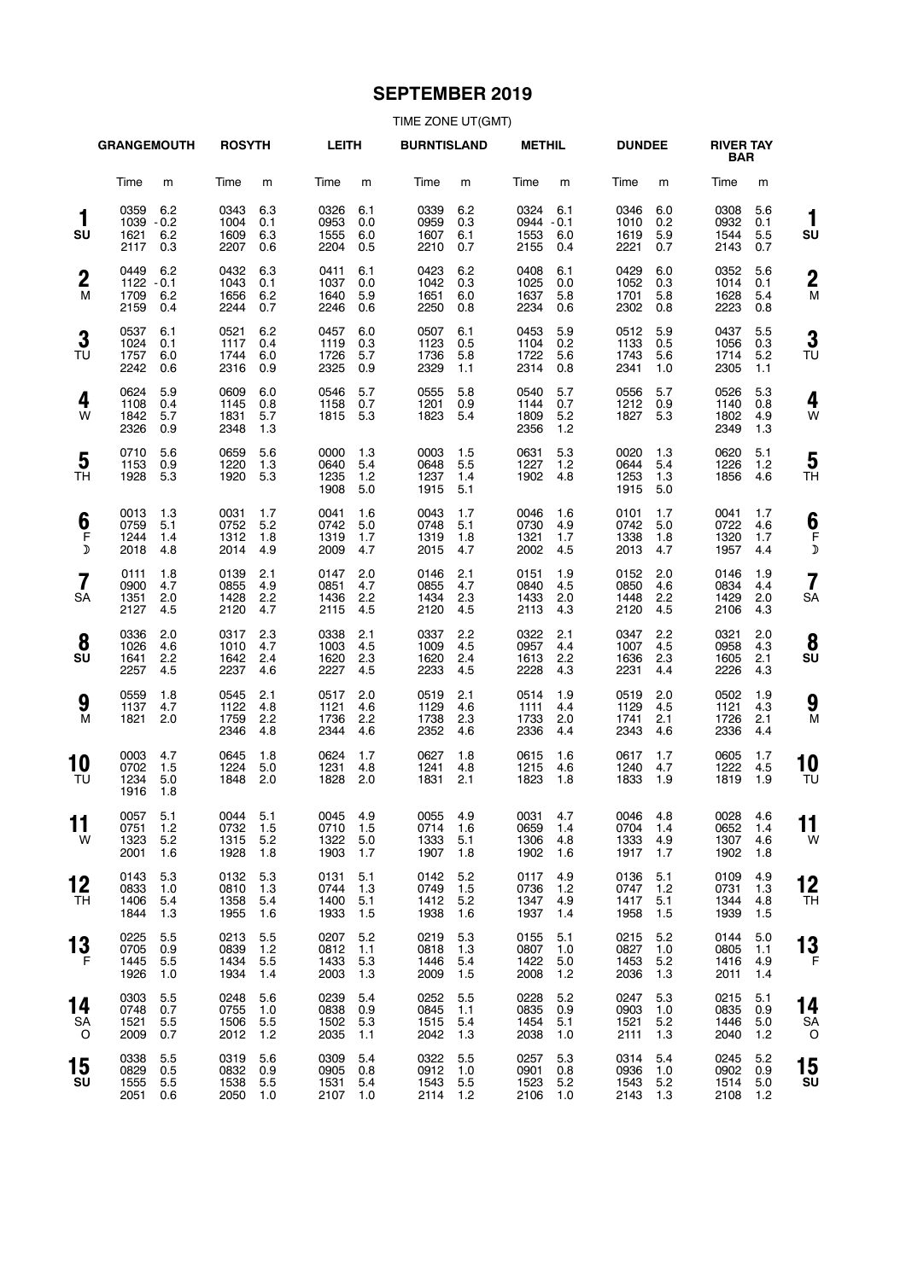# **SEPTEMBER 2019**

|                       | <b>GRANGEMOUTH</b>                                        | <b>ROSYTH</b>                    |                          | <b>LEITH</b>                         |                          | <b>BURNTISLAND</b>               |                          | <b>METHIL</b>                        |                          | <b>DUNDEE</b>                    |                            | <b>RIVER TAY</b><br><b>BAR</b>   |                          |                     |
|-----------------------|-----------------------------------------------------------|----------------------------------|--------------------------|--------------------------------------|--------------------------|----------------------------------|--------------------------|--------------------------------------|--------------------------|----------------------------------|----------------------------|----------------------------------|--------------------------|---------------------|
|                       | Time<br>m                                                 | Time                             | m                        | Time                                 | m                        | Time                             | m                        | Time                                 | m                        | Time                             | m                          | Time                             | m                        |                     |
| 1<br>SU               | 0359<br>6.2<br>$1039 - 0.2$<br>1621<br>6.2<br>2117<br>0.3 | 0343<br>1004<br>1609<br>2207     | 6.3<br>0.1<br>6.3<br>0.6 | 0326<br>0953<br>1555<br>2204         | 6.1<br>0.0<br>6.0<br>0.5 | 0339<br>0959<br>1607<br>2210     | 6.2<br>0.3<br>6.1<br>0.7 | 0324<br>$0944 - 0.1$<br>1553<br>2155 | 6.1<br>6.0<br>0.4        | 0346<br>1010<br>1619<br>2221     | 6.0<br>0.2<br>5.9<br>0.7   | 0308<br>0932<br>1544<br>2143     | 5.6<br>0.1<br>5.5<br>0.7 | 1<br>SU             |
| $\boldsymbol{2}$<br>M | 0449<br>6.2<br>$1122 - 0.1$<br>1709<br>6.2<br>2159<br>0.4 | 0432<br>1043<br>1656<br>2244     | 6.3<br>0.1<br>6.2<br>0.7 | 0411<br>1037<br>1640<br>2246         | 6.1<br>0.0<br>5.9<br>0.6 | 0423<br>1042<br>1651<br>2250     | 6.2<br>0.3<br>6.0<br>0.8 | 0408<br>1025<br>1637<br>2234         | 6.1<br>0.0<br>5.8<br>0.6 | 0429<br>1052<br>1701<br>2302     | 6.0<br>0.3<br>5.8<br>0.8   | 0352<br>1014<br>1628<br>2223     | 5.6<br>0.1<br>5.4<br>0.8 | $\overline{2}$<br>M |
| 3<br>TU               | 0537<br>6.1<br>1024<br>0.1<br>1757<br>6.0<br>2242<br>0.6  | 0521<br>1117<br>1744<br>2316     | 6.2<br>0.4<br>6.0<br>0.9 | 0457<br>1119<br>1726<br>2325         | 6.0<br>0.3<br>5.7<br>0.9 | 0507<br>1123<br>1736<br>2329     | 6.1<br>0.5<br>5.8<br>1.1 | 0453<br>1104<br>1722<br>2314         | 5.9<br>0.2<br>5.6<br>0.8 | 0512<br>1133<br>1743<br>2341     | 5.9<br>0.5<br>5.6<br>1.0   | 0437<br>1056<br>1714<br>2305     | 5.5<br>0.3<br>5.2<br>1.1 | 3<br>TU             |
| 4<br>W                | 0624<br>5.9<br>1108<br>0.4<br>1842<br>5.7<br>2326<br>0.9  | 0609<br>1145<br>1831<br>2348     | 6.0<br>0.8<br>5.7<br>1.3 | 0546<br>1158<br>1815                 | 5.7<br>0.7<br>5.3        | 0555<br>1201<br>1823             | 5.8<br>0.9<br>5.4        | 0540<br>1144<br>1809<br>2356         | 5.7<br>0.7<br>5.2<br>1.2 | 0556<br>1212<br>1827             | 5.7<br>0.9<br>5.3          | 0526<br>1140<br>1802<br>2349     | 5.3<br>0.8<br>4.9<br>1.3 | 4<br>W              |
| 5<br>TH               | 0710<br>5.6<br>1153<br>0.9<br>1928<br>5.3                 | 0659<br>1220<br>1920             | 5.6<br>1.3<br>5.3        | 0000<br>0640<br>1235<br>1908         | 1.3<br>5.4<br>1.2<br>5.0 | 0003<br>0648<br>1237<br>1915     | 1.5<br>5.5<br>1.4<br>5.1 | 0631<br>1227<br>1902                 | 5.3<br>1.2<br>4.8        | 0020<br>0644<br>1253<br>1915     | 1.3<br>5.4<br>1.3<br>5.0   | 0620<br>1226<br>1856             | 5.1<br>1.2<br>4.6        | 5<br>TН             |
| 6<br>$\mathsf F$<br>D | 0013<br>1.3<br>0759<br>5.1<br>1244<br>1.4<br>2018<br>4.8  | 0031<br>0752<br>1312<br>2014     | 1.7<br>5.2<br>1.8<br>4.9 | 0041<br>0742<br>1319<br>2009         | 1.6<br>5.0<br>1.7<br>4.7 | 0043<br>0748<br>1319<br>2015     | 1.7<br>5.1<br>1.8<br>4.7 | 0046<br>0730<br>1321<br>2002         | 1.6<br>4.9<br>1.7<br>4.5 | 0101<br>0742<br>1338<br>2013     | 1.7<br>5.0<br>1.8<br>4.7   | 0041<br>0722<br>1320<br>1957     | 1.7<br>4.6<br>1.7<br>4.4 | 6<br>Σ              |
| 7<br><b>SA</b>        | 0111<br>1.8<br>0900<br>4.7<br>1351<br>2.0<br>2127<br>4.5  | 0139<br>0855<br>1428<br>2120     | 2.1<br>4.9<br>2.2<br>4.7 | 0147<br>0851<br>1436<br>2115         | 2.0<br>4.7<br>2.2<br>4.5 | 0146<br>0855<br>1434<br>2120     | 2.1<br>4.7<br>2.3<br>4.5 | 0151<br>0840<br>1433<br>2113         | 1.9<br>4.5<br>2.0<br>4.3 | 0152<br>0850<br>1448<br>2120     | 2.0<br>4.6<br>2.2<br>4.5   | 0146<br>0834<br>1429<br>2106     | 1.9<br>4.4<br>2.0<br>4.3 | 7<br>SΑ             |
| 8<br>SU               | 0336<br>2.0<br>1026<br>4.6<br>2.2<br>1641<br>2257<br>4.5  | 0317<br>1010<br>1642<br>2237     | 2.3<br>4.7<br>2.4<br>4.6 | 0338<br>1003<br>1620<br>2227         | 2.1<br>4.5<br>2.3<br>4.5 | 0337<br>1009<br>1620<br>2233     | 2.2<br>4.5<br>2.4<br>4.5 | 0322<br>0957<br>1613<br>2228         | 2.1<br>4.4<br>2.2<br>4.3 | 0347<br>1007<br>1636<br>2231     | 2.2<br>4.5<br>2.3<br>4.4   | 0321<br>0958<br>1605<br>2226     | 2.0<br>4.3<br>2.1<br>4.3 | 8<br>su             |
| 9<br>M                | 0559<br>1.8<br>1137<br>4.7<br>1821<br>2.0                 | 0545<br>1122<br>1759<br>2346     | 2.1<br>4.8<br>2.2<br>4.8 | 0517<br>1121<br>1736<br>2344         | 2.0<br>4.6<br>2.2<br>4.6 | 0519<br>1129<br>1738<br>2352     | 2.1<br>4.6<br>2.3<br>4.6 | 0514<br>1111<br>1733<br>2336         | 1.9<br>4.4<br>2.0<br>4.4 | 0519<br>1129<br>1741<br>2343     | 2.0<br>4.5<br>2.1<br>4.6   | 0502<br>1121<br>1726<br>2336     | 1.9<br>4.3<br>2.1<br>4.4 | 9<br>M              |
| 10<br>TU              | 0003<br>4.7<br>0702<br>1.5<br>1234<br>5.0<br>1916<br>1.8  | 0645<br>1224<br>1848             | 1.8<br>5.0<br>2.0        | 0624<br>1231<br>1828                 | 1.7<br>4.8<br>2.0        | 0627<br>1241<br>1831             | 1.8<br>4.8<br>2.1        | 0615<br>1215<br>1823                 | 1.6<br>4.6<br>1.8        | 0617<br>1240<br>1833             | 1.7<br>4.7<br>1.9          | 0605<br>1222<br>1819             | 1.7<br>4.5<br>1.9        | 10<br>TU            |
| . .<br>11<br>W        | 0057 5.1<br>0751<br>1.2<br>1323<br>5.2<br>2001<br>1.6     | 0044 5.1<br>0732<br>1315<br>1928 | - 1.5<br>5.2<br>1.8      | 0045 4.9<br>0710 1.5<br>1322<br>1903 | 5.0<br>1.7               | 0055 4.9<br>0714<br>1333<br>1907 | 1.6<br>5.1<br>1.8        | 0031 4.7<br>0659<br>1306<br>1902     | 1.4<br>4.8<br>1.6        | 0046 4.8<br>0704<br>1333<br>1917 | 1.4<br>4.9<br>1.7          | 0028 4.6<br>0652<br>1307<br>1902 | 1.4<br>4.6<br>1.8        | . .<br>11<br>W      |
| 12<br>TН              | 0143<br>5.3<br>0833<br>1.0<br>1406<br>5.4<br>1844<br>1.3  | 0132<br>0810<br>1358<br>1955     | 5.3<br>1.3<br>5.4<br>1.6 | 0131<br>0744<br>1400<br>1933         | 5.1<br>1.3<br>5.1<br>1.5 | 0142<br>0749<br>1412<br>1938     | 5.2<br>1.5<br>5.2<br>1.6 | 0117<br>0736<br>1347<br>1937         | 4.9<br>1.2<br>4.9<br>1.4 | 0136<br>0747<br>1417<br>1958     | 5.1<br>$1.2$<br>5.1<br>1.5 | 0109<br>0731<br>1344<br>1939     | 4.9<br>1.3<br>4.8<br>1.5 | 12<br><b>TH</b>     |
| 13<br>F               | 0225<br>5.5<br>0705<br>0.9<br>1445<br>5.5<br>1926<br>1.0  | 0213<br>0839<br>1434<br>1934     | 5.5<br>1.2<br>5.5<br>1.4 | 0207<br>0812<br>1433<br>2003         | 5.2<br>1.1<br>5.3<br>1.3 | 0219<br>0818<br>1446<br>2009     | 5.3<br>1.3<br>5.4<br>1.5 | 0155<br>0807<br>1422<br>2008         | 5.1<br>1.0<br>5.0<br>1.2 | 0215<br>0827<br>1453<br>2036     | 5.2<br>1.0<br>5.2<br>1.3   | 0144<br>0805<br>1416<br>2011     | 5.0<br>1.1<br>4.9<br>1.4 | 13<br>F             |
| 14<br>SA<br>$\circ$   | 0303<br>5.5<br>0748<br>0.7<br>1521<br>5.5<br>2009<br>0.7  | 0248<br>0755<br>1506<br>2012     | 5.6<br>1.0<br>5.5<br>1.2 | 0239<br>0838<br>1502<br>2035         | 5.4<br>0.9<br>5.3<br>1.1 | 0252<br>0845<br>1515<br>2042     | 5.5<br>1.1<br>5.4<br>1.3 | 0228<br>0835<br>1454<br>2038         | 5.2<br>0.9<br>5.1<br>1.0 | 0247<br>0903<br>1521<br>2111     | 5.3<br>1.0<br>5.2<br>1.3   | 0215<br>0835<br>1446<br>2040     | 5.1<br>0.9<br>5.0<br>1.2 | 14<br>SΑ<br>C       |
| 15<br>SU              | 0338<br>5.5<br>0829<br>0.5<br>1555<br>5.5<br>2051<br>0.6  | 0319<br>0832<br>1538<br>2050     | 5.6<br>0.9<br>5.5<br>1.0 | 0309<br>0905<br>1531<br>2107 1.0     | 5.4<br>0.8<br>5.4        | 0322<br>0912<br>1543<br>2114 1.2 | 5.5<br>1.0<br>5.5        | 0257<br>0901<br>1523<br>2106         | 5.3<br>0.8<br>5.2<br>1.0 | 0314<br>0936<br>1543<br>2143     | 5.4<br>1.0<br>5.2<br>1.3   | 0245<br>0902<br>1514<br>2108     | 5.2<br>0.9<br>5.0<br>1.2 | 15<br>SU            |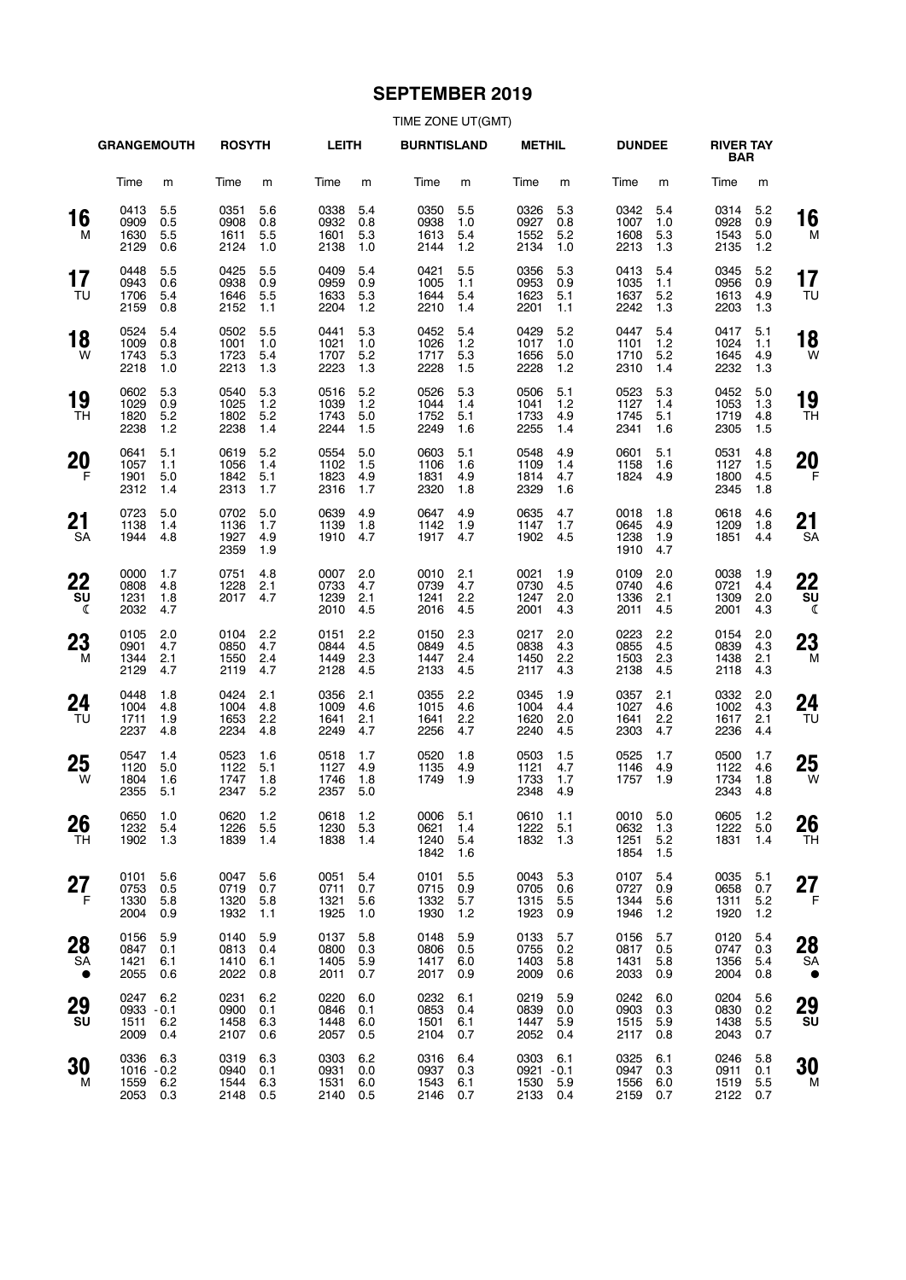# **SEPTEMBER 2019**

|                       | <b>GRANGEMOUTH</b>                   |                          | <b>ROSYTH</b>                    |                          | <b>LEITH</b>                 |                          | <b>BURNTISLAND</b>               |                          | <b>METHIL</b>                            |                          | <b>DUNDEE</b>                |                            | <b>RIVER TAY</b><br><b>BAR</b> |                          |                 |
|-----------------------|--------------------------------------|--------------------------|----------------------------------|--------------------------|------------------------------|--------------------------|----------------------------------|--------------------------|------------------------------------------|--------------------------|------------------------------|----------------------------|--------------------------------|--------------------------|-----------------|
|                       | Time                                 | m                        | Time                             | m                        | Time                         | m                        | Time                             | m                        | Time                                     | m                        | Time                         | m                          | Time                           | m                        |                 |
| 16<br>М               | 0413<br>0909<br>1630<br>2129         | 5.5<br>0.5<br>5.5<br>0.6 | 0351<br>0908<br>1611<br>2124     | 5.6<br>0.8<br>5.5<br>1.0 | 0338<br>0932<br>1601<br>2138 | 5.4<br>0.8<br>5.3<br>1.0 | 0350<br>0938<br>1613<br>2144     | 5.5<br>1.0<br>5.4<br>1.2 | 0326<br>0927<br>1552<br>2134             | 5.3<br>0.8<br>5.2<br>1.0 | 0342<br>1007<br>1608<br>2213 | 5.4<br>1.0<br>5.3<br>1.3   | 0314<br>0928<br>1543<br>2135   | 5.2<br>0.9<br>5.0<br>1.2 | 16<br>M         |
| 17<br>TU              | 0448<br>0943<br>1706<br>2159         | 5.5<br>0.6<br>5.4<br>0.8 | 0425<br>0938<br>1646<br>2152     | 5.5<br>0.9<br>5.5<br>1.1 | 0409<br>0959<br>1633<br>2204 | 5.4<br>0.9<br>5.3<br>1.2 | 0421<br>1005<br>1644<br>2210     | 5.5<br>1.1<br>5.4<br>1.4 | 0356<br>0953<br>1623<br>2201             | 5.3<br>0.9<br>5.1<br>1.1 | 0413<br>1035<br>1637<br>2242 | 5.4<br>1.1<br>5.2<br>1.3   | 0345<br>0956<br>1613<br>2203   | 5.2<br>0.9<br>4.9<br>1.3 | 17<br>TU        |
| 18<br>W               | 0524<br>1009<br>1743<br>2218         | 5.4<br>0.8<br>5.3<br>1.0 | 0502<br>1001<br>1723<br>2213     | 5.5<br>1.0<br>5.4<br>1.3 | 0441<br>1021<br>1707<br>2223 | 5.3<br>1.0<br>5.2<br>1.3 | 0452<br>1026<br>1717<br>2228     | 5.4<br>1.2<br>5.3<br>1.5 | 0429<br>1017<br>1656<br>2228             | 5.2<br>1.0<br>5.0<br>1.2 | 0447<br>1101<br>1710<br>2310 | 5.4<br>$1.2$<br>5.2<br>1.4 | 0417<br>1024<br>1645<br>2232   | 5.1<br>1.1<br>4.9<br>1.3 | 18<br>W         |
| 19<br>TH              | 0602<br>1029<br>1820<br>2238         | 5.3<br>0.9<br>5.2<br>1.2 | 0540<br>1025<br>1802<br>2238     | 5.3<br>1.2<br>5.2<br>1.4 | 0516<br>1039<br>1743<br>2244 | 5.2<br>1.2<br>5.0<br>1.5 | 0526<br>1044<br>1752<br>2249     | 5.3<br>1.4<br>5.1<br>1.6 | 0506<br>1041<br>1733<br>2255             | 5.1<br>1.2<br>4.9<br>1.4 | 0523<br>1127<br>1745<br>2341 | 5.3<br>1.4<br>5.1<br>1.6   | 0452<br>1053<br>1719<br>2305   | 5.0<br>1.3<br>4.8<br>1.5 | 19<br>TН        |
| <b>20</b><br>F        | 0641<br>1057<br>1901<br>2312         | 5.1<br>1.1<br>5.0<br>1.4 | 0619<br>1056<br>1842<br>2313     | 5.2<br>1.4<br>5.1<br>1.7 | 0554<br>1102<br>1823<br>2316 | 5.0<br>1.5<br>4.9<br>1.7 | 0603<br>1106<br>1831<br>2320     | 5.1<br>1.6<br>4.9<br>1.8 | 0548<br>1109<br>1814<br>2329             | 4.9<br>1.4<br>4.7<br>1.6 | 0601<br>1158<br>1824         | 5.1<br>1.6<br>4.9          | 0531<br>1127<br>1800<br>2345   | 4.8<br>1.5<br>4.5<br>1.8 | 20<br>F         |
| 21<br>SA              | 0723<br>1138<br>1944                 | 5.0<br>1.4<br>4.8        | 0702<br>1136<br>1927<br>2359     | 5.0<br>1.7<br>4.9<br>1.9 | 0639<br>1139<br>1910         | 4.9<br>1.8<br>4.7        | 0647<br>1142<br>1917             | 4.9<br>1.9<br>4.7        | 0635<br>1147<br>1902                     | 4.7<br>1.7<br>4.5        | 0018<br>0645<br>1238<br>1910 | 1.8<br>4.9<br>1.9<br>4.7   | 0618<br>1209<br>1851           | 4.6<br>1.8<br>4.4        | 21<br><b>SA</b> |
| 22                    | 0000<br>0808<br>1231<br>2032         | 1.7<br>4.8<br>1.8<br>4.7 | 0751<br>1228<br>2017             | 4.8<br>2.1<br>4.7        | 0007<br>0733<br>1239<br>2010 | 2.0<br>4.7<br>2.1<br>4.5 | 0010<br>0739<br>1241<br>2016     | 2.1<br>4.7<br>2.2<br>4.5 | 0021<br>0730<br>1247<br>2001             | 1.9<br>4.5<br>2.0<br>4.3 | 0109<br>0740<br>1336<br>2011 | 2.0<br>4.6<br>2.1<br>4.5   | 0038<br>0721<br>1309<br>2001   | 1.9<br>4.4<br>2.0<br>4.3 | 22<br>SU<br>ℂ   |
| 23<br>M               | 0105<br>0901<br>1344<br>2129         | 2.0<br>4.7<br>2.1<br>4.7 | 0104<br>0850<br>1550<br>2119     | 2.2<br>4.7<br>2.4<br>4.7 | 0151<br>0844<br>1449<br>2128 | 2.2<br>4.5<br>2.3<br>4.5 | 0150<br>0849<br>1447<br>2133     | 2.3<br>4.5<br>2.4<br>4.5 | 0217<br>0838<br>1450<br>2117             | 2.0<br>4.3<br>2.2<br>4.3 | 0223<br>0855<br>1503<br>2138 | 2.2<br>4.5<br>2.3<br>4.5   | 0154<br>0839<br>1438<br>2118   | 2.0<br>4.3<br>2.1<br>4.3 | 23<br>M         |
| 24<br>TU              | 0448<br>1004<br>1711<br>2237         | 1.8<br>4.8<br>1.9<br>4.8 | 0424<br>1004<br>1653<br>2234     | 2.1<br>4.8<br>2.2<br>4.8 | 0356<br>1009<br>1641<br>2249 | 2.1<br>4.6<br>2.1<br>4.7 | 0355<br>1015<br>1641<br>2256     | 2.2<br>4.6<br>2.2<br>4.7 | 0345<br>1004<br>1620<br>2240             | 1.9<br>4.4<br>2.0<br>4.5 | 0357<br>1027<br>1641<br>2303 | 2.1<br>4.6<br>2.2<br>4.7   | 0332<br>1002<br>1617<br>2236   | 2.0<br>4.3<br>2.1<br>4.4 | 24<br>TU        |
| 25<br><b>W</b>        | 0547<br>1120<br>1804<br>2355         | 1.4<br>5.0<br>1.6<br>5.1 | 0523<br>1122<br>1747<br>2347     | 1.6<br>5.1<br>1.8<br>5.2 | 0518<br>1127<br>1746<br>2357 | 1.7<br>4.9<br>1.8<br>5.0 | 0520<br>1135<br>1749             | 1.8<br>4.9<br>1.9        | 0503<br>1121<br>1733<br>2348             | 1.5<br>4.7<br>1.7<br>4.9 | 0525<br>1146<br>1757         | 1.7<br>4.9<br>1.9          | 0500<br>1122<br>1734<br>2343   | 1.7<br>4.6<br>1.8<br>4.8 | 25<br>W         |
| 26<br>TН              | 0650 1.0<br>1232<br>1902             | 5.4<br>1.3               | 0620 1.2<br>1226<br>1839         | 5.5<br>1.4               | 0618 1.2<br>1230<br>1838     | 5.3<br>1.4               | 0006 5.1<br>0621<br>1240<br>1842 | 1.4<br>5.4<br>1.6        | 0610 1.1<br>1222<br>1832                 | 5.1<br>1.3               | 0010<br>0632<br>1251<br>1854 | 5.0<br>- 1.3<br>5.2<br>1.5 | 0605 1.2<br>1222<br>1831       | 5.0<br>1.4               | 26<br>TН        |
| 27<br>F               | 0101<br>0753<br>1330<br>2004         | 5.6<br>0.5<br>5.8<br>0.9 | 0047<br>0719<br>1320<br>1932     | 5.6<br>0.7<br>5.8<br>1.1 | 0051<br>0711<br>1321<br>1925 | 5.4<br>0.7<br>5.6<br>1.0 | 0101<br>0715<br>1332<br>1930     | 5.5<br>0.9<br>5.7<br>1.2 | 0043<br>0705<br>1315<br>1923             | 5.3<br>0.6<br>5.5<br>0.9 | 0107<br>0727<br>1344<br>1946 | 5.4<br>0.9<br>5.6<br>$1.2$ | 0035<br>0658<br>1311<br>1920   | 5.1<br>0.7<br>5.2<br>1.2 | 27<br>F         |
| 28<br>SA<br>$\bullet$ | 0156<br>0847<br>1421<br>2055         | 5.9<br>0.1<br>6.1<br>0.6 | 0140<br>0813<br>1410<br>2022     | 5.9<br>0.4<br>6.1<br>0.8 | 0137<br>0800<br>1405<br>2011 | 5.8<br>0.3<br>5.9<br>0.7 | 0148<br>0806<br>1417<br>2017     | 5.9<br>0.5<br>6.0<br>0.9 | 0133<br>0755<br>1403<br>2009             | 5.7<br>0.2<br>5.8<br>0.6 | 0156<br>0817<br>1431<br>2033 | 5.7<br>0.5<br>5.8<br>0.9   | 0120<br>0747<br>1356<br>2004   | 5.4<br>0.3<br>5.4<br>0.8 | 28<br>SA        |
| 29<br>SU              | 0247<br>$0933 - 0.1$<br>1511<br>2009 | 6.2<br>6.2<br>0.4        | 0231<br>0900<br>1458<br>2107     | 6.2<br>0.1<br>6.3<br>0.6 | 0220<br>0846<br>1448<br>2057 | 6.0<br>0.1<br>6.0<br>0.5 | 0232<br>0853<br>1501<br>2104     | 6.1<br>0.4<br>6.1<br>0.7 | 0219<br>0839<br>1447<br>2052             | 5.9<br>0.0<br>5.9<br>0.4 | 0242<br>0903<br>1515<br>2117 | 6.0<br>0.3<br>5.9<br>0.8   | 0204<br>0830<br>1438<br>2043   | 5.6<br>0.2<br>5.5<br>0.7 | 29<br>SU        |
| 30<br>м               | 0336<br>$1016 - 0.2$<br>1559<br>2053 | 6.3<br>6.2<br>0.3        | 0319<br>0940<br>1544<br>2148 0.5 | 6.3<br>0.1<br>6.3        | 0303<br>0931<br>1531<br>2140 | 6.2<br>0.0<br>6.0<br>0.5 | 0316<br>0937<br>1543<br>2146 0.7 | 6.4<br>0.3<br>6.1        | 0303<br>$0921 - 0.1$<br>1530<br>2133 0.4 | 6.1<br>5.9               | 0325<br>0947<br>1556<br>2159 | 6.1<br>0.3<br>6.0<br>0.7   | 0246<br>0911<br>1519<br>2122   | 5.8<br>0.1<br>5.5<br>0.7 | 30<br>M         |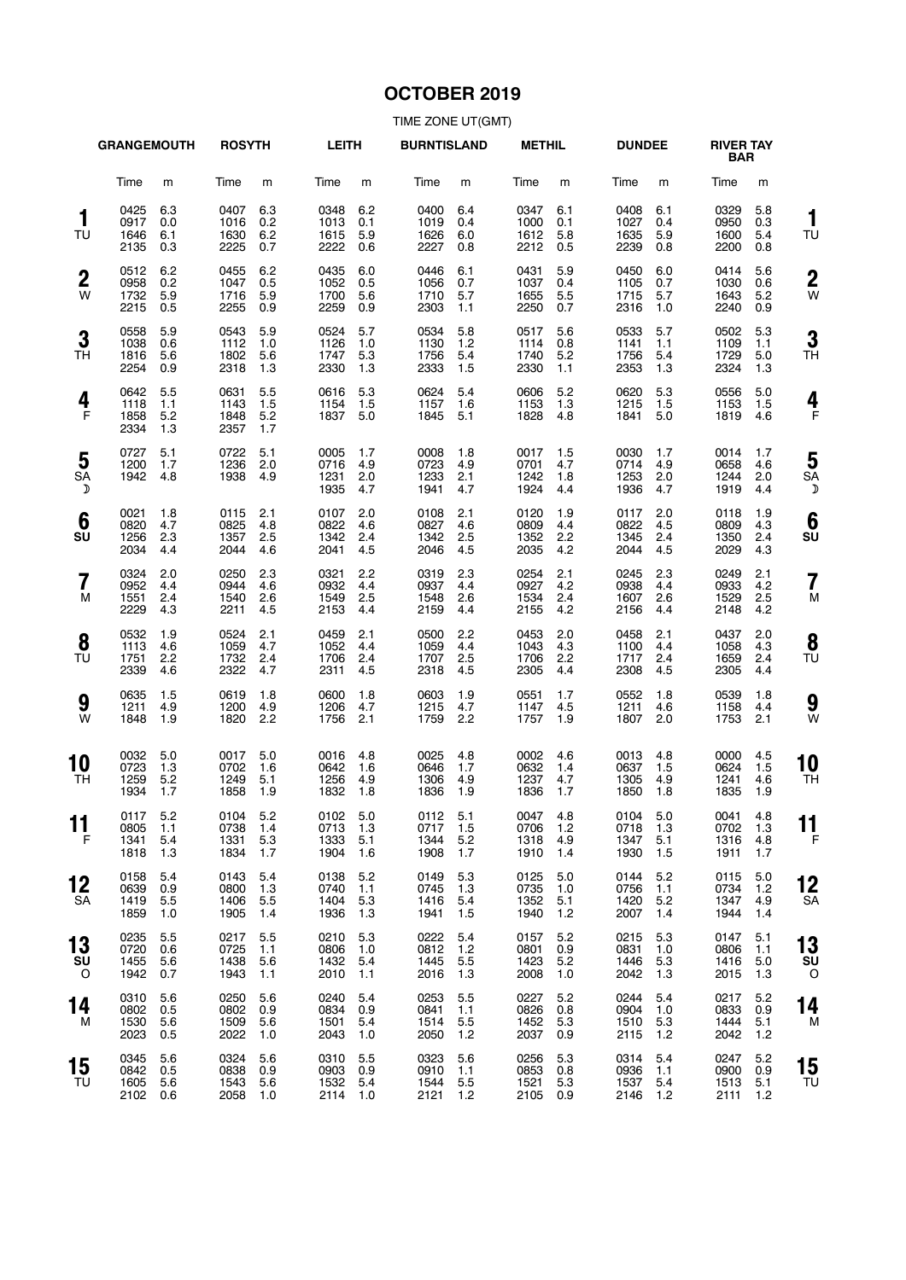# **OCTOBER 2019**

|                              | <b>GRANGEMOUTH</b>               |                          | <b>ROSYTH</b>                    |                          | <b>LEITH</b>                     |                          | <b>BURNTISLAND</b>               |                          | <b>METHIL</b>                    |                          | <b>DUNDEE</b>                    |                          | <b>RIVER TAY</b><br><b>BAR</b>   |                          |                           |
|------------------------------|----------------------------------|--------------------------|----------------------------------|--------------------------|----------------------------------|--------------------------|----------------------------------|--------------------------|----------------------------------|--------------------------|----------------------------------|--------------------------|----------------------------------|--------------------------|---------------------------|
|                              | Time                             | m                        | Time                             | m                        | Time                             | m                        | Time                             | m                        | Time                             | m                        | Time                             | m                        | Time                             | m                        |                           |
| 1<br>TU                      | 0425<br>0917<br>1646<br>2135     | 6.3<br>0.0<br>6.1<br>0.3 | 0407<br>1016<br>1630<br>2225     | 6.3<br>0.2<br>6.2<br>0.7 | 0348<br>1013<br>1615<br>2222     | 6.2<br>0.1<br>5.9<br>0.6 | 0400<br>1019<br>1626<br>2227     | 6.4<br>0.4<br>6.0<br>0.8 | 0347<br>1000<br>1612<br>2212     | 6.1<br>0.1<br>5.8<br>0.5 | 0408<br>1027<br>1635<br>2239     | 6.1<br>0.4<br>5.9<br>0.8 | 0329<br>0950<br>1600<br>2200     | 5.8<br>0.3<br>5.4<br>0.8 | 1<br>TU                   |
| $\boldsymbol{2}$<br>W        | 0512<br>0958<br>1732<br>2215     | 6.2<br>0.2<br>5.9<br>0.5 | 0455<br>1047<br>1716<br>2255     | 6.2<br>0.5<br>5.9<br>0.9 | 0435<br>1052<br>1700<br>2259     | 6.0<br>0.5<br>5.6<br>0.9 | 0446<br>1056<br>1710<br>2303     | 6.1<br>0.7<br>5.7<br>1.1 | 0431<br>1037<br>1655<br>2250     | 5.9<br>0.4<br>5.5<br>0.7 | 0450<br>1105<br>1715<br>2316     | 6.0<br>0.7<br>5.7<br>1.0 | 0414<br>1030<br>1643<br>2240     | 5.6<br>0.6<br>5.2<br>0.9 | $\overline{2}$<br>W       |
| 3<br><b>TH</b>               | 0558<br>1038<br>1816<br>2254     | 5.9<br>0.6<br>5.6<br>0.9 | 0543<br>1112<br>1802<br>2318     | 5.9<br>1.0<br>5.6<br>1.3 | 0524<br>1126<br>1747<br>2330     | 5.7<br>1.0<br>5.3<br>1.3 | 0534<br>1130<br>1756<br>2333     | 5.8<br>1.2<br>5.4<br>1.5 | 0517<br>1114<br>1740<br>2330     | 5.6<br>0.8<br>5.2<br>1.1 | 0533<br>1141<br>1756<br>2353     | 5.7<br>1.1<br>5.4<br>1.3 | 0502<br>1109<br>1729<br>2324     | 5.3<br>1.1<br>5.0<br>1.3 | 3<br>ТH                   |
| 4<br>F                       | 0642<br>1118<br>1858<br>2334     | 5.5<br>1.1<br>5.2<br>1.3 | 0631<br>1143<br>1848<br>2357     | 5.5<br>1.5<br>5.2<br>1.7 | 0616<br>1154<br>1837             | 5.3<br>1.5<br>5.0        | 0624<br>1157<br>1845             | 5.4<br>1.6<br>5.1        | 0606<br>1153<br>1828             | 5.2<br>1.3<br>4.8        | 0620<br>1215<br>1841             | 5.3<br>1.5<br>5.0        | 0556<br>1153<br>1819             | 5.0<br>1.5<br>4.6        | 4<br>F                    |
| 5<br><b>SA</b><br>D          | 0727<br>1200<br>1942             | 5.1<br>1.7<br>4.8        | 0722<br>1236<br>1938             | 5.1<br>2.0<br>4.9        | 0005<br>0716<br>1231<br>1935     | 1.7<br>4.9<br>2.0<br>4.7 | 0008<br>0723<br>1233<br>1941     | 1.8<br>4.9<br>2.1<br>4.7 | 0017<br>0701<br>1242<br>1924     | 1.5<br>4.7<br>1.8<br>4.4 | 0030<br>0714<br>1253<br>1936     | 1.7<br>4.9<br>2.0<br>4.7 | 0014<br>0658<br>1244<br>1919     | 1.7<br>4.6<br>2.0<br>4.4 | 5<br>SΑ<br>$\mathfrak{D}$ |
| 6<br>SU                      | 0021<br>0820<br>1256<br>2034     | 1.8<br>4.7<br>2.3<br>4.4 | 0115<br>0825<br>1357<br>2044     | 2.1<br>4.8<br>2.5<br>4.6 | 0107<br>0822<br>1342<br>2041     | 2.0<br>4.6<br>2.4<br>4.5 | 0108<br>0827<br>1342<br>2046     | 2.1<br>4.6<br>2.5<br>4.5 | 0120<br>0809<br>1352<br>2035     | 1.9<br>4.4<br>2.2<br>4.2 | 0117<br>0822<br>1345<br>2044     | 2.0<br>4.5<br>2.4<br>4.5 | 0118<br>0809<br>1350<br>2029     | 1.9<br>4.3<br>2.4<br>4.3 | 6<br>SU                   |
| $\overline{\mathbf{r}}$<br>M | 0324<br>0952<br>1551<br>2229     | 2.0<br>4.4<br>2.4<br>4.3 | 0250<br>0944<br>1540<br>2211     | 2.3<br>4.6<br>2.6<br>4.5 | 0321<br>0932<br>1549<br>2153     | 2.2<br>4.4<br>2.5<br>4.4 | 0319<br>0937<br>1548<br>2159     | 2.3<br>4.4<br>2.6<br>4.4 | 0254<br>0927<br>1534<br>2155     | 2.1<br>4.2<br>2.4<br>4.2 | 0245<br>0938<br>1607<br>2156     | 2.3<br>4.4<br>2.6<br>4.4 | 0249<br>0933<br>1529<br>2148     | 2.1<br>4.2<br>2.5<br>4.2 | $\overline{7}$<br>M       |
| 8<br>TU                      | 0532<br>1113<br>1751<br>2339     | 1.9<br>4.6<br>2.2<br>4.6 | 0524<br>1059<br>1732<br>2322     | 2.1<br>4.7<br>2.4<br>4.7 | 0459<br>1052<br>1706<br>2311     | 2.1<br>4.4<br>2.4<br>4.5 | 0500<br>1059<br>1707<br>2318     | 2.2<br>4.4<br>2.5<br>4.5 | 0453<br>1043<br>1706<br>2305     | 2.0<br>4.3<br>2.2<br>4.4 | 0458<br>1100<br>1717<br>2308     | 2.1<br>4.4<br>2.4<br>4.5 | 0437<br>1058<br>1659<br>2305     | 2.0<br>4.3<br>2.4<br>4.4 | 8<br>TU                   |
| 9<br>W                       | 0635<br>1211<br>1848             | 1.5<br>4.9<br>1.9        | 0619<br>1200<br>1820             | 1.8<br>4.9<br>2.2        | 0600<br>1206<br>1756             | 1.8<br>4.7<br>2.1        | 0603<br>1215<br>1759             | 1.9<br>4.7<br>2.2        | 0551<br>1147<br>1757             | 1.7<br>4.5<br>1.9        | 0552<br>1211<br>1807             | 1.8<br>4.6<br>2.0        | 0539<br>1158<br>1753             | 1.8<br>4.4<br>2.1        | 9<br>W                    |
| 10<br>TН                     | 0032<br>0723<br>1259<br>1934     | 5.0<br>1.3<br>5.2<br>1.7 | 0017<br>0702<br>1249<br>1858     | 5.0<br>1.6<br>5.1<br>1.9 | 0016<br>0642<br>1256<br>1832     | 4.8<br>1.6<br>4.9<br>1.8 | 0025<br>0646<br>1306<br>1836     | 4.8<br>1.7<br>4.9<br>1.9 | 0002<br>0632<br>1237<br>1836     | 4.6<br>1.4<br>4.7<br>1.7 | 0013<br>0637<br>1305<br>1850     | 4.8<br>1.5<br>4.9<br>1.8 | 0000<br>0624<br>1241<br>1835     | 4.5<br>1.5<br>4.6<br>1.9 | 10<br>TН                  |
| . .<br>11<br>F               | 0117 5.2<br>0805<br>1341<br>1818 | 1.1<br>5.4<br>1.3        | 0104 5.2<br>0738<br>1331<br>1834 | 1.4<br>5.3<br>1.7        | 0102 5.0<br>0713<br>1333<br>1904 | 1.3<br>5.1<br>1.6        | 0112 5.1<br>0717<br>1344<br>1908 | 1.5<br>5.2<br>1.7        | 0047 4.8<br>0706<br>1318<br>1910 | 1.2<br>4.9<br>1.4        | 0104 5.0<br>0718<br>1347<br>1930 | 1.3<br>5.1<br>1.5        | 0041 4.8<br>0702<br>1316<br>1911 | 1.3<br>4.8<br>1.7        | . .<br>11<br>F            |
| 12<br>SA                     | 0158<br>0639<br>1419<br>1859     | 5.4<br>0.9<br>5.5<br>1.0 | 0143<br>0800<br>1406<br>1905     | 5.4<br>1.3<br>5.5<br>1.4 | 0138<br>0740<br>1404<br>1936     | 5.2<br>1.1<br>5.3<br>1.3 | 0149<br>0745<br>1416<br>1941     | 5.3<br>1.3<br>5.4<br>1.5 | 0125<br>0735<br>1352<br>1940     | 5.0<br>1.0<br>5.1<br>1.2 | 0144<br>0756<br>1420<br>2007     | 5.2<br>1.1<br>5.2<br>1.4 | 0115<br>0734<br>1347<br>1944     | 5.0<br>1.2<br>4.9<br>1.4 | 12<br>SΑ                  |
| 13<br>SU<br>$\circ$          | 0235<br>0720<br>1455<br>1942     | 5.5<br>0.6<br>5.6<br>0.7 | 0217<br>0725<br>1438<br>1943     | 5.5<br>1.1<br>5.6<br>1.1 | 0210<br>0806<br>1432<br>2010     | 5.3<br>1.0<br>5.4<br>1.1 | 0222<br>0812<br>1445<br>2016     | 5.4<br>1.2<br>5.5<br>1.3 | 0157<br>0801<br>1423<br>2008     | 5.2<br>0.9<br>5.2<br>1.0 | 0215<br>0831<br>1446<br>2042     | 5.3<br>1.0<br>5.3<br>1.3 | 0147<br>0806<br>1416<br>2015     | 5.1<br>1.1<br>5.0<br>1.3 | 13<br>su<br>C             |
| 14<br>м                      | 0310<br>0802<br>1530<br>2023     | 5.6<br>0.5<br>5.6<br>0.5 | 0250<br>0802<br>1509<br>2022     | 5.6<br>0.9<br>5.6<br>1.0 | 0240<br>0834<br>1501<br>2043     | 5.4<br>0.9<br>5.4<br>1.0 | 0253<br>0841<br>1514<br>2050     | 5.5<br>1.1<br>5.5<br>1.2 | 0227<br>0826<br>1452<br>2037     | 5.2<br>0.8<br>5.3<br>0.9 | 0244<br>0904<br>1510<br>2115     | 5.4<br>1.0<br>5.3<br>1.2 | 0217<br>0833<br>1444<br>2042     | 5.2<br>0.9<br>5.1<br>1.2 | 14<br>M                   |
| 15<br>TU                     | 0345<br>0842<br>1605<br>2102     | 5.6<br>0.5<br>5.6<br>0.6 | 0324<br>0838<br>1543<br>2058     | 5.6<br>0.9<br>5.6<br>1.0 | 0310<br>0903<br>1532<br>2114 1.0 | 5.5<br>0.9<br>5.4        | 0323<br>0910<br>1544<br>2121     | 5.6<br>1.1<br>5.5<br>1.2 | 0256<br>0853<br>1521<br>2105     | 5.3<br>0.8<br>5.3<br>0.9 | 0314<br>0936<br>1537<br>2146     | 5.4<br>1.1<br>5.4<br>1.2 | 0247<br>0900<br>1513<br>2111     | 5.2<br>0.9<br>5.1<br>1.2 | 15<br>TU                  |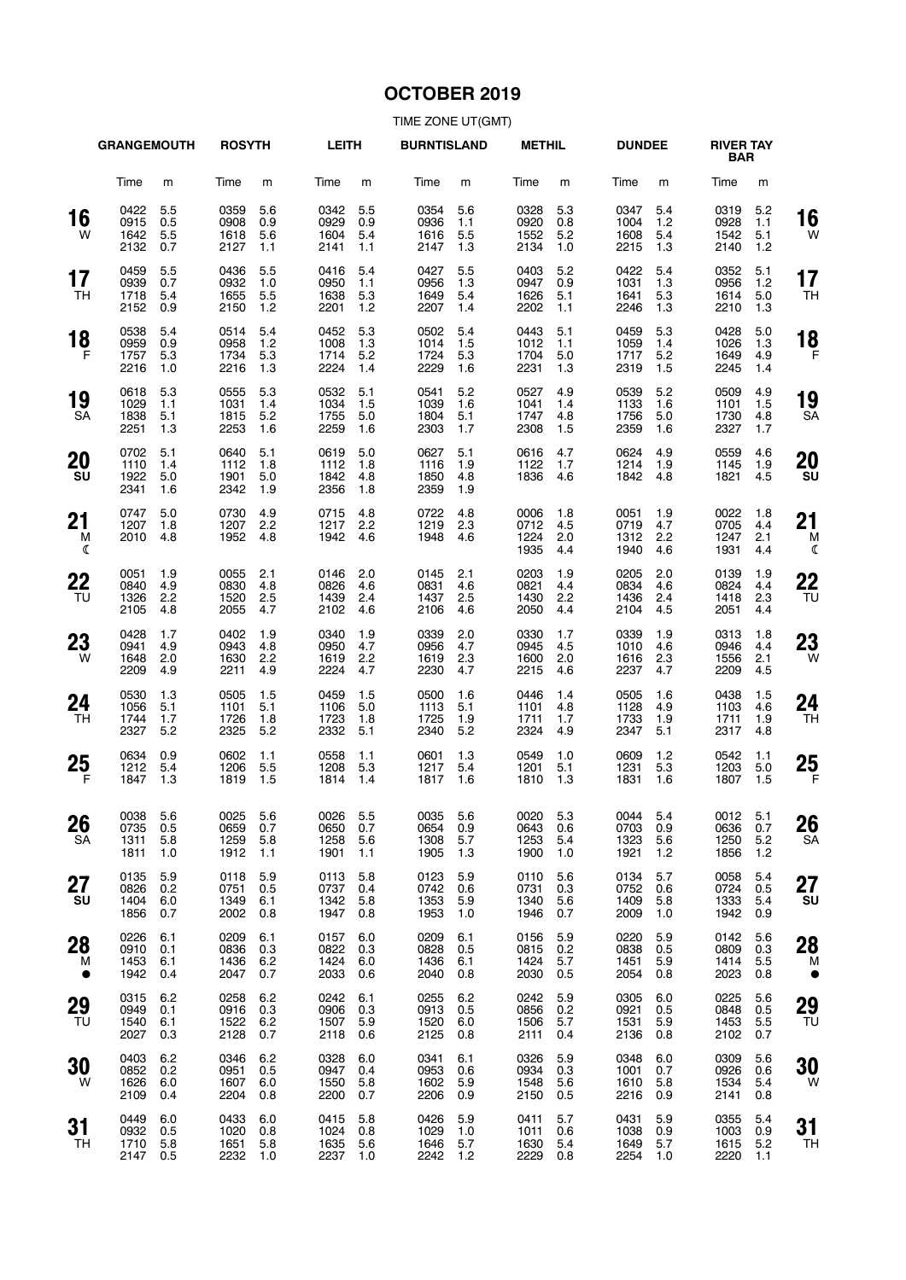# **OCTOBER 2019**

|                      | <b>GRANGEMOUTH</b>           |                          | <b>ROSYTH</b>                    |                          | <b>LEITH</b>                     |                          | <b>BURNTISLAND</b>               |                            | <b>METHIL</b>                    |                          | <b>DUNDEE</b>                    |                            | <b>RIVER TAY</b><br><b>BAR</b>   |                          |                 |
|----------------------|------------------------------|--------------------------|----------------------------------|--------------------------|----------------------------------|--------------------------|----------------------------------|----------------------------|----------------------------------|--------------------------|----------------------------------|----------------------------|----------------------------------|--------------------------|-----------------|
|                      | Time                         | m                        | Time                             | m                        | Time                             | m                        | Time                             | m                          | Time                             | m                        | Time                             | m                          | Time                             | m                        |                 |
| 16<br>W              | 0422<br>0915<br>1642<br>2132 | 5.5<br>0.5<br>5.5<br>0.7 | 0359<br>0908<br>1618<br>2127     | 5.6<br>0.9<br>5.6<br>1.1 | 0342<br>0929<br>1604<br>2141     | 5.5<br>0.9<br>5.4<br>1.1 | 0354<br>0936<br>1616<br>2147     | 5.6<br>1.1<br>5.5<br>1.3   | 0328<br>0920<br>1552<br>2134     | 5.3<br>0.8<br>5.2<br>1.0 | 0347<br>1004<br>1608<br>2215     | 5.4<br>$1.2$<br>5.4<br>1.3 | 0319<br>0928<br>1542<br>2140     | 5.2<br>1.1<br>5.1<br>1.2 | 16<br>W         |
| 17<br>TH             | 0459<br>0939<br>1718<br>2152 | 5.5<br>0.7<br>5.4<br>0.9 | 0436<br>0932<br>1655<br>2150     | 5.5<br>1.0<br>5.5<br>1.2 | 0416<br>0950<br>1638<br>2201     | 5.4<br>1.1<br>5.3<br>1.2 | 0427<br>0956<br>1649<br>2207     | 5.5<br>1.3<br>5.4<br>1.4   | 0403<br>0947<br>1626<br>2202     | 5.2<br>0.9<br>5.1<br>1.1 | 0422<br>1031<br>1641<br>2246     | 5.4<br>1.3<br>5.3<br>1.3   | 0352<br>0956<br>1614<br>2210     | 5.1<br>1.2<br>5.0<br>1.3 | 17<br><b>TH</b> |
| 18<br>E              | 0538<br>0959<br>1757<br>2216 | 5.4<br>0.9<br>5.3<br>1.0 | 0514<br>0958<br>1734<br>2216     | 5.4<br>1.2<br>5.3<br>1.3 | 0452<br>1008<br>1714<br>2224     | 5.3<br>1.3<br>5.2<br>1.4 | 0502<br>1014<br>1724<br>2229     | 5.4<br>1.5<br>5.3<br>1.6   | 0443<br>1012<br>1704<br>2231     | 5.1<br>1.1<br>5.0<br>1.3 | 0459<br>1059<br>1717<br>2319     | 5.3<br>1.4<br>5.2<br>1.5   | 0428<br>1026<br>1649<br>2245     | 5.0<br>1.3<br>4.9<br>1.4 | 18<br>F         |
| 19<br>SA             | 0618<br>1029<br>1838<br>2251 | 5.3<br>1.1<br>5.1<br>1.3 | 0555<br>1031<br>1815<br>2253     | 5.3<br>1.4<br>5.2<br>1.6 | 0532<br>1034<br>1755<br>2259     | 5.1<br>1.5<br>5.0<br>1.6 | 0541<br>1039<br>1804<br>2303     | 5.2<br>1.6<br>5.1<br>1.7   | 0527<br>1041<br>1747<br>2308     | 4.9<br>1.4<br>4.8<br>1.5 | 0539<br>1133<br>1756<br>2359     | 5.2<br>1.6<br>5.0<br>1.6   | 0509<br>1101<br>1730<br>2327     | 4.9<br>1.5<br>4.8<br>1.7 | 19<br>SA        |
| 20<br><b>SU</b>      | 0702<br>1110<br>1922<br>2341 | 5.1<br>1.4<br>5.0<br>1.6 | 0640<br>1112<br>1901<br>2342     | 5.1<br>1.8<br>5.0<br>1.9 | 0619<br>1112<br>1842<br>2356     | 5.0<br>1.8<br>4.8<br>1.8 | 0627<br>1116<br>1850<br>2359     | 5.1<br>1.9<br>4.8<br>1.9   | 0616<br>1122<br>1836             | 4.7<br>1.7<br>4.6        | 0624<br>1214<br>1842             | 4.9<br>1.9<br>4.8          | 0559<br>1145<br>1821             | 4.6<br>1.9<br>4.5        | 20<br>SU        |
| 21<br>м<br>ℂ         | 0747<br>1207<br>2010         | 5.0<br>1.8<br>4.8        | 0730<br>1207<br>1952             | 4.9<br>2.2<br>4.8        | 0715<br>1217<br>1942             | 4.8<br>2.2<br>4.6        | 0722<br>1219<br>1948             | 4.8<br>2.3<br>4.6          | 0006<br>0712<br>1224<br>1935     | 1.8<br>4.5<br>2.0<br>4.4 | 0051<br>0719<br>1312<br>1940     | 1.9<br>4.7<br>2.2<br>4.6   | 0022<br>0705<br>1247<br>1931     | 1.8<br>4.4<br>2.1<br>4.4 | 21<br>м<br>ℭ    |
| 22<br>TU             | 0051<br>0840<br>1326<br>2105 | 1.9<br>4.9<br>2.2<br>4.8 | 0055<br>0830<br>1520<br>2055     | 2.1<br>4.8<br>2.5<br>4.7 | 0146<br>0826<br>1439<br>2102     | 2.0<br>4.6<br>2.4<br>4.6 | 0145<br>0831<br>1437<br>2106     | 2.1<br>4.6<br>2.5<br>4.6   | 0203<br>0821<br>1430<br>2050     | 1.9<br>4.4<br>2.2<br>4.4 | 0205<br>0834<br>1436<br>2104     | 2.0<br>4.6<br>2.4<br>4.5   | 0139<br>0824<br>1418<br>2051     | 1.9<br>4.4<br>2.3<br>4.4 | 22<br>TU        |
| 23<br><b>W</b>       | 0428<br>0941<br>1648<br>2209 | 1.7<br>4.9<br>2.0<br>4.9 | 0402<br>0943<br>1630<br>2211     | 1.9<br>4.8<br>2.2<br>4.9 | 0340<br>0950<br>1619<br>2224     | 1.9<br>4.7<br>2.2<br>4.7 | 0339<br>0956<br>1619<br>2230     | 2.0<br>4.7<br>2.3<br>4.7   | 0330<br>0945<br>1600<br>2215     | 1.7<br>4.5<br>2.0<br>4.6 | 0339<br>1010<br>1616<br>2237     | 1.9<br>4.6<br>2.3<br>4.7   | 0313<br>0946<br>1556<br>2209     | 1.8<br>4.4<br>2.1<br>4.5 | 23<br>W         |
| 24<br>TH             | 0530<br>1056<br>1744<br>2327 | 1.3<br>5.1<br>1.7<br>5.2 | 0505<br>1101<br>1726<br>2325     | 1.5<br>5.1<br>1.8<br>5.2 | 0459<br>1106<br>1723<br>2332     | 1.5<br>5.0<br>1.8<br>5.1 | 0500<br>1113<br>1725<br>2340     | 1.6<br>5.1<br>1.9<br>5.2   | 0446<br>1101<br>1711<br>2324     | 1.4<br>4.8<br>1.7<br>4.9 | 0505<br>1128<br>1733<br>2347     | 1.6<br>4.9<br>1.9<br>5.1   | 0438<br>1103<br>1711<br>2317     | 1.5<br>4.6<br>1.9<br>4.8 | 24<br>TН        |
| 25<br>- F            | 0634<br>1212<br>1847         | 0.9<br>5.4<br>1.3        | 0602<br>1206<br>1819             | 1.1<br>5.5<br>1.5        | 0558<br>1208<br>1814             | 1.1<br>5.3<br>1.4        | 0601<br>1217<br>1817             | 1.3<br>5.4<br>1.6          | 0549<br>1201<br>1810             | 1.0<br>5.1<br>1.3        | 0609<br>1231<br>1831             | 1.2<br>5.3<br>1.6          | 0542<br>1203<br>1807             | 1.1<br>5.0<br>1.5        | 25<br>F         |
| 26<br>SA             | 0038<br>0735<br>1311<br>1811 | 5.6<br>0.5<br>5.8<br>1.0 | 0025 5.6<br>0659<br>1259<br>1912 | 0.7<br>5.8<br>1.1        | 0026 5.5<br>0650<br>1258<br>1901 | 0.7<br>5.6<br>1.1        | 0035 5.6<br>0654<br>1308<br>1905 | 0.9<br>5.7<br>1.3          | 0020 5.3<br>0643<br>1253<br>1900 | 0.6<br>5.4<br>1.0        | 0044 5.4<br>0703<br>1323<br>1921 | 0.9<br>5.6<br>1.2          | 0012 5.1<br>0636<br>1250<br>1856 | 0.7<br>5.2<br>$1.2$      | 26<br><b>SA</b> |
| 27<br>SU             | 0135<br>0826<br>1404<br>1856 | 5.9<br>0.2<br>6.0<br>0.7 | 0118<br>0751<br>1349<br>2002     | 5.9<br>0.5<br>6.1<br>0.8 | 0113<br>0737<br>1342<br>1947     | 5.8<br>0.4<br>5.8<br>0.8 | 0123<br>0742<br>1353<br>1953     | 5.9<br>0.6<br>5.9<br>1.0   | 0110<br>0731<br>1340<br>1946     | 5.6<br>0.3<br>5.6<br>0.7 | 0134<br>0752<br>1409<br>2009     | 5.7<br>0.6<br>5.8<br>1.0   | 0058<br>0724<br>1333<br>1942     | 5.4<br>0.5<br>5.4<br>0.9 | 27<br><b>SU</b> |
| 28<br>м<br>$\bullet$ | 0226<br>0910<br>1453<br>1942 | 6.1<br>0.1<br>6.1<br>0.4 | 0209<br>0836<br>1436<br>2047     | 6.1<br>0.3<br>6.2<br>0.7 | 0157<br>0822<br>1424<br>2033     | 6.0<br>0.3<br>6.0<br>0.6 | 0209<br>0828<br>1436<br>2040     | 6.1<br>0.5<br>6.1<br>0.8   | 0156<br>0815<br>1424<br>2030     | 5.9<br>0.2<br>5.7<br>0.5 | 0220<br>0838<br>1451<br>2054     | 5.9<br>0.5<br>5.9<br>0.8   | 0142<br>0809<br>1414<br>2023     | 5.6<br>0.3<br>5.5<br>0.8 | 28<br>м         |
| 29<br>TU             | 0315<br>0949<br>1540<br>2027 | 6.2<br>0.1<br>6.1<br>0.3 | 0258<br>0916<br>1522<br>2128     | 6.2<br>0.3<br>6.2<br>0.7 | 0242<br>0906<br>1507<br>2118     | 6.1<br>0.3<br>5.9<br>0.6 | 0255<br>0913<br>1520<br>2125     | 6.2<br>0.5<br>6.0<br>0.8   | 0242<br>0856<br>1506<br>2111     | 5.9<br>0.2<br>5.7<br>0.4 | 0305<br>0921<br>1531<br>2136     | 6.0<br>0.5<br>5.9<br>0.8   | 0225<br>0848<br>1453<br>2102     | 5.6<br>0.5<br>5.5<br>0.7 | 29<br>TU        |
| 30<br>W              | 0403<br>0852<br>1626<br>2109 | 6.2<br>0.2<br>6.0<br>0.4 | 0346<br>0951<br>1607<br>2204     | 6.2<br>0.5<br>6.0<br>0.8 | 0328<br>0947<br>1550<br>2200     | 6.0<br>0.4<br>5.8<br>0.7 | 0341<br>0953<br>1602<br>2206     | 6.1<br>0.6<br>5.9<br>0.9   | 0326<br>0934<br>1548<br>2150     | 5.9<br>0.3<br>5.6<br>0.5 | 0348<br>1001<br>1610<br>2216     | 6.0<br>0.7<br>5.8<br>0.9   | 0309<br>0926<br>1534<br>2141     | 5.6<br>0.6<br>5.4<br>0.8 | 30<br>W         |
| 31<br>TH             | 0449<br>0932<br>1710<br>2147 | 6.0<br>0.5<br>5.8<br>0.5 | 0433<br>1020<br>1651<br>2232     | 6.0<br>0.8<br>5.8<br>1.0 | 0415<br>1024<br>1635<br>2237     | 5.8<br>0.8<br>5.6<br>1.0 | 0426<br>1029<br>1646<br>2242     | 5.9<br>1.0<br>5.7<br>$1.2$ | 0411<br>1011<br>1630<br>2229     | 5.7<br>0.6<br>5.4<br>0.8 | 0431<br>1038<br>1649<br>2254     | 5.9<br>0.9<br>5.7<br>1.0   | 0355<br>1003<br>1615<br>2220     | 5.4<br>0.9<br>5.2<br>1.1 | 31<br>TН        |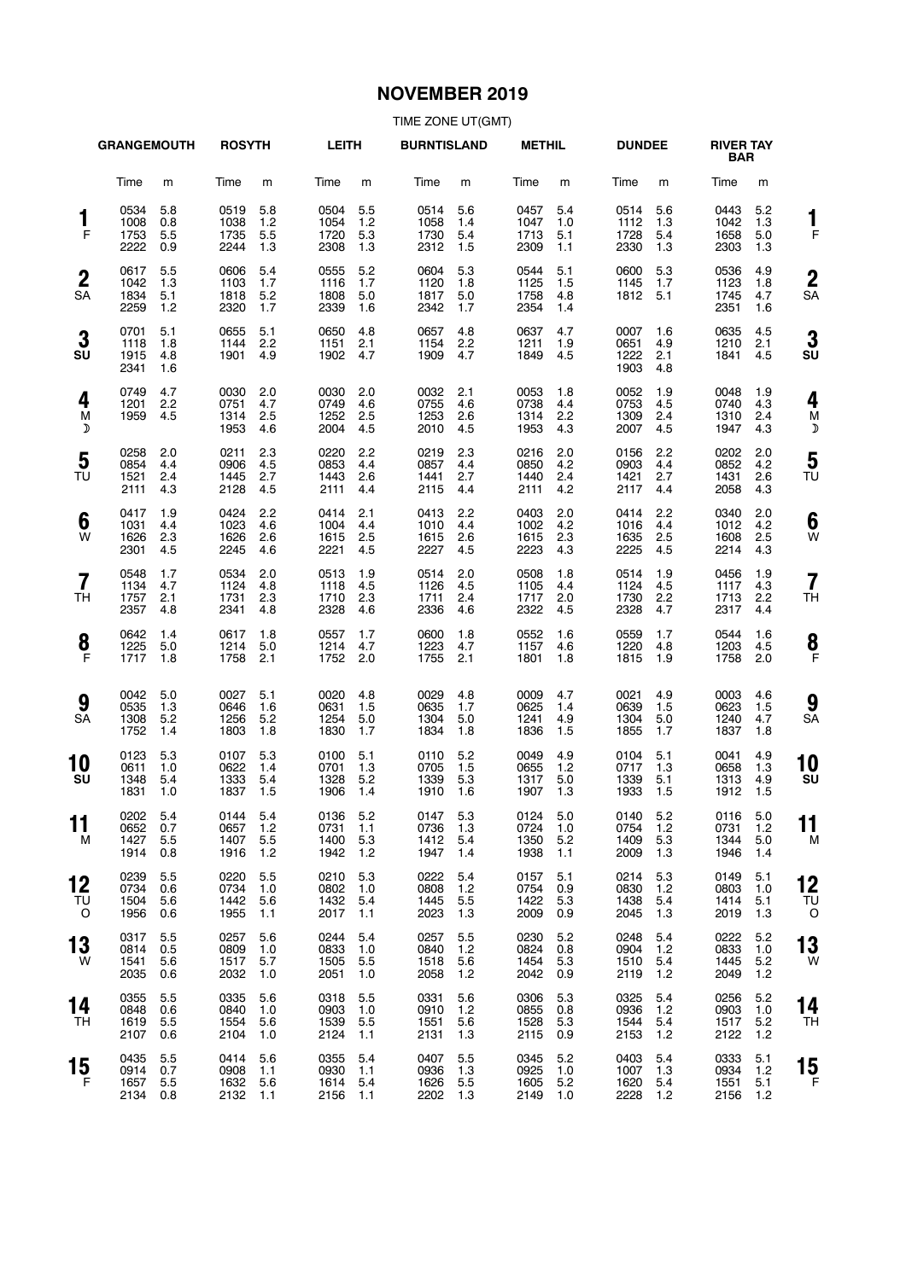# **NOVEMBER 2019**

|                               | <b>GRANGEMOUTH</b>           |                          | <b>ROSYTH</b>                    |                          | <b>LEITH</b>                     |                          | <b>BURNTISLAND</b>               |                            | <b>METHIL</b>                    |                          | <b>DUNDEE</b>                |                              | <b>RIVER TAY</b><br><b>BAR</b>   |                            |                      |
|-------------------------------|------------------------------|--------------------------|----------------------------------|--------------------------|----------------------------------|--------------------------|----------------------------------|----------------------------|----------------------------------|--------------------------|------------------------------|------------------------------|----------------------------------|----------------------------|----------------------|
|                               | Time                         | m                        | Time                             | m                        | Time                             | m                        | Time                             | m                          | Time                             | m                        | Time                         | m                            | Time                             | m                          |                      |
| F                             | 0534<br>1008<br>1753<br>2222 | 5.8<br>0.8<br>5.5<br>0.9 | 0519<br>1038<br>1735<br>2244     | 5.8<br>1.2<br>5.5<br>1.3 | 0504<br>1054<br>1720<br>2308     | 5.5<br>1.2<br>5.3<br>1.3 | 0514<br>1058<br>1730<br>2312     | 5.6<br>1.4<br>5.4<br>1.5   | 0457<br>1047<br>1713<br>2309     | 5.4<br>1.0<br>5.1<br>1.1 | 0514<br>1112<br>1728<br>2330 | 5.6<br>1.3<br>5.4<br>1.3     | 0443<br>1042<br>1658<br>2303     | 5.2<br>1.3<br>5.0<br>1.3   | 1<br>F               |
| $\boldsymbol{2}$<br><b>SA</b> | 0617<br>1042<br>1834<br>2259 | 5.5<br>1.3<br>5.1<br>1.2 | 0606<br>1103<br>1818<br>2320     | 5.4<br>1.7<br>5.2<br>1.7 | 0555<br>1116<br>1808<br>2339     | 5.2<br>1.7<br>5.0<br>1.6 | 0604<br>1120<br>1817<br>2342     | 5.3<br>1.8<br>5.0<br>1.7   | 0544<br>1125<br>1758<br>2354     | 5.1<br>1.5<br>4.8<br>1.4 | 0600<br>1145<br>1812         | 5.3<br>1.7<br>5.1            | 0536<br>1123<br>1745<br>2351     | 4.9<br>1.8<br>4.7<br>1.6   | $\overline{2}$<br>SA |
| 3<br>SU                       | 0701<br>1118<br>1915<br>2341 | 5.1<br>1.8<br>4.8<br>1.6 | 0655<br>1144<br>1901             | 5.1<br>2.2<br>4.9        | 0650<br>1151<br>1902             | 4.8<br>2.1<br>4.7        | 0657<br>1154<br>1909             | 4.8<br>2.2<br>4.7          | 0637<br>1211<br>1849             | 4.7<br>1.9<br>4.5        | 0007<br>0651<br>1222<br>1903 | 1.6<br>4.9<br>2.1<br>4.8     | 0635<br>1210<br>1841             | 4.5<br>2.1<br>4.5          | 3<br>SU              |
| 4<br>M<br>D                   | 0749<br>1201<br>1959         | 4.7<br>2.2<br>4.5        | 0030<br>0751<br>1314<br>1953     | 2.0<br>4.7<br>2.5<br>4.6 | 0030<br>0749<br>1252<br>2004     | 2.0<br>4.6<br>2.5<br>4.5 | 0032<br>0755<br>1253<br>2010     | 2.1<br>4.6<br>2.6<br>4.5   | 0053<br>0738<br>1314<br>1953     | 1.8<br>4.4<br>2.2<br>4.3 | 0052<br>0753<br>1309<br>2007 | 1.9<br>4.5<br>2.4<br>4.5     | 0048<br>0740<br>1310<br>1947     | 1.9<br>4.3<br>2.4<br>4.3   | 4<br>M<br>J          |
| 5<br>TU                       | 0258<br>0854<br>1521<br>2111 | 2.0<br>4.4<br>2.4<br>4.3 | 0211<br>0906<br>1445<br>2128     | 2.3<br>4.5<br>2.7<br>4.5 | 0220<br>0853<br>1443<br>2111     | 2.2<br>4.4<br>2.6<br>4.4 | 0219<br>0857<br>1441<br>2115     | 2.3<br>4.4<br>2.7<br>4.4   | 0216<br>0850<br>1440<br>2111     | 2.0<br>4.2<br>2.4<br>4.2 | 0156<br>0903<br>1421<br>2117 | 2.2<br>4.4<br>2.7<br>4.4     | 0202<br>0852<br>1431<br>2058     | 2.0<br>4.2<br>2.6<br>4.3   | 5<br>ΤU              |
| 6<br>W                        | 0417<br>1031<br>1626<br>2301 | 1.9<br>4.4<br>2.3<br>4.5 | 0424<br>1023<br>1626<br>2245     | 2.2<br>4.6<br>2.6<br>4.6 | 0414<br>1004<br>1615<br>2221     | 2.1<br>4.4<br>2.5<br>4.5 | 0413<br>1010<br>1615<br>2227     | 2.2<br>4.4<br>2.6<br>4.5   | 0403<br>1002<br>1615<br>2223     | 2.0<br>4.2<br>2.3<br>4.3 | 0414<br>1016<br>1635<br>2225 | 2.2<br>4.4<br>2.5<br>4.5     | 0340<br>1012<br>1608<br>2214     | 2.0<br>4.2<br>2.5<br>4.3   | 6<br>W               |
| 7<br>TH                       | 0548<br>1134<br>1757<br>2357 | 1.7<br>4.7<br>2.1<br>4.8 | 0534<br>1124<br>1731<br>2341     | 2.0<br>4.8<br>2.3<br>4.8 | 0513<br>1118<br>1710<br>2328     | 1.9<br>4.5<br>2.3<br>4.6 | 0514<br>1126<br>1711<br>2336     | 2.0<br>4.5<br>2.4<br>4.6   | 0508<br>1105<br>1717<br>2322     | 1.8<br>4.4<br>2.0<br>4.5 | 0514<br>1124<br>1730<br>2328 | 1.9<br>4.5<br>2.2<br>4.7     | 0456<br>1117<br>1713<br>2317     | 1.9<br>4.3<br>2.2<br>4.4   | 7<br>ΤH              |
| $\frac{8}{5}$                 | 0642<br>1225<br>1717         | 1.4<br>5.0<br>1.8        | 0617<br>1214<br>1758             | 1.8<br>5.0<br>2.1        | 0557<br>1214<br>1752             | 1.7<br>4.7<br>2.0        | 0600<br>1223<br>1755             | 1.8<br>4.7<br>2.1          | 0552<br>1157<br>1801             | 1.6<br>4.6<br>1.8        | 0559<br>1220<br>1815         | 1.7<br>4.8<br>1.9            | 0544<br>1203<br>1758             | 1.6<br>4.5<br>2.0          | 8<br>F               |
| 9<br><b>SA</b>                | 0042<br>0535<br>1308<br>1752 | 5.0<br>1.3<br>5.2<br>1.4 | 0027<br>0646<br>1256<br>1803     | 5.1<br>1.6<br>5.2<br>1.8 | 0020<br>0631<br>1254<br>1830     | 4.8<br>1.5<br>5.0<br>1.7 | 0029<br>0635<br>1304<br>1834     | 4.8<br>1.7<br>5.0<br>1.8   | 0009<br>0625<br>1241<br>1836     | 4.7<br>1.4<br>4.9<br>1.5 | 0021<br>0639<br>1304<br>1855 | 4.9<br>1.5<br>5.0<br>1.7     | 0003<br>0623<br>1240<br>1837     | 4.6<br>1.5<br>4.7<br>1.8   | 9<br><b>SA</b>       |
| 10<br>SU                      | 0123<br>0611<br>1348<br>1831 | 5.3<br>1.0<br>5.4<br>1.0 | 0107<br>0622<br>1333<br>1837     | 5.3<br>1.4<br>5.4<br>1.5 | 0100<br>0701<br>1328<br>1906     | 5.1<br>1.3<br>5.2<br>1.4 | 0110<br>0705<br>1339<br>1910     | 5.2<br>1.5<br>5.3<br>1.6   | 0049<br>0655<br>1317<br>1907     | 4.9<br>1.2<br>5.0<br>1.3 | 0104<br>0717<br>1339<br>1933 | 5.1<br>1.3<br>5.1<br>1.5     | 0041<br>0658<br>1313<br>1912     | 4.9<br>1.3<br>4.9<br>1.5   | 10<br>SU             |
| . .<br>11<br>М                | 0202<br>0652<br>1427<br>1914 | 5.4<br>0.7<br>5.5<br>0.8 | 0144 5.4<br>0657<br>1407<br>1916 | 1.2<br>5.5<br>1.2        | 0136 5.2<br>0731<br>1400<br>1942 | 1.1<br>5.3<br>1.2        | 0147 5.3<br>0736<br>1412<br>1947 | - 1.3<br>5.4<br>1.4        | 0124 5.0<br>0724<br>1350<br>1938 | 1.0<br>5.2<br>1.1        | 0140<br>0754<br>1409<br>2009 | 5.2<br>1.2<br>5.3<br>1.3     | 0116 5.0<br>0731<br>1344<br>1946 | 1.2<br>5.0<br>1.4          | - -<br>11<br>M       |
| 12<br>TU<br>$\circ$           | 0239<br>0734<br>1504<br>1956 | 5.5<br>0.6<br>5.6<br>0.6 | 0220<br>0734<br>1442<br>1955     | 5.5<br>1.0<br>5.6<br>1.1 | 0210<br>0802<br>1432<br>2017     | 5.3<br>1.0<br>5.4<br>1.1 | 0222<br>0808<br>1445<br>2023     | 5.4<br>$1.2$<br>5.5<br>1.3 | 0157<br>0754<br>1422<br>2009     | 5.1<br>0.9<br>5.3<br>0.9 | 0214<br>0830<br>1438<br>2045 | 5.3<br>1.2<br>5.4<br>1.3     | 0149<br>0803<br>1414<br>2019     | 5.1<br>1.0<br>5.1<br>1.3   | 12<br>TU<br>C        |
| 13<br>W                       | 0317<br>0814<br>1541<br>2035 | 5.5<br>0.5<br>5.6<br>0.6 | 0257<br>0809<br>1517<br>2032     | 5.6<br>1.0<br>5.7<br>1.0 | 0244<br>0833<br>1505<br>2051     | 5.4<br>1.0<br>5.5<br>1.0 | 0257<br>0840<br>1518<br>2058     | 5.5<br>1.2<br>5.6<br>1.2   | 0230<br>0824<br>1454<br>2042     | 5.2<br>0.8<br>5.3<br>0.9 | 0248<br>0904<br>1510<br>2119 | 5.4<br>$1.2$<br>5.4<br>$1.2$ | 0222<br>0833<br>1445<br>2049     | 5.2<br>1.0<br>5.2<br>$1.2$ | 13<br>W              |
| 14<br>TН                      | 0355<br>0848<br>1619<br>2107 | 5.5<br>0.6<br>5.5<br>0.6 | 0335<br>0840<br>1554<br>2104     | 5.6<br>1.0<br>5.6<br>1.0 | 0318<br>0903<br>1539<br>2124     | 5.5<br>1.0<br>5.5<br>1.1 | 0331<br>0910<br>1551<br>2131     | 5.6<br>1.2<br>5.6<br>1.3   | 0306<br>0855<br>1528<br>2115     | 5.3<br>0.8<br>5.3<br>0.9 | 0325<br>0936<br>1544<br>2153 | 5.4<br>1.2<br>5.4<br>1.2     | 0256<br>0903<br>1517<br>2122     | 5.2<br>1.0<br>5.2<br>1.2   | 14<br>TΗ             |
| 15<br>F                       | 0435<br>0914<br>1657<br>2134 | 5.5<br>0.7<br>5.5<br>0.8 | 0414<br>0908<br>1632<br>2132     | 5.6<br>1.1<br>5.6<br>1.1 | 0355<br>0930<br>1614<br>2156     | 5.4<br>1.1<br>5.4<br>1.1 | 0407<br>0936<br>1626<br>2202 1.3 | 5.5<br>1.3<br>5.5          | 0345<br>0925<br>1605<br>2149     | 5.2<br>1.0<br>5.2<br>1.0 | 0403<br>1007<br>1620<br>2228 | 5.4<br>1.3<br>5.4<br>1.2     | 0333<br>0934<br>1551<br>2156     | 5.1<br>1.2<br>5.1<br>1.2   | 15<br>F              |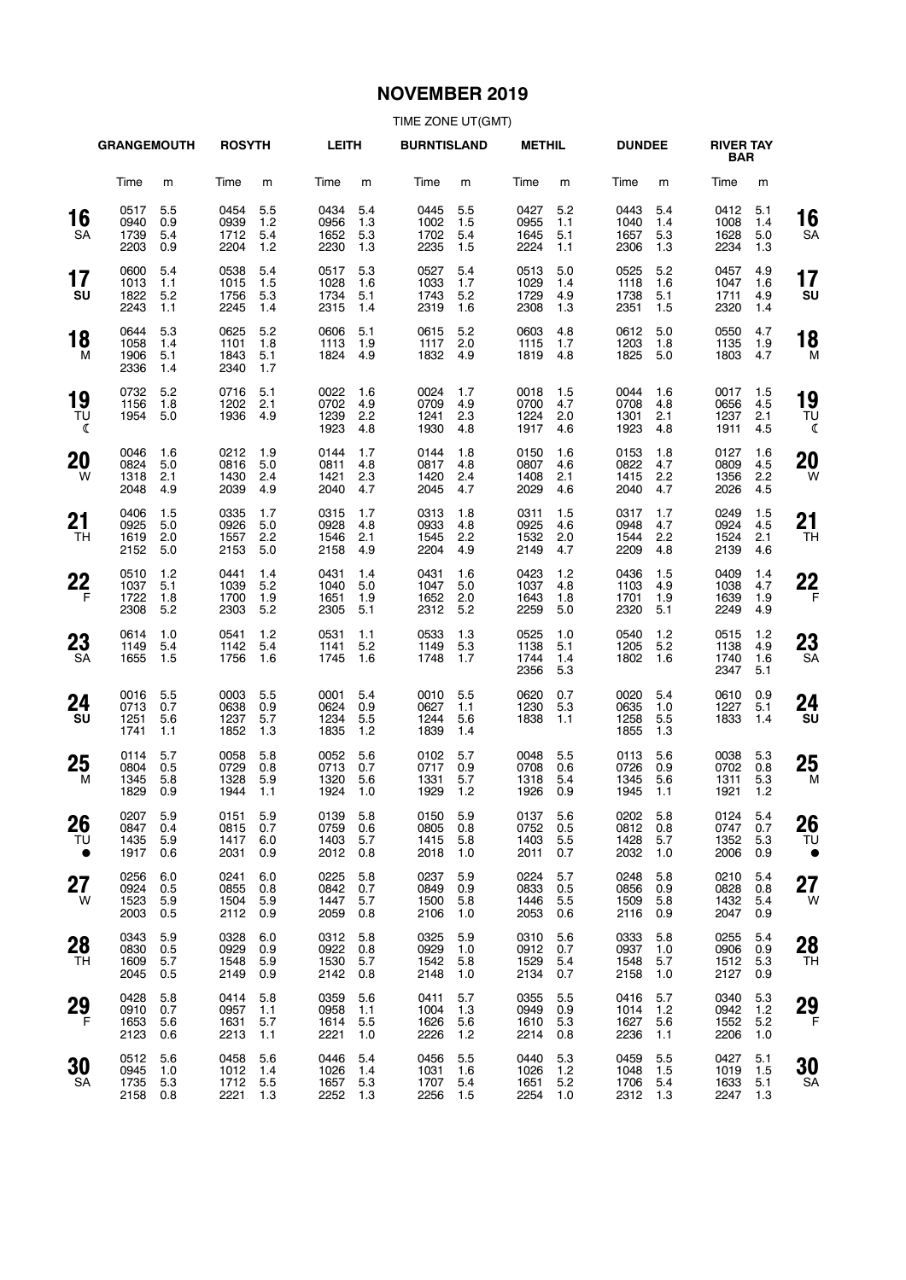# **NOVEMBER 2019**

|                       | <b>GRANGEMOUTH</b>           |                          | <b>ROSYTH</b>                    |                          | <b>LEITH</b>                     |                          | <b>BURNTISLAND</b>               |                            | <b>METHIL</b>                |                          | <b>DUNDEE</b>                    |                          | <b>RIVER TAY</b><br><b>BAR</b>   |                          |                       |
|-----------------------|------------------------------|--------------------------|----------------------------------|--------------------------|----------------------------------|--------------------------|----------------------------------|----------------------------|------------------------------|--------------------------|----------------------------------|--------------------------|----------------------------------|--------------------------|-----------------------|
|                       | Time                         | m                        | Time                             | m                        | Time                             | m                        | Time                             | m                          | Time                         | m                        | Time                             | m                        | Time                             | m                        |                       |
| 16<br><b>SA</b>       | 0517<br>0940<br>1739<br>2203 | 5.5<br>0.9<br>5.4<br>0.9 | 0454<br>0939<br>1712<br>2204     | 5.5<br>1.2<br>5.4<br>1.2 | 0434<br>0956<br>1652<br>2230     | 5.4<br>1.3<br>5.3<br>1.3 | 0445<br>1002<br>1702<br>2235     | 5.5<br>1.5<br>5.4<br>1.5   | 0427<br>0955<br>1645<br>2224 | 5.2<br>1.1<br>5.1<br>1.1 | 0443<br>1040<br>1657<br>2306     | 5.4<br>1.4<br>5.3<br>1.3 | 0412<br>1008<br>1628<br>2234     | 5.1<br>1.4<br>5.0<br>1.3 | 16<br><b>SA</b>       |
| 17<br>SU              | 0600<br>1013<br>1822<br>2243 | 5.4<br>1.1<br>5.2<br>1.1 | 0538<br>1015<br>1756<br>2245     | 5.4<br>1.5<br>5.3<br>1.4 | 0517<br>1028<br>1734<br>2315     | 5.3<br>1.6<br>5.1<br>1.4 | 0527<br>1033<br>1743<br>2319     | 5.4<br>1.7<br>5.2<br>1.6   | 0513<br>1029<br>1729<br>2308 | 5.0<br>1.4<br>4.9<br>1.3 | 0525<br>1118<br>1738<br>2351     | 5.2<br>1.6<br>5.1<br>1.5 | 0457<br>1047<br>1711<br>2320     | 4.9<br>1.6<br>4.9<br>1.4 | 17<br>SU              |
| 18<br>M               | 0644<br>1058<br>1906<br>2336 | 5.3<br>1.4<br>5.1<br>1.4 | 0625<br>1101<br>1843<br>2340     | 5.2<br>1.8<br>5.1<br>1.7 | 0606<br>1113<br>1824             | 5.1<br>1.9<br>4.9        | 0615<br>1117<br>1832             | 5.2<br>2.0<br>4.9          | 0603<br>1115<br>1819         | 4.8<br>1.7<br>4.8        | 0612<br>1203<br>1825             | 5.0<br>1.8<br>5.0        | 0550<br>1135<br>1803             | 4.7<br>1.9<br>4.7        | 18<br>M               |
| 19<br>TU<br>M         | 0732<br>1156<br>1954         | 5.2<br>1.8<br>5.0        | 0716<br>1202<br>1936             | 5.1<br>2.1<br>4.9        | 0022<br>0702<br>1239<br>1923     | 1.6<br>4.9<br>2.2<br>4.8 | 0024<br>0709<br>1241<br>1930     | 1.7<br>4.9<br>2.3<br>4.8   | 0018<br>0700<br>1224<br>1917 | 1.5<br>4.7<br>2.0<br>4.6 | 0044<br>0708<br>1301<br>1923     | 1.6<br>4.8<br>2.1<br>4.8 | 0017<br>0656<br>1237<br>1911     | 1.5<br>4.5<br>2.1<br>4.5 | 19<br>TU<br>ℭ         |
| 20<br>W               | 0046<br>0824<br>1318<br>2048 | 1.6<br>5.0<br>2.1<br>4.9 | 0212<br>0816<br>1430<br>2039     | 1.9<br>5.0<br>2.4<br>4.9 | 0144<br>0811<br>1421<br>2040     | 1.7<br>4.8<br>2.3<br>4.7 | 0144<br>0817<br>1420<br>2045     | 1.8<br>4.8<br>2.4<br>4.7   | 0150<br>0807<br>1408<br>2029 | 1.6<br>4.6<br>2.1<br>4.6 | 0153<br>0822<br>1415<br>2040     | 1.8<br>4.7<br>2.2<br>4.7 | 0127<br>0809<br>1356<br>2026     | 1.6<br>4.5<br>2.2<br>4.5 | 20<br>W               |
| 21<br>TH              | 0406<br>0925<br>1619<br>2152 | 1.5<br>5.0<br>2.0<br>5.0 | 0335<br>0926<br>1557<br>2153     | 1.7<br>5.0<br>2.2<br>5.0 | 0315<br>0928<br>1546<br>2158     | 1.7<br>4.8<br>2.1<br>4.9 | 0313<br>0933<br>1545<br>2204     | 1.8<br>4.8<br>2.2<br>4.9   | 0311<br>0925<br>1532<br>2149 | 1.5<br>4.6<br>2.0<br>4.7 | 0317<br>0948<br>1544<br>2209     | 1.7<br>4.7<br>2.2<br>4.8 | 0249<br>0924<br>1524<br>2139     | 1.5<br>4.5<br>2.1<br>4.6 | 21<br>TН              |
| 22<br>$\mathsf{F}$    | 0510<br>1037<br>1722<br>2308 | 1.2<br>5.1<br>1.8<br>5.2 | 0441<br>1039<br>1700<br>2303     | 1.4<br>5.2<br>1.9<br>5.2 | 0431<br>1040<br>1651<br>2305     | 1.4<br>5.0<br>1.9<br>5.1 | 0431<br>1047<br>1652<br>2312     | 1.6<br>5.0<br>2.0<br>5.2   | 0423<br>1037<br>1643<br>2259 | 1.2<br>4.8<br>1.8<br>5.0 | 0436<br>1103<br>1701<br>2320     | 1.5<br>4.9<br>1.9<br>5.1 | 0409<br>1038<br>1639<br>2249     | 1.4<br>4.7<br>1.9<br>4.9 | 22<br>F               |
| 23<br>SA              | 0614<br>1149<br>1655         | 1.0<br>5.4<br>1.5        | 0541<br>1142<br>1756             | 1.2<br>5.4<br>1.6        | 0531<br>1141<br>1745             | 1.1<br>5.2<br>1.6        | 0533<br>1149<br>1748             | 1.3<br>5.3<br>1.7          | 0525<br>1138<br>1744<br>2356 | 1.0<br>5.1<br>1.4<br>5.3 | 0540<br>1205<br>1802             | 1.2<br>5.2<br>1.6        | 0515<br>1138<br>1740<br>2347     | 1.2<br>4.9<br>1.6<br>5.1 | 23<br><b>SA</b>       |
| 24<br>SU              | 0016<br>0713<br>1251<br>1741 | 5.5<br>0.7<br>5.6<br>1.1 | 0003<br>0638<br>1237<br>1852     | 5.5<br>0.9<br>5.7<br>1.3 | 0001<br>0624<br>1234<br>1835     | 5.4<br>0.9<br>5.5<br>1.2 | 0010<br>0627<br>1244<br>1839     | 5.5<br>1.1<br>5.6<br>1.4   | 0620<br>1230<br>1838         | 0.7<br>5.3<br>1.1        | 0020<br>0635<br>1258<br>1855     | 5.4<br>1.0<br>5.5<br>1.3 | 0610<br>1227<br>1833             | 0.9<br>5.1<br>1.4        | 24<br>SU              |
| 25<br>M               | 0114<br>0804<br>1345<br>1829 | 5.7<br>0.5<br>5.8<br>0.9 | 0058<br>0729<br>1328<br>1944     | 5.8<br>0.8<br>5.9<br>1.1 | 0052<br>0713<br>1320<br>1924     | 5.6<br>0.7<br>5.6<br>1.0 | 0102<br>0717<br>1331<br>1929     | 5.7<br>0.9<br>5.7<br>1.2   | 0048<br>0708<br>1318<br>1926 | 5.5<br>0.6<br>5.4<br>0.9 | 0113<br>0726<br>1345<br>1945     | 5.6<br>0.9<br>5.6<br>1.1 | 0038<br>0702<br>1311<br>1921     | 5.3<br>0.8<br>5.3<br>1.2 | 25<br>M               |
| 26<br>TU<br>$\bullet$ | 0207<br>0847<br>1435<br>1917 | 5.9<br>0.4<br>5.9<br>0.6 | 0151<br>0815<br>1417<br>2031     | 5.9<br>0.7<br>6.0<br>0.9 | 0139 5.8<br>0759<br>1403<br>2012 | 0.6<br>5.7<br>0.8        | 0150 5.9<br>0805<br>1415<br>2018 | 0.8<br>5.8<br>1.0          | 0137<br>0752<br>1403<br>2011 | 5.6<br>0.5<br>5.5<br>0.7 | 0202<br>0812<br>1428<br>2032     | 5.8<br>0.8<br>5.7<br>1.0 | 0124<br>0747<br>1352<br>2006     | 5.4<br>0.7<br>5.3<br>0.9 | 26<br>TU<br>$\bullet$ |
| 27<br>W               | 0256<br>0924<br>1523<br>2003 | 6.0<br>0.5<br>5.9<br>0.5 | 0241<br>0855<br>1504<br>2112     | 6.0<br>0.8<br>5.9<br>0.9 | 0225<br>0842<br>1447<br>2059     | 5.8<br>0.7<br>5.7<br>0.8 | 0237<br>0849<br>1500<br>2106     | 5.9<br>0.9<br>5.8<br>1.0   | 0224<br>0833<br>1446<br>2053 | 5.7<br>0.5<br>5.5<br>0.6 | 0248<br>0856<br>1509<br>2116     | 5.8<br>0.9<br>5.8<br>0.9 | 0210<br>0828<br>1432<br>2047     | 5.4<br>0.8<br>5.4<br>0.9 | 27<br>W               |
| 28<br>TH              | 0343<br>0830<br>1609<br>2045 | 5.9<br>0.5<br>5.7<br>0.5 | 0328<br>0929<br>1548<br>2149     | 6.0<br>0.9<br>5.9<br>0.9 | 0312<br>0922<br>1530<br>2142     | 5.8<br>0.8<br>5.7<br>0.8 | 0325<br>0929<br>1542<br>2148     | 5.9<br>1.0<br>5.8<br>1.0   | 0310<br>0912<br>1529<br>2134 | 5.6<br>0.7<br>5.4<br>0.7 | 0333<br>0937<br>1548<br>2158     | 5.8<br>1.0<br>5.7<br>1.0 | 0255<br>0906<br>1512<br>2127     | 5.4<br>0.9<br>5.3<br>0.9 | 28<br>TH              |
| 29<br>F               | 0428<br>0910<br>1653<br>2123 | 5.8<br>0.7<br>5.6<br>0.6 | 0414<br>0957<br>1631<br>2213     | 5.8<br>1.1<br>5.7<br>1.1 | 0359<br>0958<br>1614<br>2221     | 5.6<br>1.1<br>5.5<br>1.0 | 0411<br>1004<br>1626<br>2226     | 5.7<br>1.3<br>5.6<br>$1.2$ | 0355<br>0949<br>1610<br>2214 | 5.5<br>0.9<br>5.3<br>0.8 | 0416<br>1014<br>1627<br>2236     | 5.7<br>1.2<br>5.6<br>1.1 | 0340<br>0942<br>1552<br>2206     | 5.3<br>1.2<br>5.2<br>1.0 | 29<br>F               |
| 30<br>SA              | 0512<br>0945<br>1735<br>2158 | 5.6<br>1.0<br>5.3<br>0.8 | 0458<br>1012<br>1712 5.5<br>2221 | 5.6<br>1.4<br>1.3        | 0446<br>1026<br>1657<br>2252     | 5.4<br>1.4<br>5.3<br>1.3 | 0456<br>1031<br>1707<br>2256     | 5.5<br>1.6<br>5.4<br>1.5   | 0440<br>1026<br>1651<br>2254 | 5.3<br>1.2<br>5.2<br>1.0 | 0459<br>1048<br>1706<br>2312 1.3 | 5.5<br>1.5<br>5.4        | 0427<br>1019<br>1633<br>2247 1.3 | 5.1<br>1.5<br>5.1        | 30<br><b>SA</b>       |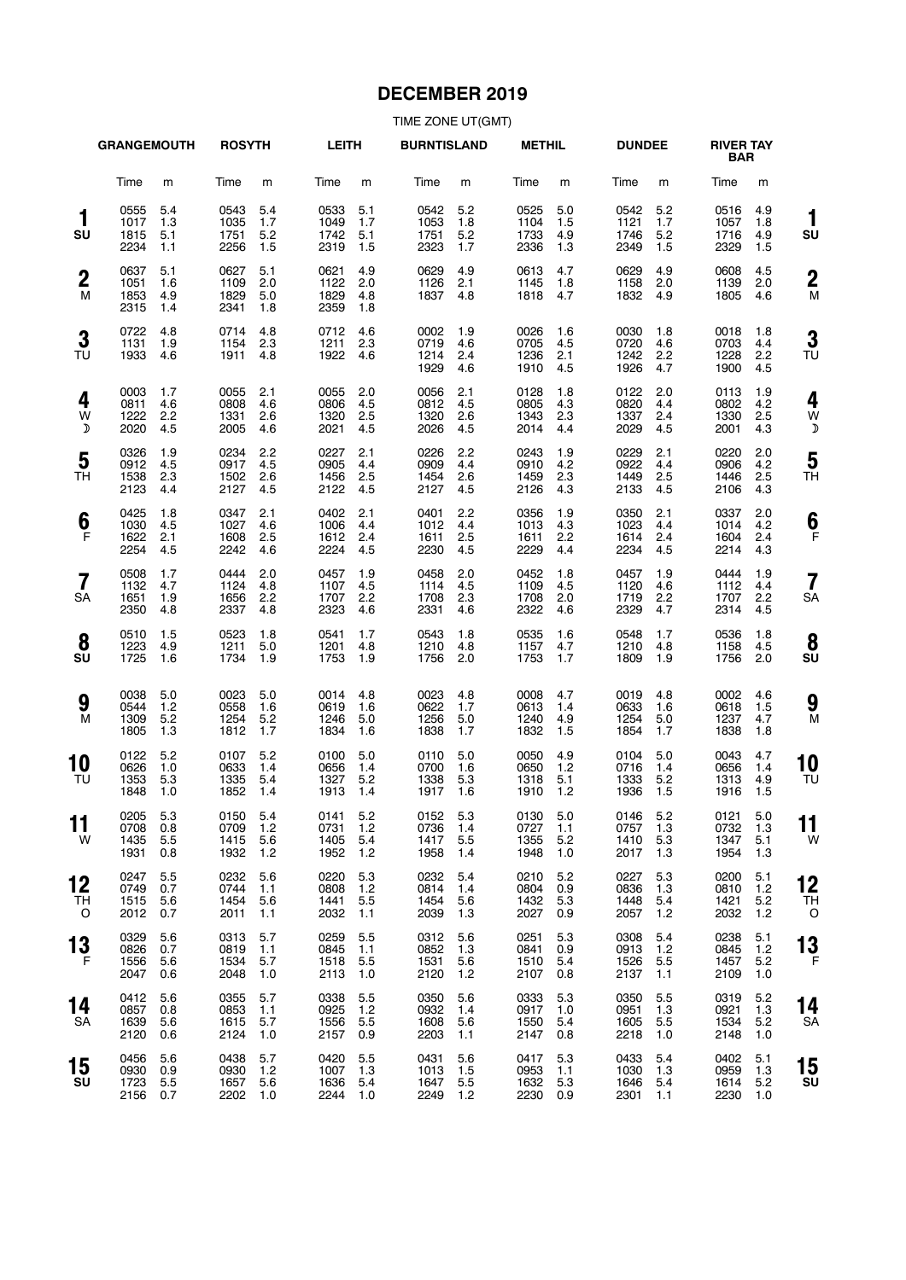# **DECEMBER 2019**

|                         | <b>GRANGEMOUTH</b>           |                          | <b>ROSYTH</b>                    |                          | <b>LEITH</b>                     |                          | <b>BURNTISLAND</b>               |                          | <b>METHIL</b>                    |                          | <b>DUNDEE</b>                    |                            | <b>RIVER TAY</b><br><b>BAR</b> |                            |                      |
|-------------------------|------------------------------|--------------------------|----------------------------------|--------------------------|----------------------------------|--------------------------|----------------------------------|--------------------------|----------------------------------|--------------------------|----------------------------------|----------------------------|--------------------------------|----------------------------|----------------------|
|                         | Time                         | m                        | Time                             | m                        | Time                             | m                        | Time                             | m                        | Time                             | m                        | Time                             | m                          | Time                           | m                          |                      |
| 1<br>SU                 | 0555<br>1017<br>1815<br>2234 | 5.4<br>1.3<br>5.1<br>1.1 | 0543<br>1035<br>1751<br>2256     | 5.4<br>1.7<br>5.2<br>1.5 | 0533<br>1049<br>1742<br>2319     | 5.1<br>1.7<br>5.1<br>1.5 | 0542<br>1053<br>1751<br>2323     | 5.2<br>1.8<br>5.2<br>1.7 | 0525<br>1104<br>1733<br>2336     | 5.0<br>1.5<br>4.9<br>1.3 | 0542<br>1121<br>1746<br>2349     | 5.2<br>1.7<br>5.2<br>1.5   | 0516<br>1057<br>1716<br>2329   | 4.9<br>1.8<br>4.9<br>1.5   | 1<br>SU              |
| $\boldsymbol{2}$<br>M   | 0637<br>1051<br>1853<br>2315 | 5.1<br>1.6<br>4.9<br>1.4 | 0627<br>1109<br>1829<br>2341     | 5.1<br>2.0<br>5.0<br>1.8 | 0621<br>1122<br>1829<br>2359     | 4.9<br>2.0<br>4.8<br>1.8 | 0629<br>1126<br>1837             | 4.9<br>2.1<br>4.8        | 0613<br>1145<br>1818             | 4.7<br>1.8<br>4.7        | 0629<br>1158<br>1832             | 4.9<br>2.0<br>4.9          | 0608<br>1139<br>1805           | 4.5<br>2.0<br>4.6          | $\overline{2}$<br>M  |
| 3<br>TU                 | 0722<br>1131<br>1933         | 4.8<br>1.9<br>4.6        | 0714<br>1154<br>1911             | 4.8<br>2.3<br>4.8        | 0712<br>1211<br>1922             | 4.6<br>2.3<br>4.6        | 0002<br>0719<br>1214<br>1929     | 1.9<br>4.6<br>2.4<br>4.6 | 0026<br>0705<br>1236<br>1910     | 1.6<br>4.5<br>2.1<br>4.5 | 0030<br>0720<br>1242<br>1926     | 1.8<br>4.6<br>2.2<br>4.7   | 0018<br>0703<br>1228<br>1900   | 1.8<br>4.4<br>2.2<br>4.5   | 3<br>TU              |
| 4<br>W<br>$\mathcal{D}$ | 0003<br>0811<br>1222<br>2020 | 1.7<br>4.6<br>2.2<br>4.5 | 0055<br>0808<br>1331<br>2005     | 2.1<br>4.6<br>2.6<br>4.6 | 0055<br>0806<br>1320<br>2021     | 2.0<br>4.5<br>2.5<br>4.5 | 0056<br>0812<br>1320<br>2026     | 2.1<br>4.5<br>2.6<br>4.5 | 0128<br>0805<br>1343<br>2014     | 1.8<br>4.3<br>2.3<br>4.4 | 0122<br>0820<br>1337<br>2029     | 2.0<br>4.4<br>2.4<br>4.5   | 0113<br>0802<br>1330<br>2001   | 1.9<br>4.2<br>2.5<br>4.3   | 4<br>W<br>J          |
| 5<br>TН                 | 0326<br>0912<br>1538<br>2123 | 1.9<br>4.5<br>2.3<br>4.4 | 0234<br>0917<br>1502<br>2127     | 2.2<br>4.5<br>2.6<br>4.5 | 0227<br>0905<br>1456<br>2122     | 2.1<br>4.4<br>2.5<br>4.5 | 0226<br>0909<br>1454<br>2127     | 2.2<br>4.4<br>2.6<br>4.5 | 0243<br>0910<br>1459<br>2126     | 1.9<br>4.2<br>2.3<br>4.3 | 0229<br>0922<br>1449<br>2133     | 2.1<br>4.4<br>2.5<br>4.5   | 0220<br>0906<br>1446<br>2106   | 2.0<br>4.2<br>2.5<br>4.3   | 5<br>ΤH              |
| 6<br>F                  | 0425<br>1030<br>1622<br>2254 | 1.8<br>4.5<br>2.1<br>4.5 | 0347<br>1027<br>1608<br>2242     | 2.1<br>4.6<br>2.5<br>4.6 | 0402<br>1006<br>1612<br>2224     | 2.1<br>4.4<br>2.4<br>4.5 | 0401<br>1012<br>1611<br>2230     | 2.2<br>4.4<br>2.5<br>4.5 | 0356<br>1013<br>1611<br>2229     | 1.9<br>4.3<br>2.2<br>4.4 | 0350<br>1023<br>1614<br>2234     | 2.1<br>4.4<br>2.4<br>4.5   | 0337<br>1014<br>1604<br>2214   | 2.0<br>4.2<br>2.4<br>4.3   | 6<br>F               |
| 7<br><b>SA</b>          | 0508<br>1132<br>1651<br>2350 | 1.7<br>4.7<br>1.9<br>4.8 | 0444<br>1124<br>1656<br>2337     | 2.0<br>4.8<br>2.2<br>4.8 | 0457<br>1107<br>1707<br>2323     | 1.9<br>4.5<br>2.2<br>4.6 | 0458<br>1114<br>1708<br>2331     | 2.0<br>4.5<br>2.3<br>4.6 | 0452<br>1109<br>1708<br>2322     | 1.8<br>4.5<br>2.0<br>4.6 | 0457<br>1120<br>1719<br>2329     | 1.9<br>4.6<br>2.2<br>4.7   | 0444<br>1112<br>1707<br>2314   | 1.9<br>4.4<br>2.2<br>4.5   | 7<br>SΑ              |
| 8<br>SU                 | 0510<br>1223<br>1725         | 1.5<br>4.9<br>1.6        | 0523<br>1211<br>1734             | 1.8<br>5.0<br>1.9        | 0541<br>1201<br>1753             | 1.7<br>4.8<br>1.9        | 0543<br>1210<br>1756             | 1.8<br>4.8<br>2.0        | 0535<br>1157<br>1753             | 1.6<br>4.7<br>1.7        | 0548<br>1210<br>1809             | 1.7<br>4.8<br>1.9          | 0536<br>1158<br>1756           | 1.8<br>4.5<br>2.0          | 8<br>SU              |
| 9<br>M                  | 0038<br>0544<br>1309<br>1805 | 5.0<br>1.2<br>5.2<br>1.3 | 0023<br>0558<br>1254<br>1812     | 5.0<br>1.6<br>5.2<br>1.7 | 0014<br>0619<br>1246<br>1834     | 4.8<br>1.6<br>5.0<br>1.6 | 0023<br>0622<br>1256<br>1838     | 4.8<br>1.7<br>5.0<br>1.7 | 0008<br>0613<br>1240<br>1832     | 4.7<br>1.4<br>4.9<br>1.5 | 0019<br>0633<br>1254<br>1854     | 4.8<br>1.6<br>5.0<br>1.7   | 0002<br>0618<br>1237<br>1838   | 4.6<br>1.5<br>4.7<br>1.8   | 9<br>M               |
| 10<br>TU                | 0122<br>0626<br>1353<br>1848 | 5.2<br>1.0<br>5.3<br>1.0 | 0107<br>0633<br>1335<br>1852     | 5.2<br>1.4<br>5.4<br>1.4 | 0100<br>0656<br>1327<br>1913     | 5.0<br>1.4<br>5.2<br>1.4 | 0110<br>0700<br>1338<br>1917     | 5.0<br>1.6<br>5.3<br>1.6 | 0050<br>0650<br>1318<br>1910     | 4.9<br>1.2<br>5.1<br>1.2 | 0104<br>0716<br>1333<br>1936     | 5.0<br>1.4<br>5.2<br>1.5   | 0043<br>0656<br>1313<br>1916   | 4.7<br>1.4<br>4.9<br>1.5   | 10<br>TU             |
| . .<br>11<br>W          | 0205<br>0708<br>1435<br>1931 | 5.3<br>0.8<br>5.5<br>0.8 | 0150 5.4<br>0709<br>1415<br>1932 | 1.2<br>5.6<br>1.2        | 0141<br>0731<br>1405<br>1952     | 5.2<br>1.2<br>5.4<br>1.2 | 0152 5.3<br>0736<br>1417<br>1958 | 1.4<br>5.5<br>1.4        | 0130 5.0<br>0727<br>1355<br>1948 | 1.1<br>5.2<br>1.0        | 0146 5.2<br>0757<br>1410<br>2017 | 1.3<br>5.3<br>1.3          | 0121<br>0732<br>1347<br>1954   | 5.0<br>1.3<br>5.1<br>1.3   | . .<br>11<br>W       |
| 12<br>TН<br>0           | 0247<br>0749<br>1515<br>2012 | 5.5<br>0.7<br>5.6<br>0.7 | 0232<br>0744<br>1454<br>2011     | 5.6<br>1.1<br>5.6<br>1.1 | 0220<br>0808<br>1441<br>2032     | 5.3<br>1.2<br>5.5<br>1.1 | 0232<br>0814<br>1454<br>2039     | 5.4<br>1.4<br>5.6<br>1.3 | 0210<br>0804<br>1432<br>2027     | 5.2<br>0.9<br>5.3<br>0.9 | 0227<br>0836<br>1448<br>2057     | 5.3<br>1.3<br>5.4<br>$1.2$ | 0200<br>0810<br>1421<br>2032   | 5.1<br>1.2<br>5.2<br>1.2   | 12<br><b>TH</b><br>C |
| 13<br>F                 | 0329<br>0826<br>1556<br>2047 | 5.6<br>0.7<br>5.6<br>0.6 | 0313<br>0819<br>1534<br>2048     | 5.7<br>1.1<br>5.7<br>1.0 | 0259<br>0845<br>1518<br>2113     | 5.5<br>1.1<br>5.5<br>1.0 | 0312<br>0852<br>1531<br>2120     | 5.6<br>1.3<br>5.6<br>1.2 | 0251<br>0841<br>1510<br>2107     | 5.3<br>0.9<br>5.4<br>0.8 | 0308<br>0913<br>1526<br>2137     | 5.4<br>1.2<br>5.5<br>1.1   | 0238<br>0845<br>1457<br>2109   | 5.1<br>$1.2$<br>5.2<br>1.0 | 13<br>F              |
| 14<br>SA                | 0412<br>0857<br>1639<br>2120 | 5.6<br>0.8<br>5.6<br>0.6 | 0355<br>0853<br>1615<br>2124     | 5.7<br>1.1<br>5.7<br>1.0 | 0338<br>0925<br>1556<br>2157     | 5.5<br>1.2<br>5.5<br>0.9 | 0350<br>0932<br>1608<br>2203     | 5.6<br>1.4<br>5.6<br>1.1 | 0333<br>0917<br>1550<br>2147     | 5.3<br>1.0<br>5.4<br>0.8 | 0350<br>0951<br>1605<br>2218     | 5.5<br>1.3<br>5.5<br>1.0   | 0319<br>0921<br>1534<br>2148   | 5.2<br>1.3<br>5.2<br>1.0   | 14<br>SΑ             |
| 15<br>SU                | 0456<br>0930<br>1723<br>2156 | 5.6<br>0.9<br>5.5<br>0.7 | 0438<br>0930<br>1657<br>2202 1.0 | 5.7<br>1.2<br>5.6        | 0420<br>1007<br>1636<br>2244 1.0 | 5.5<br>1.3<br>5.4        | 0431<br>1013<br>1647<br>2249     | 5.6<br>1.5<br>5.5<br>1.2 | 0417<br>0953<br>1632<br>2230     | 5.3<br>1.1<br>5.3<br>0.9 | 0433<br>1030<br>1646<br>2301     | 5.4<br>1.3<br>5.4<br>1.1   | 0402<br>0959<br>1614<br>2230   | 5.1<br>1.3<br>5.2<br>1.0   | 15<br>SU             |